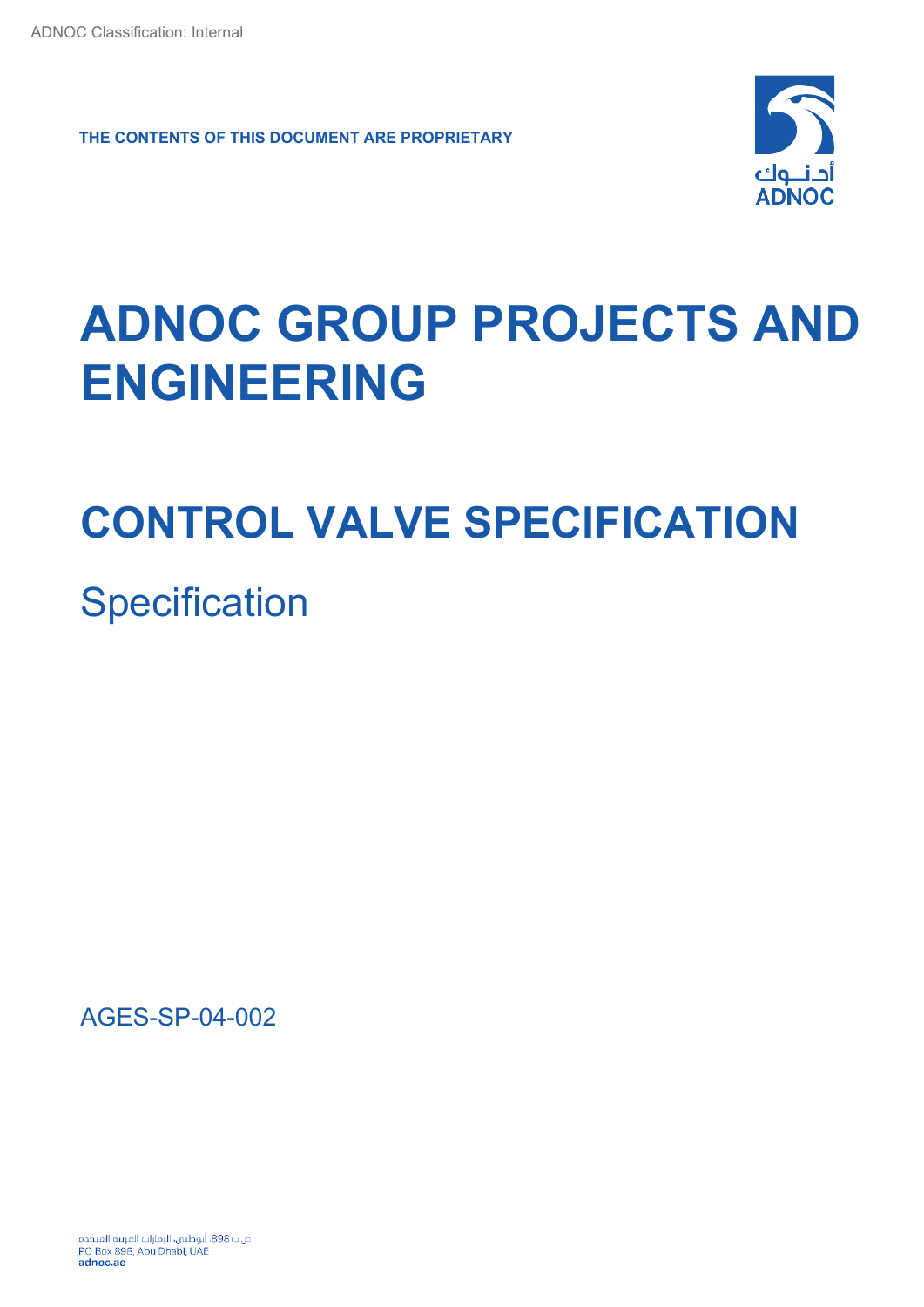**THE CONTENTS OF THIS DOCUMENT ARE PROPRIETARY** 



# **ADNOC GROUP PROJECTS AND ENGINEERING**

# **CONTROL VALVE SPECIFICATION**

# **Specification**

AGES-SP-04-002

ص ب898، أبوظبم، الإمارات العربية المتحدة<br>PO Box 898, Abu Dhabi, UAE adnoc.ae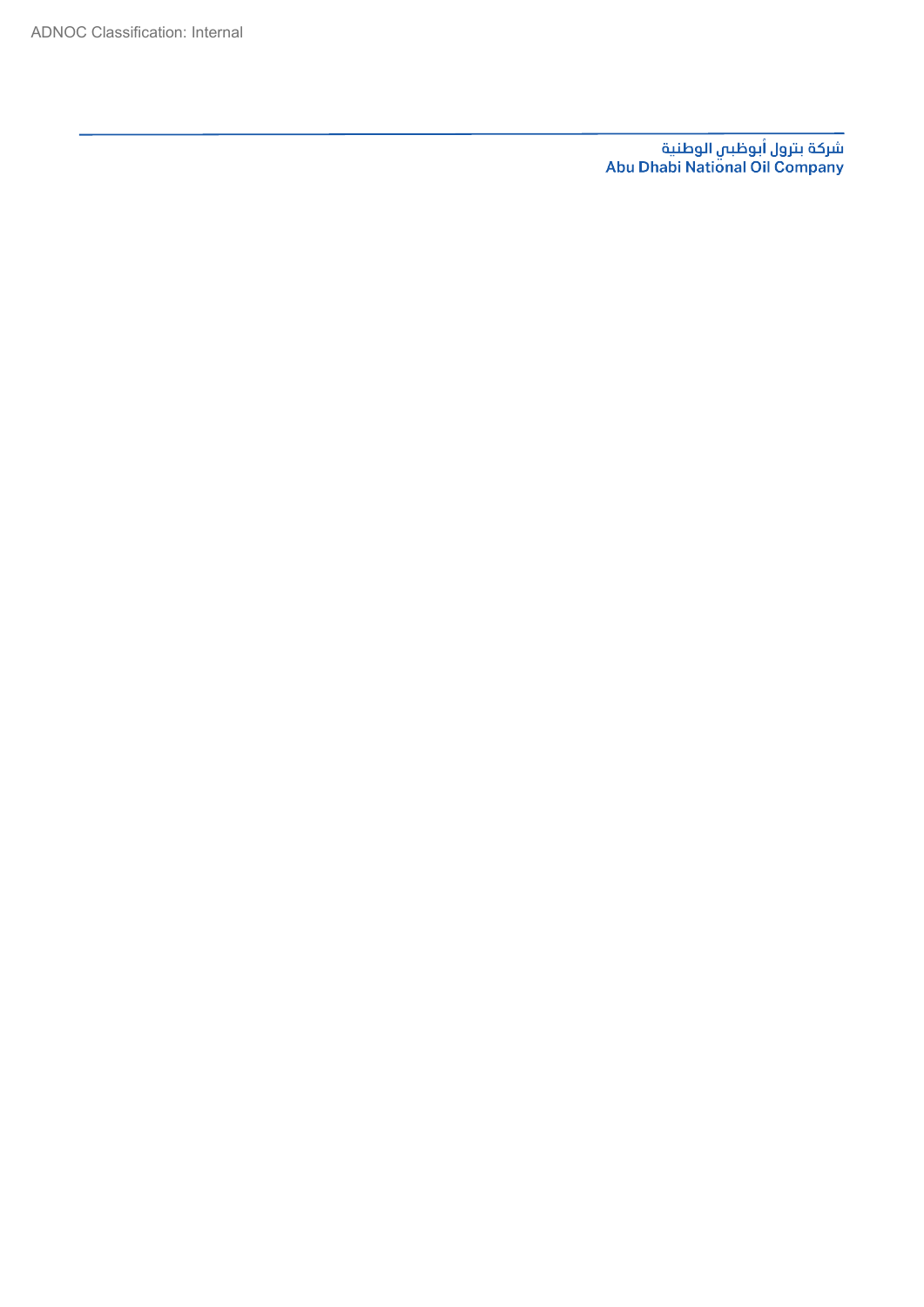ADNOC Classification: Internal

.<br>شركة بترول أبوظبي الوطنية<br>Abu Dhabi National Oil Company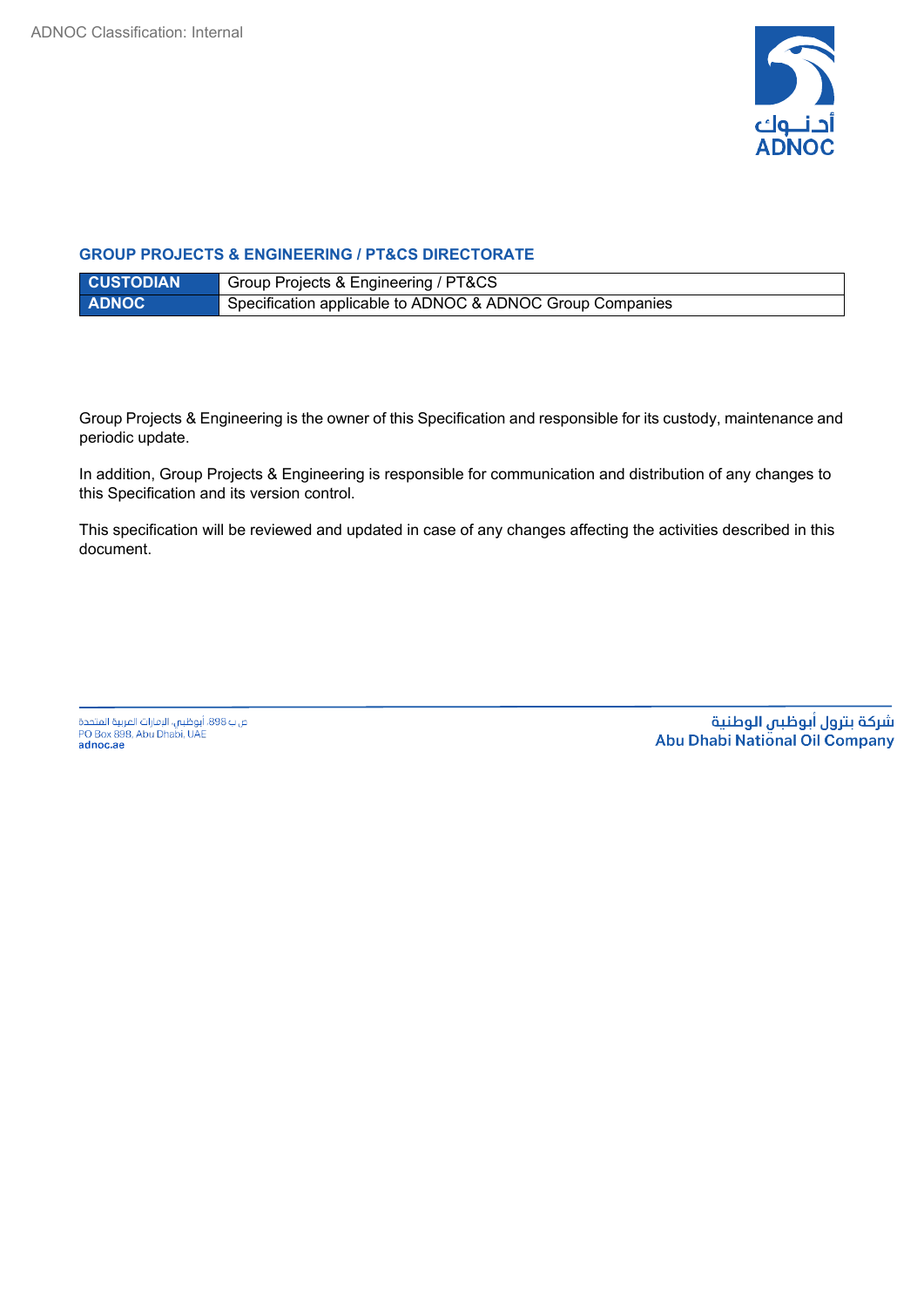

#### **GROUP PROJECTS & ENGINEERING / PT&CS DIRECTORATE**

| <b>CUSTODIAN</b> | Group Projects & Engineering / PT&CS                      |
|------------------|-----------------------------------------------------------|
| <b>ADNOC</b>     | Specification applicable to ADNOC & ADNOC Group Companies |

Group Projects & Engineering is the owner of this Specification and responsible for its custody, maintenance and periodic update.

In addition, Group Projects & Engineering is responsible for communication and distribution of any changes to this Specification and its version control.

This specification will be reviewed and updated in case of any changes affecting the activities described in this document.

ص بـ 898، أبوظبس، الإمارات العربية المتحدة<br>PO Box 898, Abu Dhabi, UAE adnoc.ae

شركة بترول أبوظبى الوطنية **Abu Dhabi National Oil Company**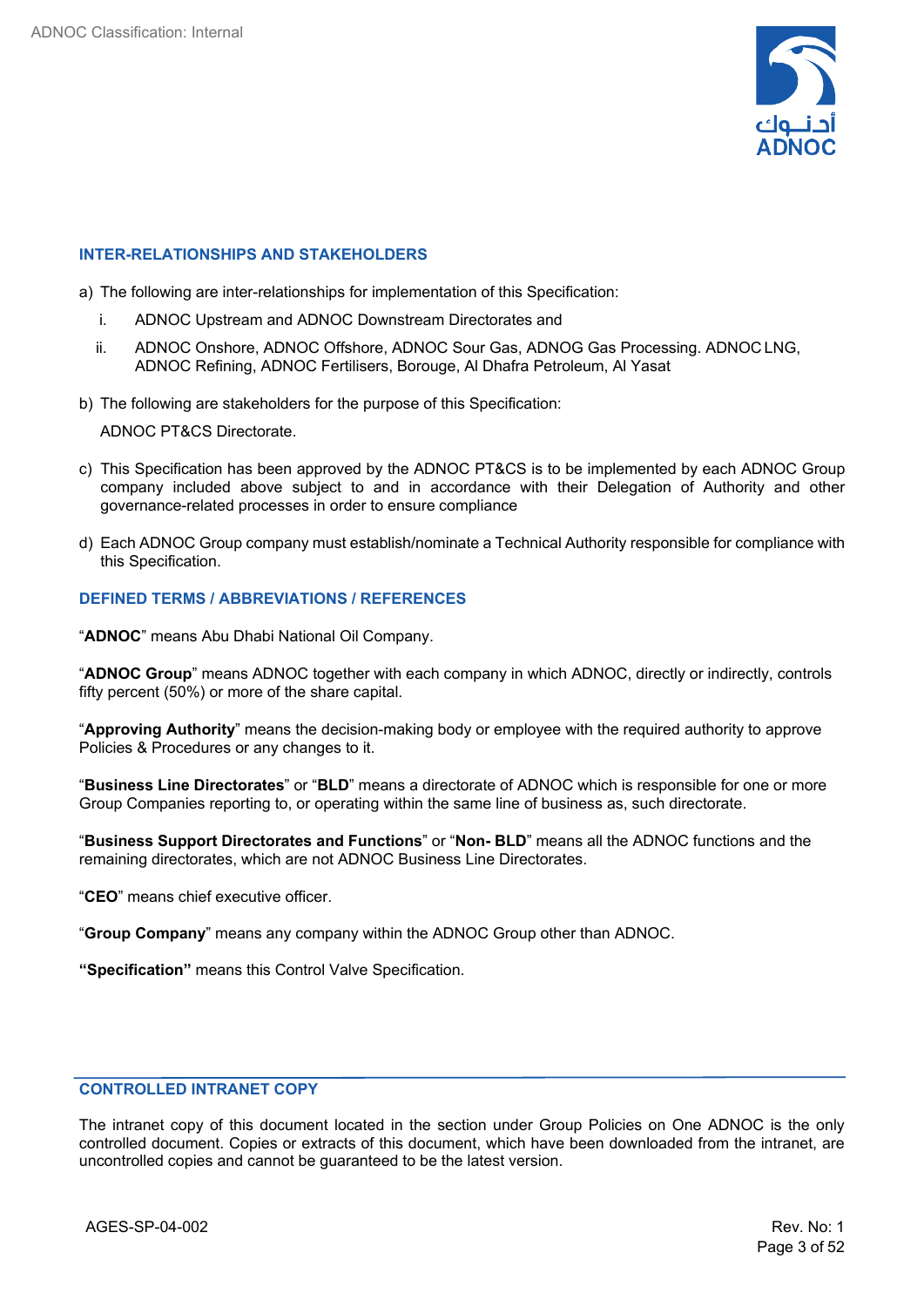

#### **INTER-RELATIONSHIPS AND STAKEHOLDERS**

- a) The following are inter-relationships for implementation of this Specification:
	- i. ADNOC Upstream and ADNOC Downstream Directorates and
	- ii. ADNOC Onshore, ADNOC Offshore, ADNOC Sour Gas, ADNOG Gas Processing. ADNOC LNG, ADNOC Refining, ADNOC Fertilisers, Borouge, Al Dhafra Petroleum, Al Yasat
- b) The following are stakeholders for the purpose of this Specification:

ADNOC PT&CS Directorate.

- c) This Specification has been approved by the ADNOC PT&CS is to be implemented by each ADNOC Group company included above subject to and in accordance with their Delegation of Authority and other governance-related processes in order to ensure compliance
- d) Each ADNOC Group company must establish/nominate a Technical Authority responsible for compliance with this Specification.

# **DEFINED TERMS / ABBREVIATIONS / REFERENCES**

"**ADNOC**" means Abu Dhabi National Oil Company.

"**ADNOC Group**" means ADNOC together with each company in which ADNOC, directly or indirectly, controls fifty percent (50%) or more of the share capital.

"**Approving Authority**" means the decision-making body or employee with the required authority to approve Policies & Procedures or any changes to it.

"**Business Line Directorates**" or "**BLD**" means a directorate of ADNOC which is responsible for one or more Group Companies reporting to, or operating within the same line of business as, such directorate.

"**Business Support Directorates and Functions**" or "**Non- BLD**" means all the ADNOC functions and the remaining directorates, which are not ADNOC Business Line Directorates.

"**CEO**" means chief executive officer.

"**Group Company**" means any company within the ADNOC Group other than ADNOC.

**"Specification"** means this Control Valve Specification.

# **CONTROLLED INTRANET COPY**

The intranet copy of this document located in the section under Group Policies on One ADNOC is the only controlled document. Copies or extracts of this document, which have been downloaded from the intranet, are uncontrolled copies and cannot be guaranteed to be the latest version.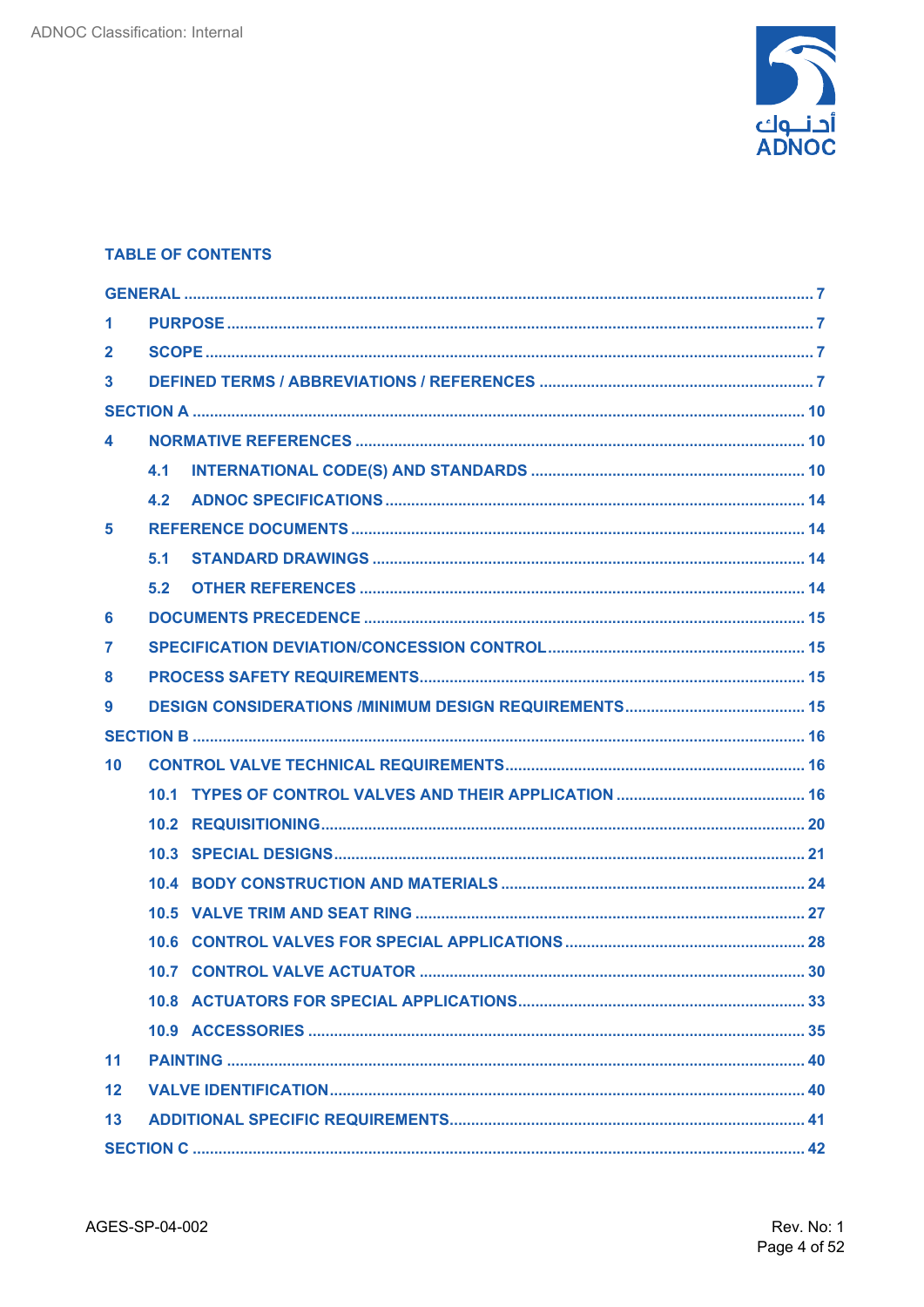

# **TABLE OF CONTENTS**

| 1.           |      |  |
|--------------|------|--|
| $\mathbf{2}$ |      |  |
| $\mathbf{3}$ |      |  |
|              |      |  |
| 4            |      |  |
|              | 4.1  |  |
|              | 4.2  |  |
| 5            |      |  |
|              | 5.1  |  |
|              | 5.2  |  |
| 6            |      |  |
| 7            |      |  |
| 8            |      |  |
| 9            |      |  |
|              |      |  |
| 10           |      |  |
|              |      |  |
|              |      |  |
|              |      |  |
|              |      |  |
|              |      |  |
|              |      |  |
|              | 10.7 |  |
|              |      |  |
|              |      |  |
| 11           |      |  |
| 12           |      |  |
| 13           |      |  |
|              |      |  |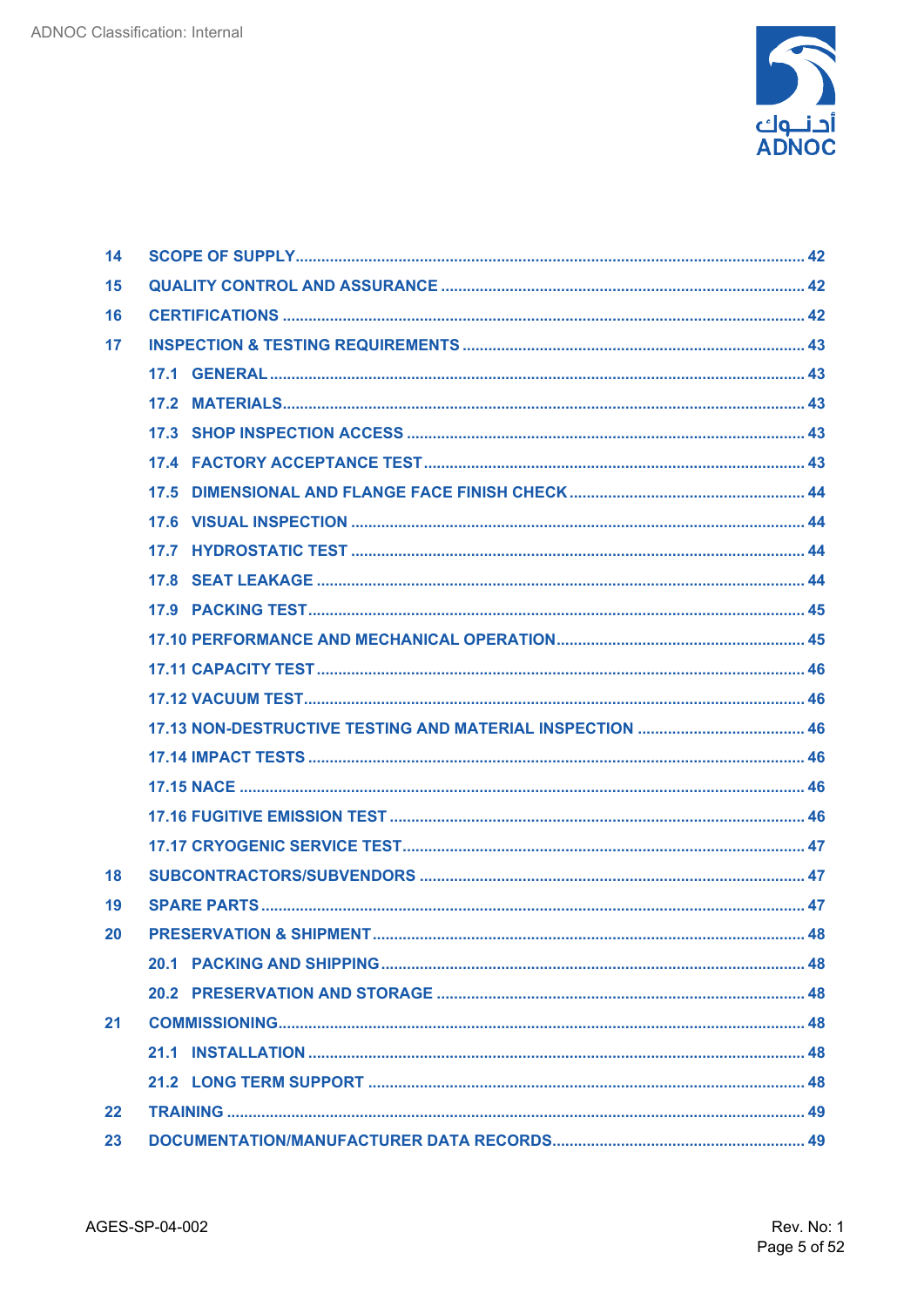

| 14 |      |
|----|------|
| 15 |      |
| 16 |      |
| 17 |      |
|    | 17.1 |
|    | 17.2 |
|    | 17.3 |
|    |      |
|    | 17.5 |
|    |      |
|    |      |
|    |      |
|    |      |
|    |      |
|    |      |
|    |      |
|    |      |
|    |      |
|    |      |
|    |      |
|    |      |
| 18 |      |
| 19 |      |
| 20 |      |
|    |      |
|    |      |
| 21 |      |
|    |      |
|    |      |
| 22 |      |
| 23 |      |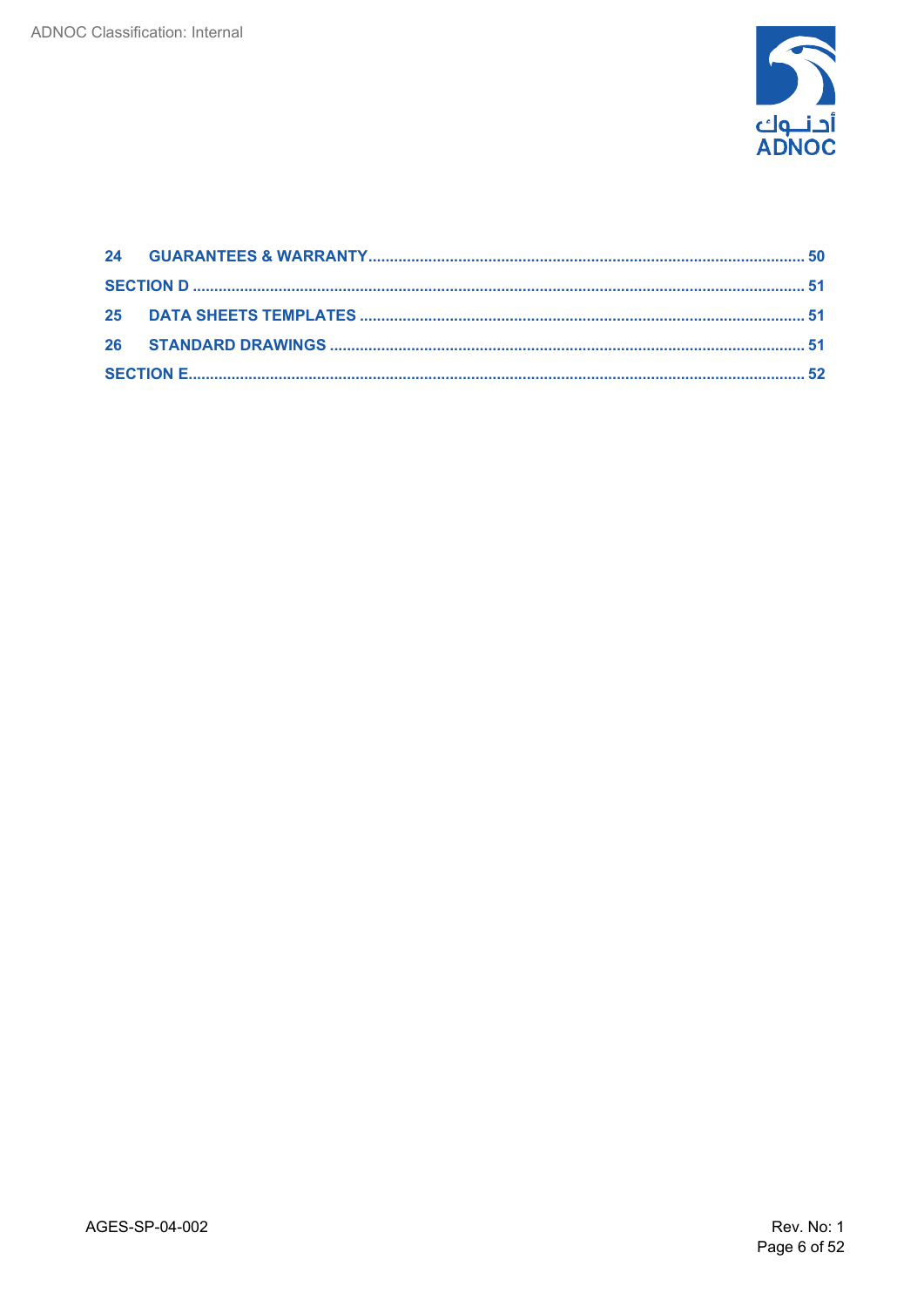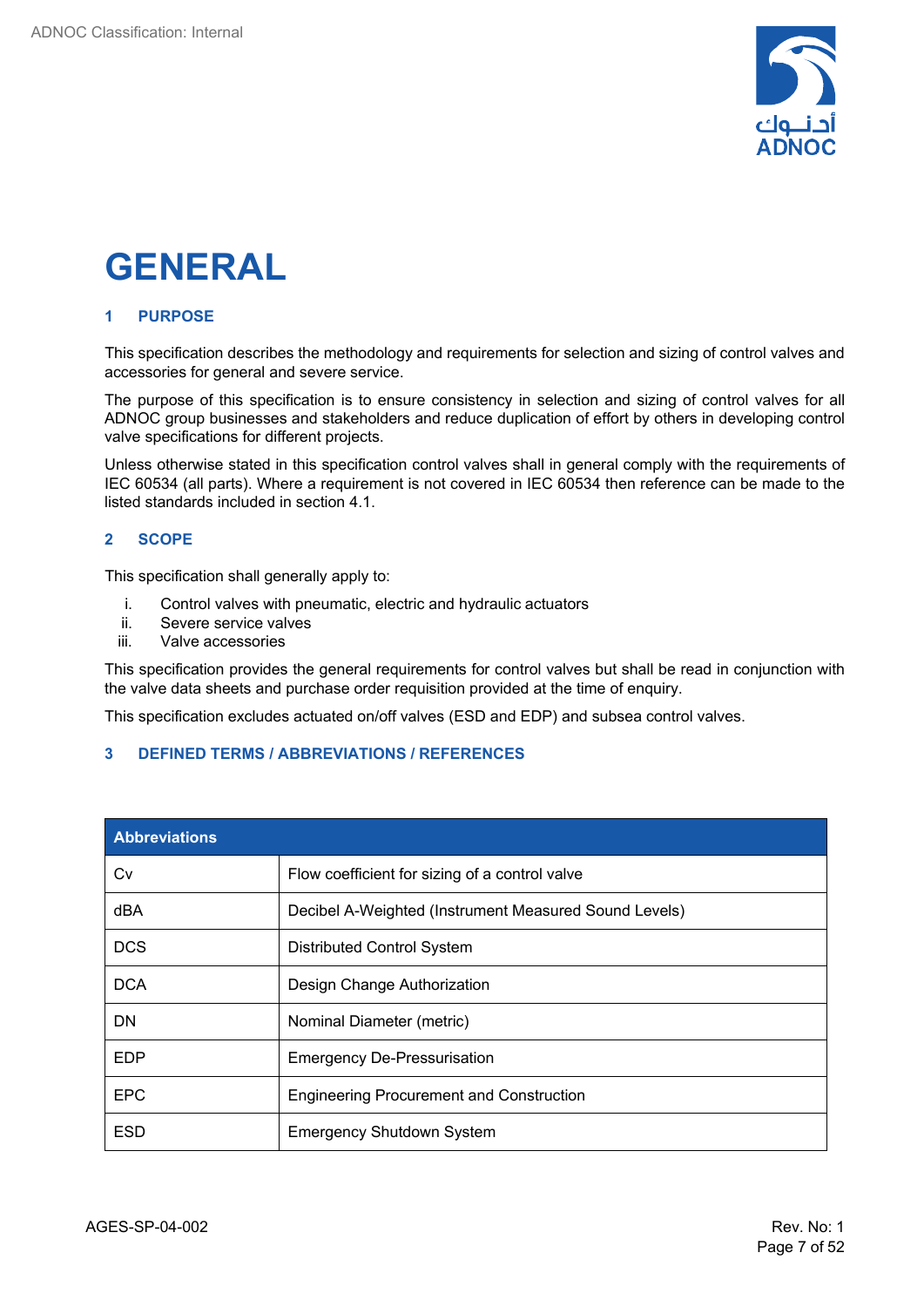

# <span id="page-7-0"></span>**GENERAL**

# <span id="page-7-1"></span>**1 PURPOSE**

This specification describes the methodology and requirements for selection and sizing of control valves and accessories for general and severe service.

The purpose of this specification is to ensure consistency in selection and sizing of control valves for all ADNOC group businesses and stakeholders and reduce duplication of effort by others in developing control valve specifications for different projects.

Unless otherwise stated in this specification control valves shall in general comply with the requirements of IEC 60534 (all parts). Where a requirement is not covered in IEC 60534 then reference can be made to the listed standards included in section [4.1.](#page-10-2)

# <span id="page-7-2"></span>**2 SCOPE**

This specification shall generally apply to:

- i. Control valves with pneumatic, electric and hydraulic actuators
- ii. Severe service valves<br>iii. Valve accessories
- Valve accessories

This specification provides the general requirements for control valves but shall be read in conjunction with the valve data sheets and purchase order requisition provided at the time of enquiry.

This specification excludes actuated on/off valves (ESD and EDP) and subsea control valves.

# <span id="page-7-3"></span>**3 DEFINED TERMS / ABBREVIATIONS / REFERENCES**

| <b>Abbreviations</b> |                                                       |  |
|----------------------|-------------------------------------------------------|--|
| Cv                   | Flow coefficient for sizing of a control valve        |  |
| <b>dBA</b>           | Decibel A-Weighted (Instrument Measured Sound Levels) |  |
| <b>DCS</b>           | <b>Distributed Control System</b>                     |  |
| <b>DCA</b>           | Design Change Authorization                           |  |
| DN.                  | Nominal Diameter (metric)                             |  |
| <b>EDP</b>           | <b>Emergency De-Pressurisation</b>                    |  |
| <b>EPC</b>           | <b>Engineering Procurement and Construction</b>       |  |
| <b>ESD</b>           | <b>Emergency Shutdown System</b>                      |  |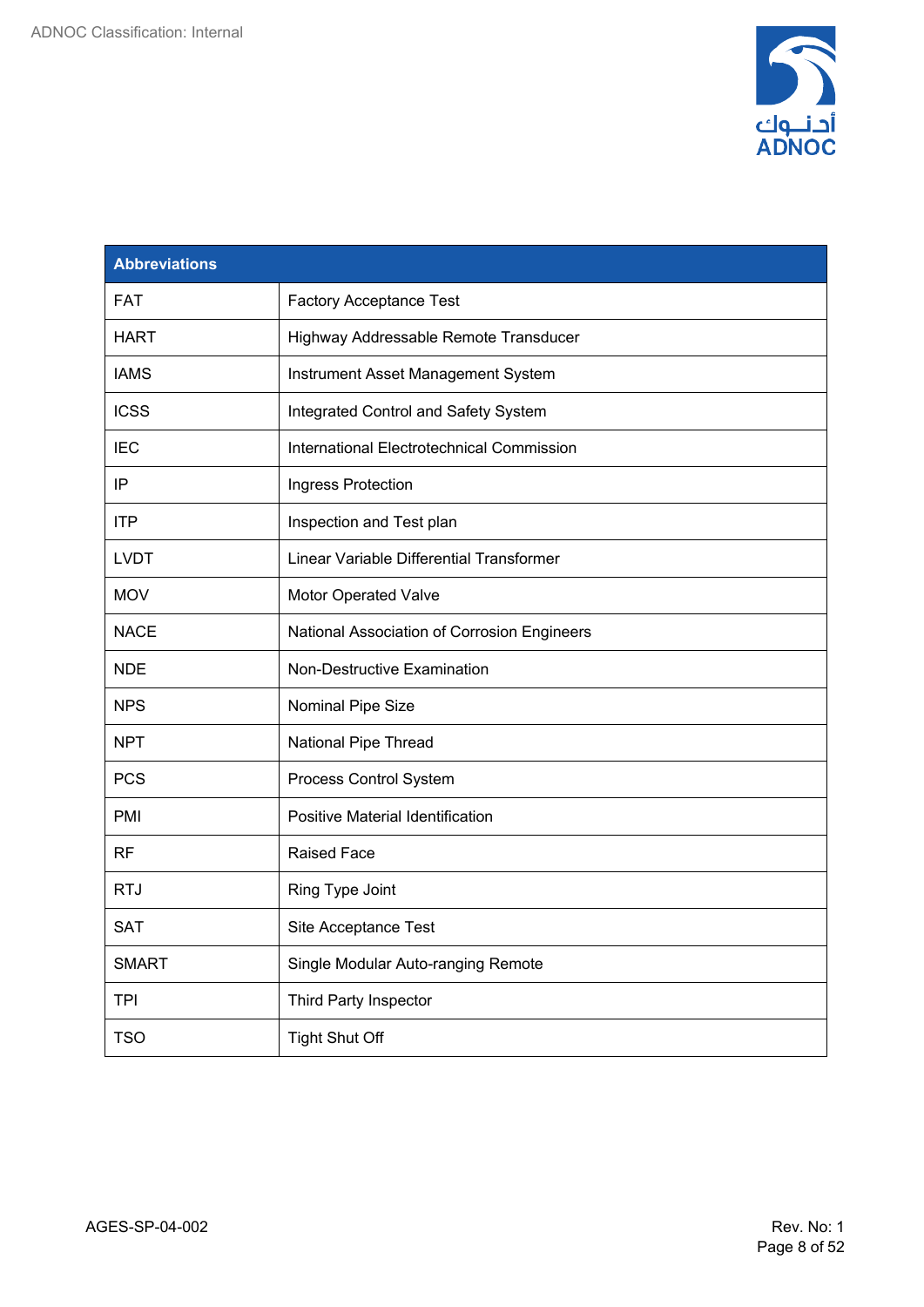

| <b>Abbreviations</b> |                                             |  |
|----------------------|---------------------------------------------|--|
| <b>FAT</b>           | <b>Factory Acceptance Test</b>              |  |
| <b>HART</b>          | Highway Addressable Remote Transducer       |  |
| <b>IAMS</b>          | Instrument Asset Management System          |  |
| <b>ICSS</b>          | Integrated Control and Safety System        |  |
| <b>IEC</b>           | International Electrotechnical Commission   |  |
| IP                   | Ingress Protection                          |  |
| <b>ITP</b>           | Inspection and Test plan                    |  |
| <b>LVDT</b>          | Linear Variable Differential Transformer    |  |
| <b>MOV</b>           | Motor Operated Valve                        |  |
| <b>NACE</b>          | National Association of Corrosion Engineers |  |
| <b>NDE</b>           | Non-Destructive Examination                 |  |
| <b>NPS</b>           | Nominal Pipe Size                           |  |
| <b>NPT</b>           | National Pipe Thread                        |  |
| <b>PCS</b>           | Process Control System                      |  |
| PMI                  | Positive Material Identification            |  |
| <b>RF</b>            | <b>Raised Face</b>                          |  |
| <b>RTJ</b>           | Ring Type Joint                             |  |
| <b>SAT</b>           | Site Acceptance Test                        |  |
| <b>SMART</b>         | Single Modular Auto-ranging Remote          |  |
| <b>TPI</b>           | Third Party Inspector                       |  |
| <b>TSO</b>           | <b>Tight Shut Off</b>                       |  |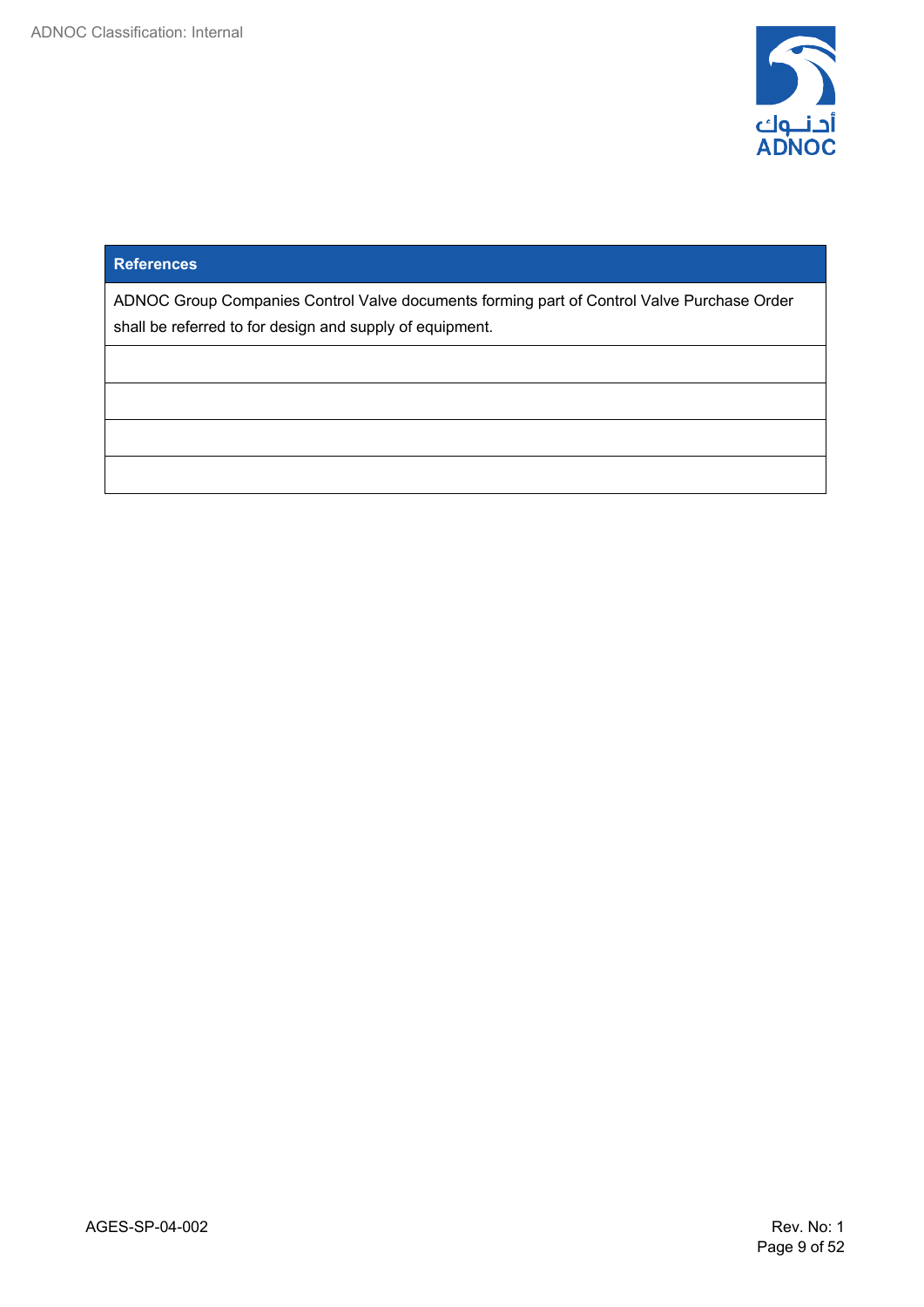

# **References**

ADNOC Group Companies Control Valve documents forming part of Control Valve Purchase Order shall be referred to for design and supply of equipment.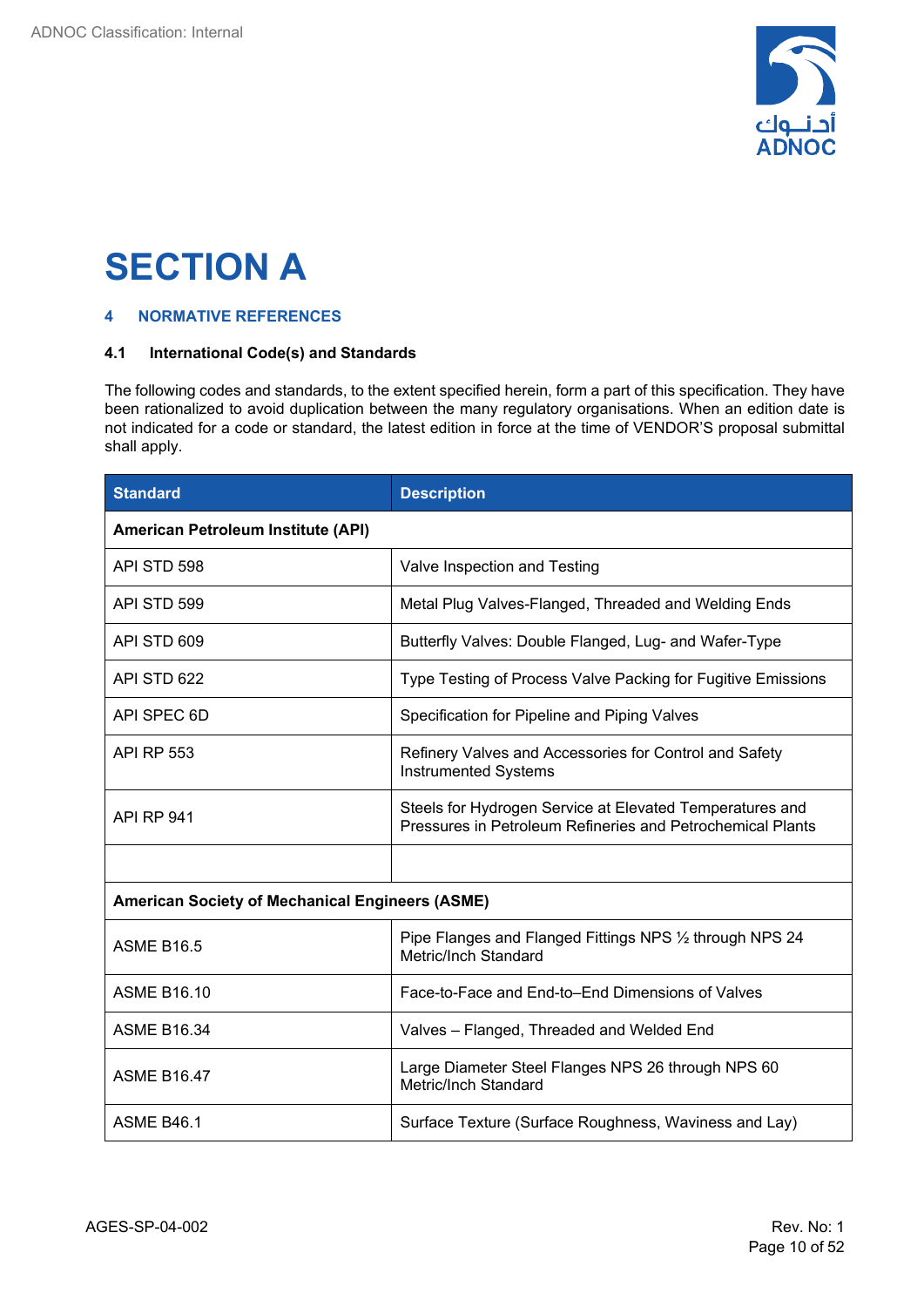

# <span id="page-10-0"></span>**SECTION A**

# <span id="page-10-1"></span>**4 NORMATIVE REFERENCES**

# <span id="page-10-2"></span>**4.1 International Code(s) and Standards**

The following codes and standards, to the extent specified herein, form a part of this specification. They have been rationalized to avoid duplication between the many regulatory organisations. When an edition date is not indicated for a code or standard, the latest edition in force at the time of VENDOR'S proposal submittal shall apply.

| <b>Standard</b>                                        | <b>Description</b>                                                                                                     |
|--------------------------------------------------------|------------------------------------------------------------------------------------------------------------------------|
| American Petroleum Institute (API)                     |                                                                                                                        |
| API STD 598                                            | Valve Inspection and Testing                                                                                           |
| API STD 599                                            | Metal Plug Valves-Flanged, Threaded and Welding Ends                                                                   |
| API STD 609                                            | Butterfly Valves: Double Flanged, Lug- and Wafer-Type                                                                  |
| API STD 622                                            | Type Testing of Process Valve Packing for Fugitive Emissions                                                           |
| API SPEC 6D                                            | Specification for Pipeline and Piping Valves                                                                           |
| <b>API RP 553</b>                                      | Refinery Valves and Accessories for Control and Safety<br><b>Instrumented Systems</b>                                  |
| <b>API RP 941</b>                                      | Steels for Hydrogen Service at Elevated Temperatures and<br>Pressures in Petroleum Refineries and Petrochemical Plants |
|                                                        |                                                                                                                        |
| <b>American Society of Mechanical Engineers (ASME)</b> |                                                                                                                        |
| <b>ASME B16.5</b>                                      | Pipe Flanges and Flanged Fittings NPS 1/2 through NPS 24<br>Metric/Inch Standard                                       |
| <b>ASME B16.10</b>                                     | Face-to-Face and End-to-End Dimensions of Valves                                                                       |
| <b>ASME B16.34</b>                                     | Valves - Flanged, Threaded and Welded End                                                                              |
| <b>ASME B16.47</b>                                     | Large Diameter Steel Flanges NPS 26 through NPS 60<br>Metric/Inch Standard                                             |
| <b>ASME B46.1</b>                                      | Surface Texture (Surface Roughness, Waviness and Lay)                                                                  |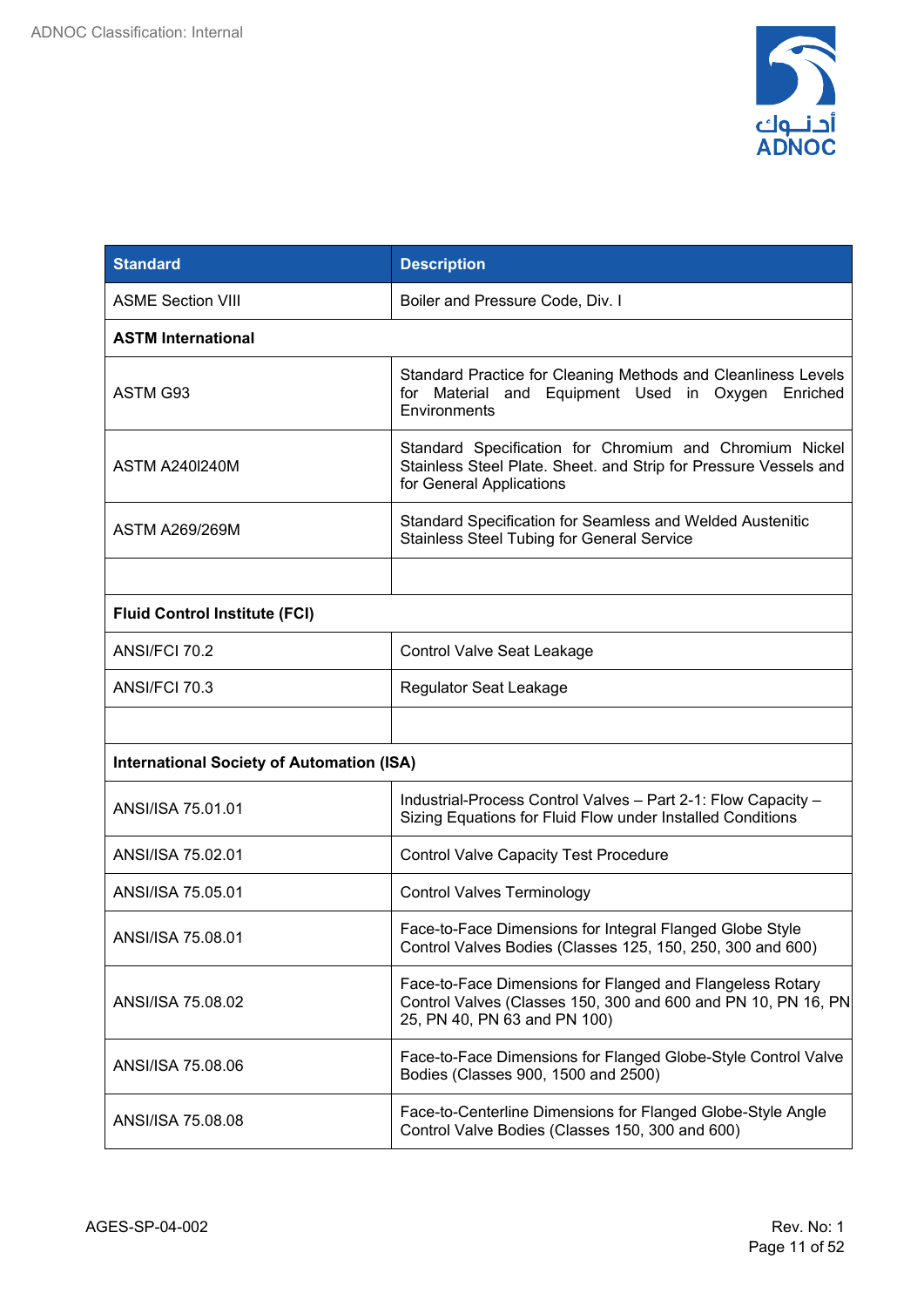

| <b>Standard</b>                                  | <b>Description</b>                                                                                                                                         |
|--------------------------------------------------|------------------------------------------------------------------------------------------------------------------------------------------------------------|
| <b>ASME Section VIII</b>                         | Boiler and Pressure Code, Div. I                                                                                                                           |
| <b>ASTM International</b>                        |                                                                                                                                                            |
| <b>ASTM G93</b>                                  | Standard Practice for Cleaning Methods and Cleanliness Levels<br>for Material and Equipment Used in Oxygen Enriched<br>Environments                        |
| <b>ASTM A240I240M</b>                            | Standard Specification for Chromium and Chromium Nickel<br>Stainless Steel Plate. Sheet. and Strip for Pressure Vessels and<br>for General Applications    |
| <b>ASTM A269/269M</b>                            | Standard Specification for Seamless and Welded Austenitic<br><b>Stainless Steel Tubing for General Service</b>                                             |
|                                                  |                                                                                                                                                            |
| <b>Fluid Control Institute (FCI)</b>             |                                                                                                                                                            |
| ANSI/FCI 70.2                                    | <b>Control Valve Seat Leakage</b>                                                                                                                          |
| ANSI/FCI 70.3                                    | Regulator Seat Leakage                                                                                                                                     |
|                                                  |                                                                                                                                                            |
| <b>International Society of Automation (ISA)</b> |                                                                                                                                                            |
| ANSI/ISA 75.01.01                                | Industrial-Process Control Valves - Part 2-1: Flow Capacity -<br>Sizing Equations for Fluid Flow under Installed Conditions                                |
| ANSI/ISA 75.02.01                                | <b>Control Valve Capacity Test Procedure</b>                                                                                                               |
| ANSI/ISA 75.05.01                                | <b>Control Valves Terminology</b>                                                                                                                          |
| ANSI/ISA 75.08.01                                | Face-to-Face Dimensions for Integral Flanged Globe Style<br>Control Valves Bodies (Classes 125, 150, 250, 300 and 600)                                     |
| ANSI/ISA 75.08.02                                | Face-to-Face Dimensions for Flanged and Flangeless Rotary<br>Control Valves (Classes 150, 300 and 600 and PN 10, PN 16, PN<br>25, PN 40, PN 63 and PN 100) |
| ANSI/ISA 75.08.06                                | Face-to-Face Dimensions for Flanged Globe-Style Control Valve<br>Bodies (Classes 900, 1500 and 2500)                                                       |
| ANSI/ISA 75.08.08                                | Face-to-Centerline Dimensions for Flanged Globe-Style Angle<br>Control Valve Bodies (Classes 150, 300 and 600)                                             |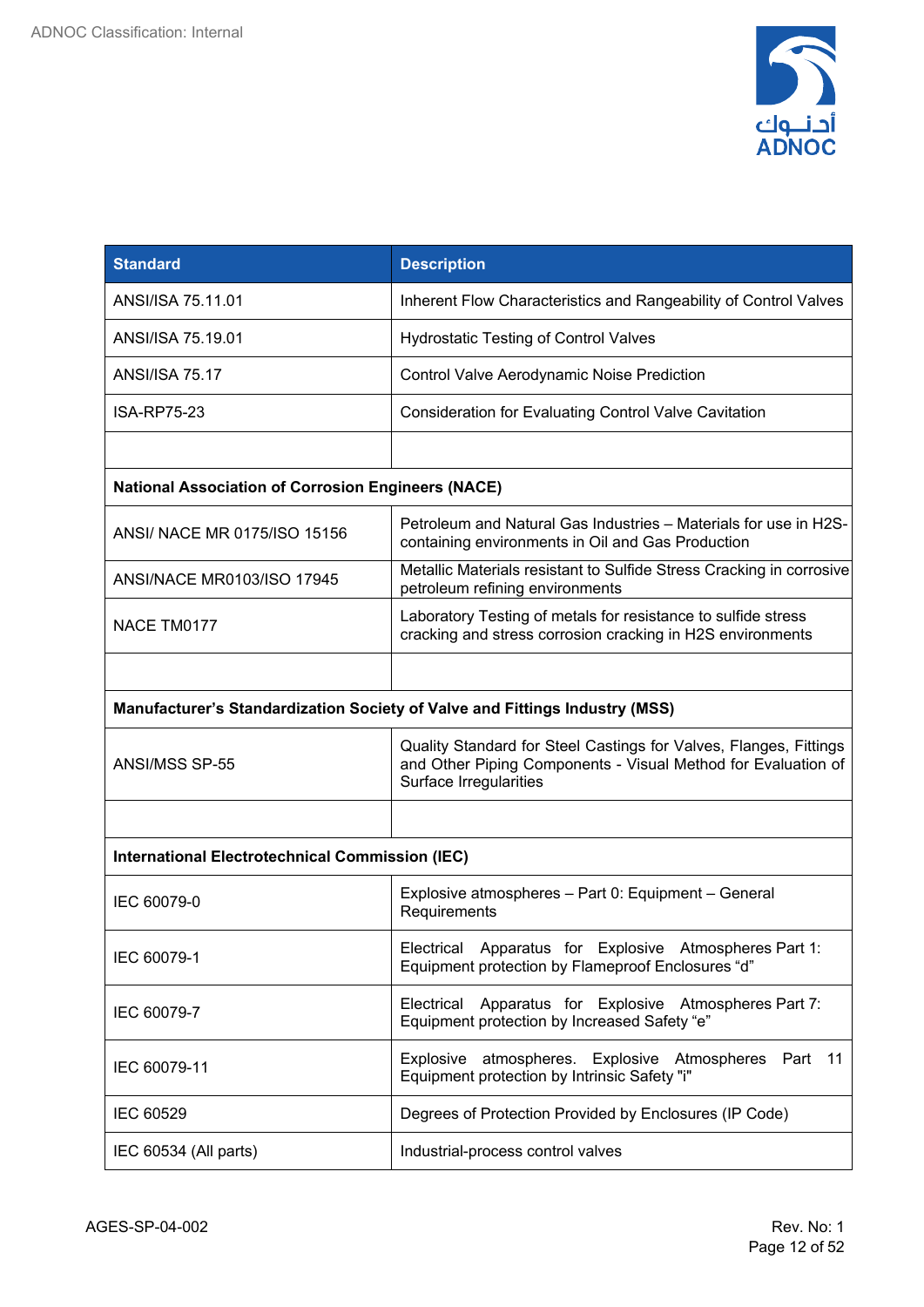

| <b>Standard</b>                                           | <b>Description</b>                                                                                                                                           |
|-----------------------------------------------------------|--------------------------------------------------------------------------------------------------------------------------------------------------------------|
| ANSI/ISA 75.11.01                                         | Inherent Flow Characteristics and Rangeability of Control Valves                                                                                             |
| ANSI/ISA 75.19.01                                         | <b>Hydrostatic Testing of Control Valves</b>                                                                                                                 |
| <b>ANSI/ISA 75.17</b>                                     | Control Valve Aerodynamic Noise Prediction                                                                                                                   |
| <b>ISA-RP75-23</b>                                        | <b>Consideration for Evaluating Control Valve Cavitation</b>                                                                                                 |
|                                                           |                                                                                                                                                              |
| <b>National Association of Corrosion Engineers (NACE)</b> |                                                                                                                                                              |
| ANSI/ NACE MR 0175/ISO 15156                              | Petroleum and Natural Gas Industries – Materials for use in H2S-<br>containing environments in Oil and Gas Production                                        |
| ANSI/NACE MR0103/ISO 17945                                | Metallic Materials resistant to Sulfide Stress Cracking in corrosive<br>petroleum refining environments                                                      |
| NACE TM0177                                               | Laboratory Testing of metals for resistance to sulfide stress<br>cracking and stress corrosion cracking in H2S environments                                  |
|                                                           |                                                                                                                                                              |
|                                                           | Manufacturer's Standardization Society of Valve and Fittings Industry (MSS)                                                                                  |
| <b>ANSI/MSS SP-55</b>                                     | Quality Standard for Steel Castings for Valves, Flanges, Fittings<br>and Other Piping Components - Visual Method for Evaluation of<br>Surface Irregularities |
|                                                           |                                                                                                                                                              |
| <b>International Electrotechnical Commission (IEC)</b>    |                                                                                                                                                              |
| IEC 60079-0                                               | Explosive atmospheres - Part 0: Equipment - General<br>Requirements                                                                                          |
| IEC 60079-1                                               | Electrical Apparatus for Explosive Atmospheres Part 1:<br>Equipment protection by Flameproof Enclosures "d"                                                  |
| IEC 60079-7                                               | Electrical Apparatus for Explosive Atmospheres Part 7:<br>Equipment protection by Increased Safety "e"                                                       |
| IEC 60079-11                                              | Explosive atmospheres. Explosive Atmospheres Part 11<br>Equipment protection by Intrinsic Safety "i"                                                         |
| IEC 60529                                                 | Degrees of Protection Provided by Enclosures (IP Code)                                                                                                       |
| IEC 60534 (All parts)                                     | Industrial-process control valves                                                                                                                            |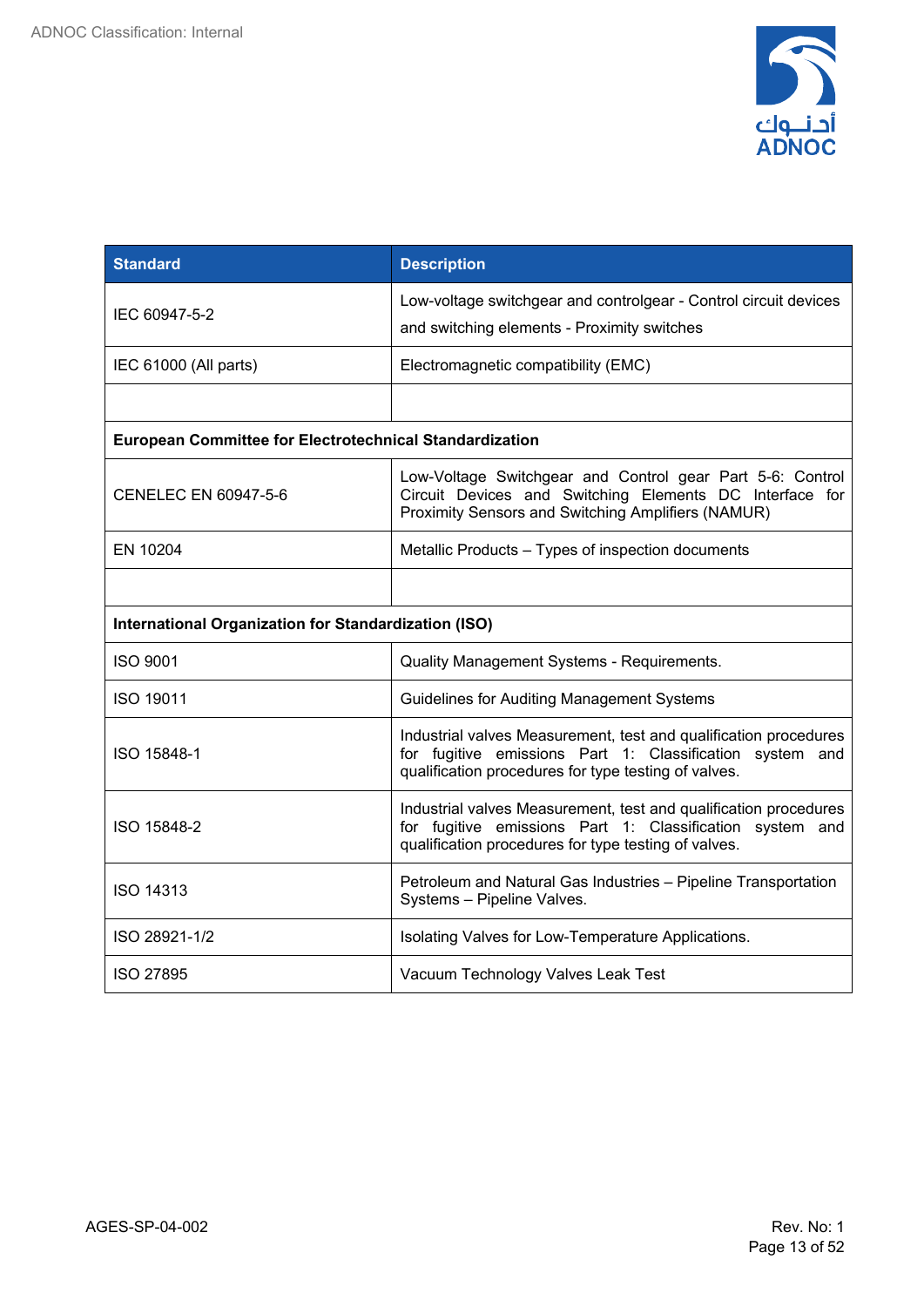

| <b>Standard</b>                                                | <b>Description</b>                                                                                                                                                                   |
|----------------------------------------------------------------|--------------------------------------------------------------------------------------------------------------------------------------------------------------------------------------|
| IEC 60947-5-2                                                  | Low-voltage switchgear and controlgear - Control circuit devices<br>and switching elements - Proximity switches                                                                      |
| IEC 61000 (All parts)                                          | Electromagnetic compatibility (EMC)                                                                                                                                                  |
|                                                                |                                                                                                                                                                                      |
| <b>European Committee for Electrotechnical Standardization</b> |                                                                                                                                                                                      |
| <b>CENELEC EN 60947-5-6</b>                                    | Low-Voltage Switchgear and Control gear Part 5-6: Control<br>Circuit Devices and Switching Elements DC Interface for<br>Proximity Sensors and Switching Amplifiers (NAMUR)           |
| EN 10204                                                       | Metallic Products - Types of inspection documents                                                                                                                                    |
|                                                                |                                                                                                                                                                                      |
| International Organization for Standardization (ISO)           |                                                                                                                                                                                      |
| <b>ISO 9001</b>                                                | Quality Management Systems - Requirements.                                                                                                                                           |
| ISO 19011                                                      | <b>Guidelines for Auditing Management Systems</b>                                                                                                                                    |
| ISO 15848-1                                                    | Industrial valves Measurement, test and qualification procedures<br>for fugitive emissions Part 1: Classification system and<br>qualification procedures for type testing of valves. |
| ISO 15848-2                                                    | Industrial valves Measurement, test and qualification procedures<br>for fugitive emissions Part 1: Classification system and<br>qualification procedures for type testing of valves. |
| <b>ISO 14313</b>                                               | Petroleum and Natural Gas Industries - Pipeline Transportation<br>Systems - Pipeline Valves.                                                                                         |
| ISO 28921-1/2                                                  | Isolating Valves for Low-Temperature Applications.                                                                                                                                   |
| <b>ISO 27895</b>                                               | Vacuum Technology Valves Leak Test                                                                                                                                                   |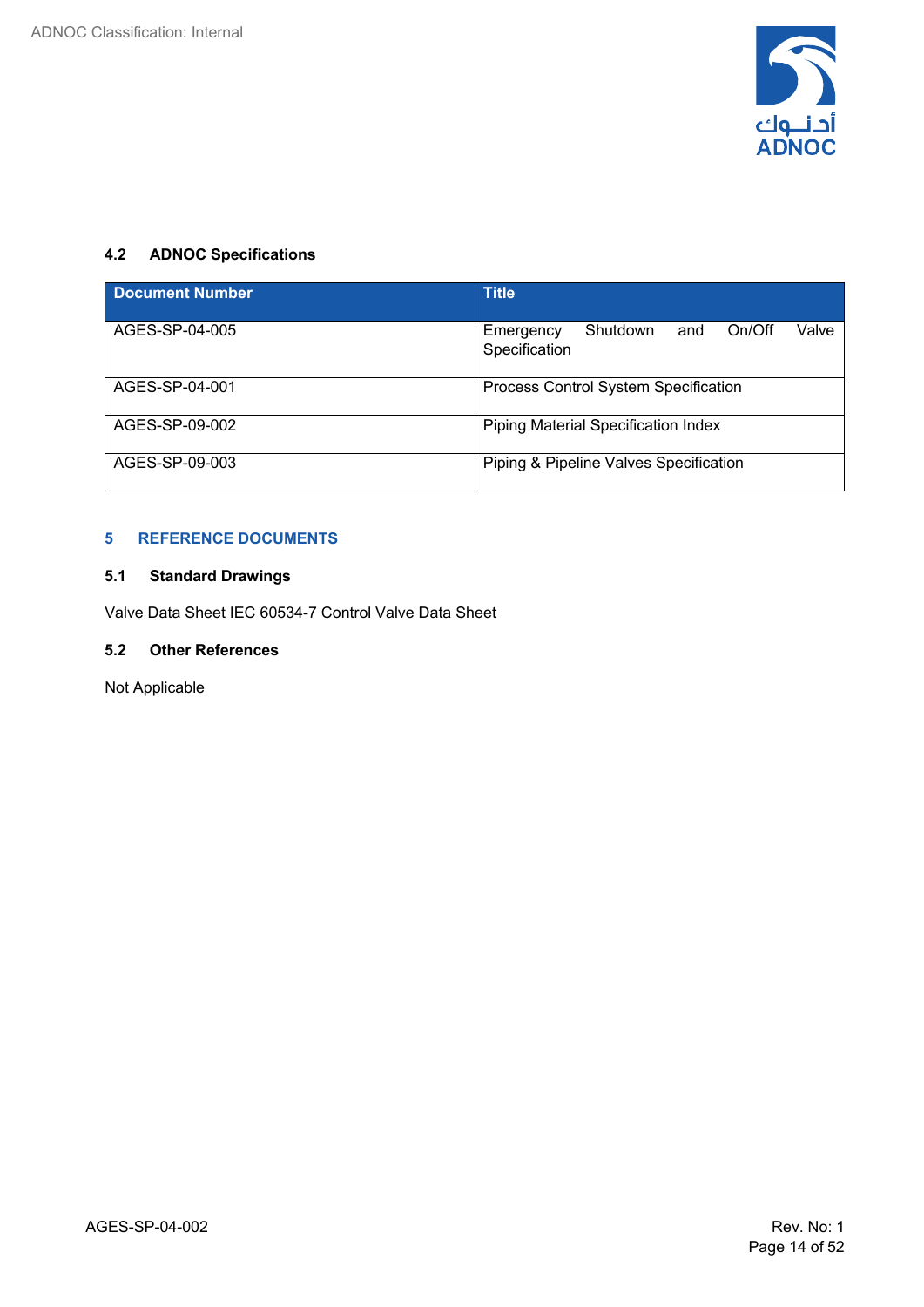

# <span id="page-14-0"></span>**4.2 ADNOC Specifications**

| <b>Document Number</b> | <b>Title</b>                                                     |
|------------------------|------------------------------------------------------------------|
| AGES-SP-04-005         | Shutdown<br>Valve<br>On/Off<br>and<br>Emergency<br>Specification |
| AGES-SP-04-001         | Process Control System Specification                             |
| AGES-SP-09-002         | Piping Material Specification Index                              |
| AGES-SP-09-003         | Piping & Pipeline Valves Specification                           |

# <span id="page-14-1"></span>**5 REFERENCE DOCUMENTS**

# <span id="page-14-2"></span>**5.1 Standard Drawings**

Valve Data Sheet IEC 60534-7 Control Valve Data Sheet

# <span id="page-14-3"></span>**5.2 Other References**

Not Applicable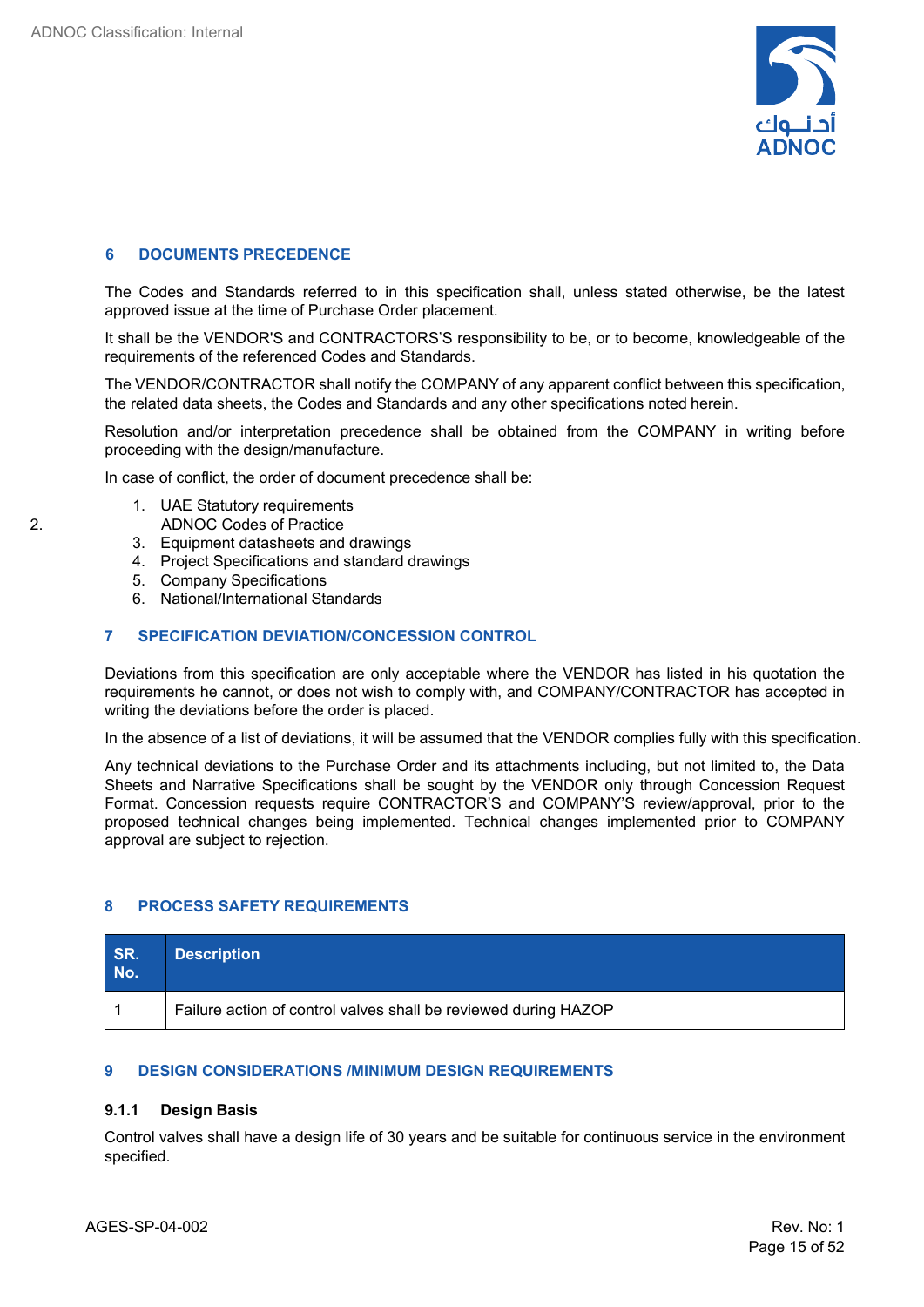

# <span id="page-15-0"></span>**6 DOCUMENTS PRECEDENCE**

The Codes and Standards referred to in this specification shall, unless stated otherwise, be the latest approved issue at the time of Purchase Order placement.

It shall be the VENDOR'S and CONTRACTORS'S responsibility to be, or to become, knowledgeable of the requirements of the referenced Codes and Standards.

The VENDOR/CONTRACTOR shall notify the COMPANY of any apparent conflict between this specification, the related data sheets, the Codes and Standards and any other specifications noted herein.

Resolution and/or interpretation precedence shall be obtained from the COMPANY in writing before proceeding with the design/manufacture.

In case of conflict, the order of document precedence shall be:

- 1. UAE Statutory requirements 2. ADNOC Codes of Practice
	- 3. Equipment datasheets and drawings
	- 4. Project Specifications and standard drawings
	- 5. Company Specifications
	- 6. National/International Standards

# <span id="page-15-1"></span>**7 SPECIFICATION DEVIATION/CONCESSION CONTROL**

Deviations from this specification are only acceptable where the VENDOR has listed in his quotation the requirements he cannot, or does not wish to comply with, and COMPANY/CONTRACTOR has accepted in writing the deviations before the order is placed.

In the absence of a list of deviations, it will be assumed that the VENDOR complies fully with this specification.

Any technical deviations to the Purchase Order and its attachments including, but not limited to, the Data Sheets and Narrative Specifications shall be sought by the VENDOR only through Concession Request Format. Concession requests require CONTRACTOR'S and COMPANY'S review/approval, prior to the proposed technical changes being implemented. Technical changes implemented prior to COMPANY approval are subject to rejection.

# <span id="page-15-2"></span>**8 PROCESS SAFETY REQUIREMENTS**

| SR.<br>No. | <b>Description</b>                                              |
|------------|-----------------------------------------------------------------|
|            | Failure action of control valves shall be reviewed during HAZOP |

# <span id="page-15-3"></span>**9 DESIGN CONSIDERATIONS /MINIMUM DESIGN REQUIREMENTS**

# **9.1.1 Design Basis**

Control valves shall have a design life of 30 years and be suitable for continuous service in the environment specified.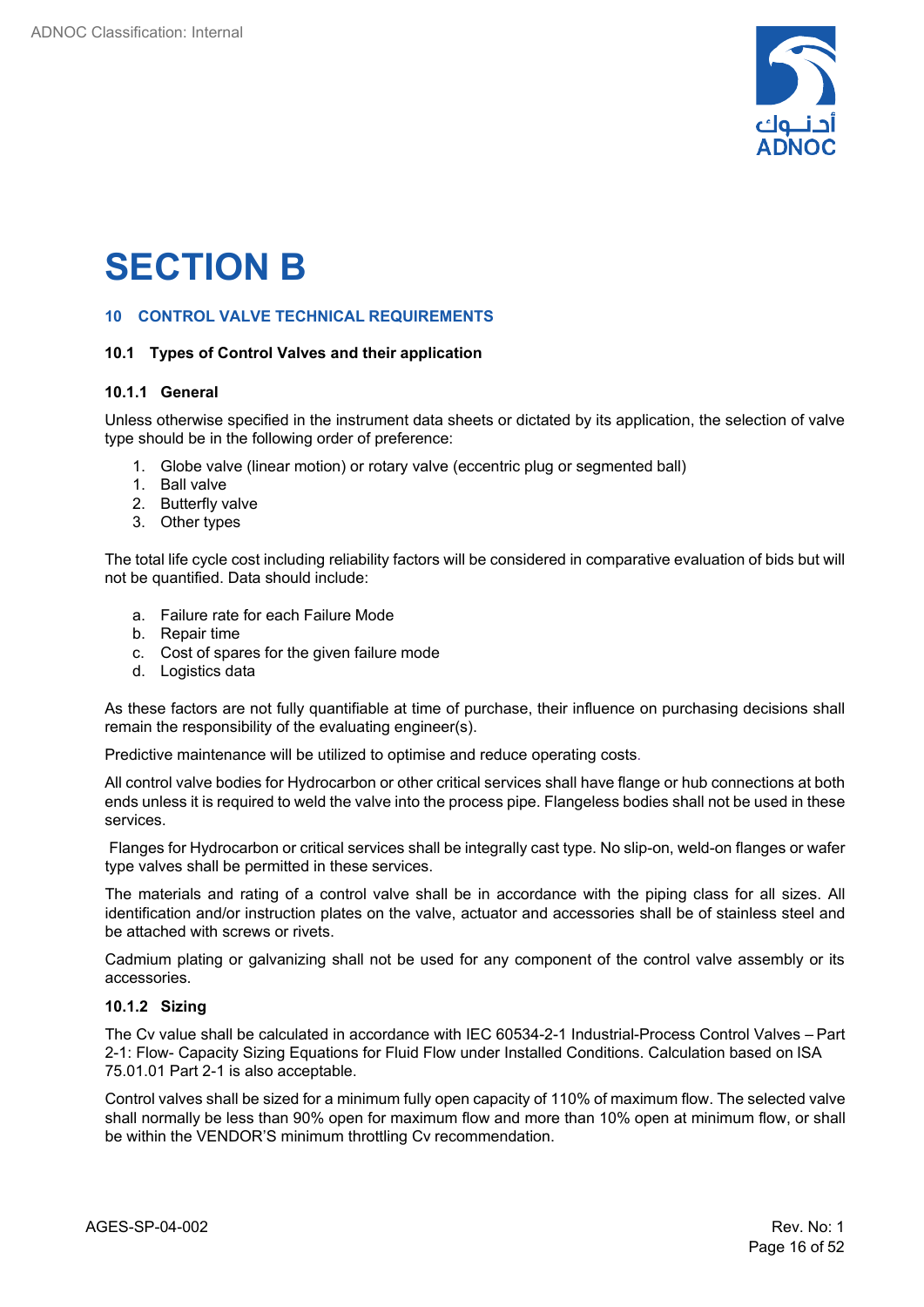

# <span id="page-16-0"></span>**SECTION B**

# <span id="page-16-1"></span>**10 CONTROL VALVE TECHNICAL REQUIREMENTS**

# <span id="page-16-2"></span>**10.1 Types of Control Valves and their application**

#### **10.1.1 General**

Unless otherwise specified in the instrument data sheets or dictated by its application, the selection of valve type should be in the following order of preference:

- 1. Globe valve (linear motion) or rotary valve (eccentric plug or segmented ball)
- 1. Ball valve
- 2. Butterfly valve
- 3. Other types

The total life cycle cost including reliability factors will be considered in comparative evaluation of bids but will not be quantified. Data should include:

- a. Failure rate for each Failure Mode
- b. Repair time
- c. Cost of spares for the given failure mode
- d. Logistics data

As these factors are not fully quantifiable at time of purchase, their influence on purchasing decisions shall remain the responsibility of the evaluating engineer(s).

Predictive maintenance will be utilized to optimise and reduce operating costs.

All control valve bodies for Hydrocarbon or other critical services shall have flange or hub connections at both ends unless it is required to weld the valve into the process pipe. Flangeless bodies shall not be used in these services.

Flanges for Hydrocarbon or critical services shall be integrally cast type. No slip-on, weld-on flanges or wafer type valves shall be permitted in these services.

The materials and rating of a control valve shall be in accordance with the piping class for all sizes. All identification and/or instruction plates on the valve, actuator and accessories shall be of stainless steel and be attached with screws or rivets.

Cadmium plating or galvanizing shall not be used for any component of the control valve assembly or its accessories.

#### **10.1.2 Sizing**

The Cv value shall be calculated in accordance with IEC 60534-2-1 Industrial-Process Control Valves – Part 2-1: Flow- Capacity Sizing Equations for Fluid Flow under Installed Conditions. Calculation based on ISA 75.01.01 Part 2-1 is also acceptable.

Control valves shall be sized for a minimum fully open capacity of 110% of maximum flow. The selected valve shall normally be less than 90% open for maximum flow and more than 10% open at minimum flow, or shall be within the VENDOR'S minimum throttling Cv recommendation.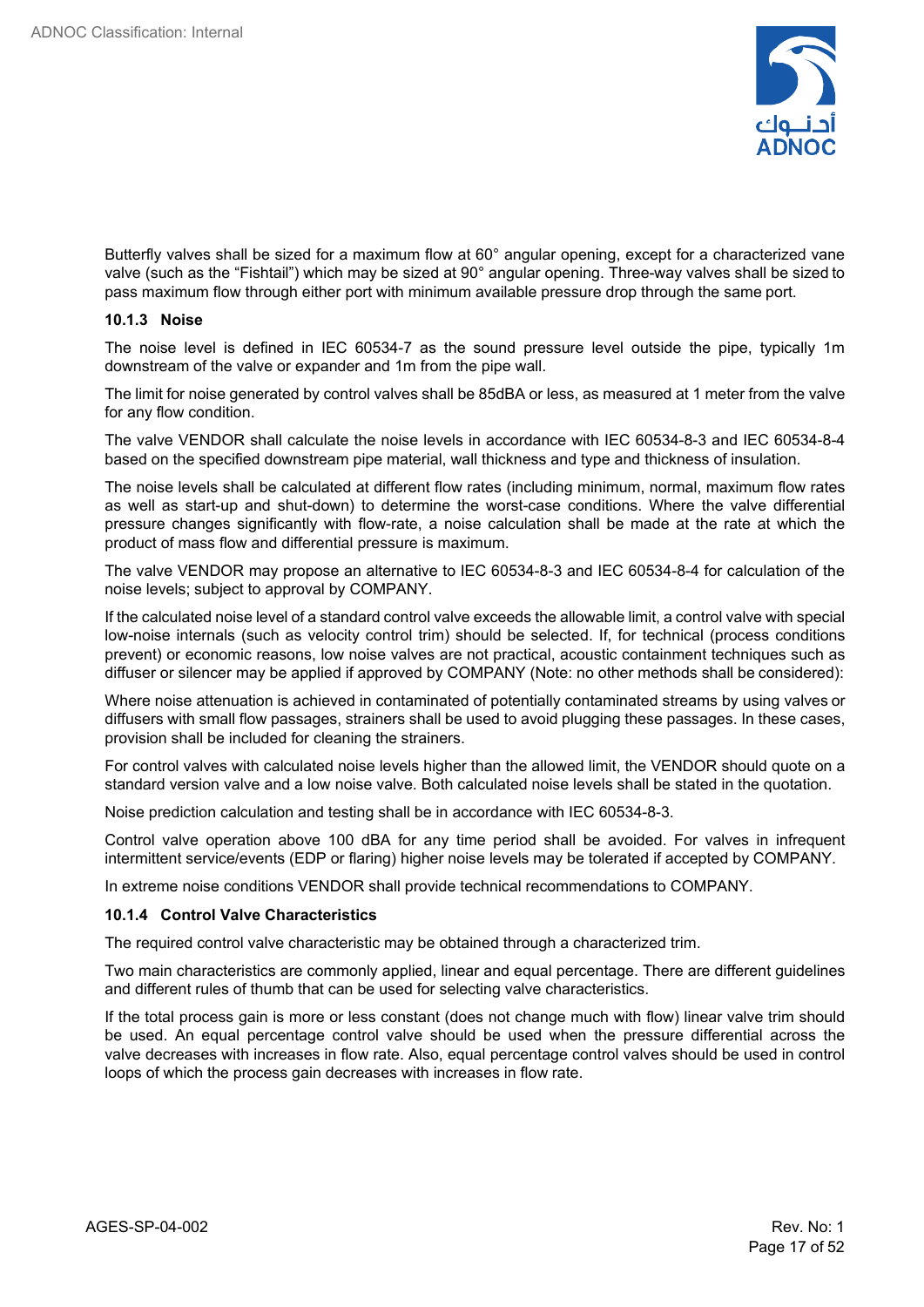

Butterfly valves shall be sized for a maximum flow at 60° angular opening, except for a characterized vane valve (such as the "Fishtail") which may be sized at 90° angular opening. Three-way valves shall be sized to pass maximum flow through either port with minimum available pressure drop through the same port.

#### **10.1.3 Noise**

The noise level is defined in IEC 60534-7 as the sound pressure level outside the pipe, typically 1m downstream of the valve or expander and 1m from the pipe wall.

The limit for noise generated by control valves shall be 85dBA or less, as measured at 1 meter from the valve for any flow condition.

The valve VENDOR shall calculate the noise levels in accordance with IEC 60534-8-3 and IEC 60534-8-4 based on the specified downstream pipe material, wall thickness and type and thickness of insulation.

The noise levels shall be calculated at different flow rates (including minimum, normal, maximum flow rates as well as start-up and shut-down) to determine the worst-case conditions. Where the valve differential pressure changes significantly with flow-rate, a noise calculation shall be made at the rate at which the product of mass flow and differential pressure is maximum.

The valve VENDOR may propose an alternative to IEC 60534-8-3 and IEC 60534-8-4 for calculation of the noise levels; subject to approval by COMPANY.

If the calculated noise level of a standard control valve exceeds the allowable limit, a control valve with special low-noise internals (such as velocity control trim) should be selected. If, for technical (process conditions prevent) or economic reasons, low noise valves are not practical, acoustic containment techniques such as diffuser or silencer may be applied if approved by COMPANY (Note: no other methods shall be considered):

Where noise attenuation is achieved in contaminated of potentially contaminated streams by using valves or diffusers with small flow passages, strainers shall be used to avoid plugging these passages. In these cases, provision shall be included for cleaning the strainers.

For control valves with calculated noise levels higher than the allowed limit, the VENDOR should quote on a standard version valve and a low noise valve. Both calculated noise levels shall be stated in the quotation.

Noise prediction calculation and testing shall be in accordance with IEC 60534-8-3.

Control valve operation above 100 dBA for any time period shall be avoided. For valves in infrequent intermittent service/events (EDP or flaring) higher noise levels may be tolerated if accepted by COMPANY.

In extreme noise conditions VENDOR shall provide technical recommendations to COMPANY.

#### **10.1.4 Control Valve Characteristics**

The required control valve characteristic may be obtained through a characterized trim.

Two main characteristics are commonly applied, linear and equal percentage. There are different guidelines and different rules of thumb that can be used for selecting valve characteristics.

If the total process gain is more or less constant (does not change much with flow) linear valve trim should be used. An equal percentage control valve should be used when the pressure differential across the valve decreases with increases in flow rate. Also, equal percentage control valves should be used in control loops of which the process gain decreases with increases in flow rate.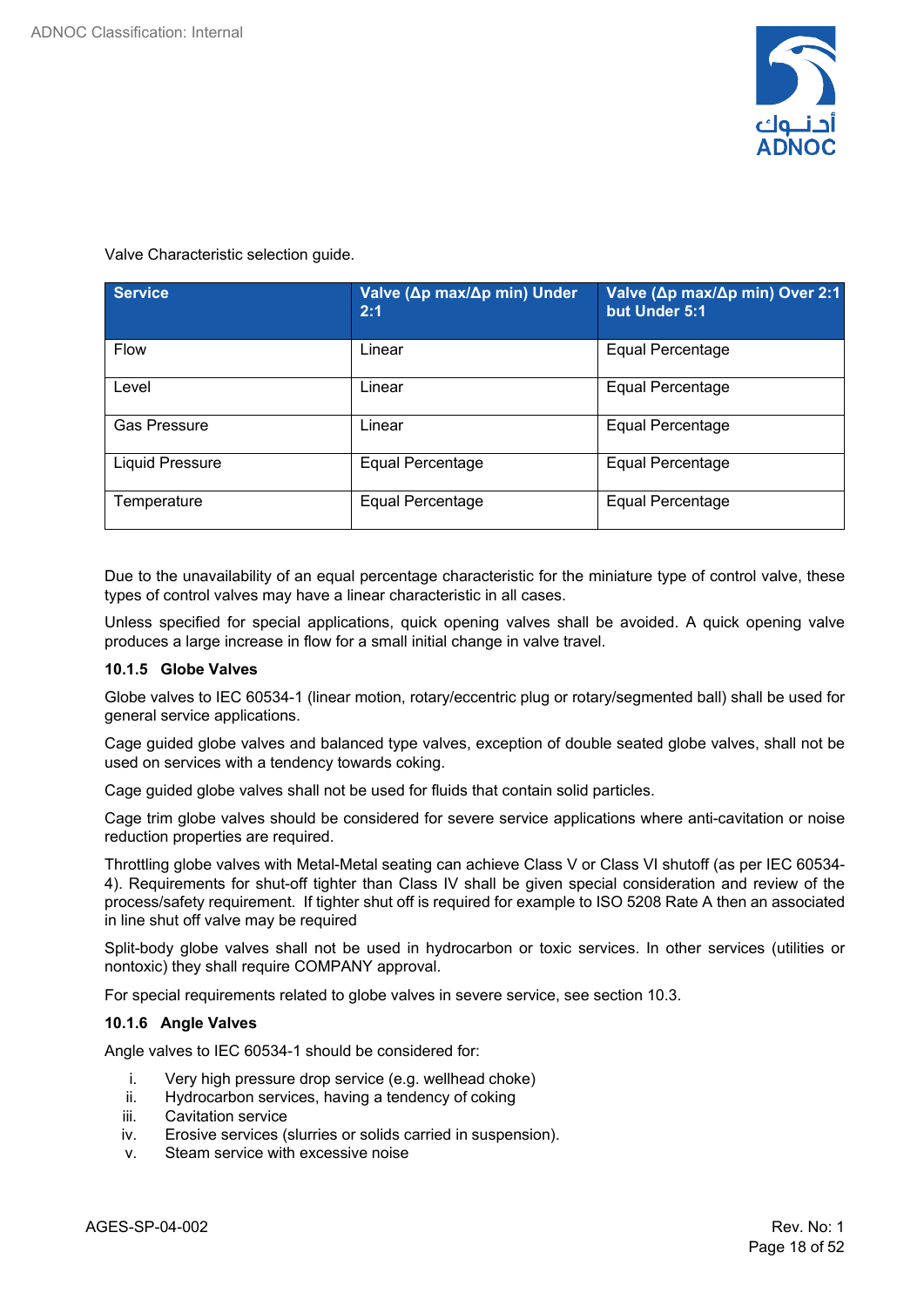

Valve Characteristic selection guide.

| <b>Service</b>         | Valve (Δp max/Δp min) Under<br>2:1 | Valve (Δp max/Δp min) Over 2:1<br>but Under 5:1 |
|------------------------|------------------------------------|-------------------------------------------------|
| <b>Flow</b>            | Linear                             | Equal Percentage                                |
| Level                  | Linear                             | Equal Percentage                                |
| <b>Gas Pressure</b>    | Linear                             | Equal Percentage                                |
| <b>Liquid Pressure</b> | Equal Percentage                   | Equal Percentage                                |
| Temperature            | Equal Percentage                   | Equal Percentage                                |

Due to the unavailability of an equal percentage characteristic for the miniature type of control valve, these types of control valves may have a linear characteristic in all cases.

Unless specified for special applications, quick opening valves shall be avoided. A quick opening valve produces a large increase in flow for a small initial change in valve travel.

# <span id="page-18-0"></span>**10.1.5 Globe Valves**

Globe valves to IEC 60534-1 (linear motion, rotary/eccentric plug or rotary/segmented ball) shall be used for general service applications.

Cage guided globe valves and balanced type valves, exception of double seated globe valves, shall not be used on services with a tendency towards coking.

Cage guided globe valves shall not be used for fluids that contain solid particles.

Cage trim globe valves should be considered for severe service applications where anti-cavitation or noise reduction properties are required.

Throttling globe valves with Metal-Metal seating can achieve Class V or Class VI shutoff (as per IEC 60534- 4). Requirements for shut-off tighter than Class IV shall be given special consideration and review of the process/safety requirement. If tighter shut off is required for example to ISO 5208 Rate A then an associated in line shut off valve may be required

Split-body globe valves shall not be used in hydrocarbon or toxic services. In other services (utilities or nontoxic) they shall require COMPANY approval.

For special requirements related to globe valves in severe service, see section [10.3.](#page-21-0)

# **10.1.6 Angle Valves**

Angle valves to IEC 60534-1 should be considered for:

- i. Very high pressure drop service (e.g. wellhead choke)
- ii. Hydrocarbon services, having a tendency of coking
- iii. Cavitation service
- iv. Erosive services (slurries or solids carried in suspension).
- v. Steam service with excessive noise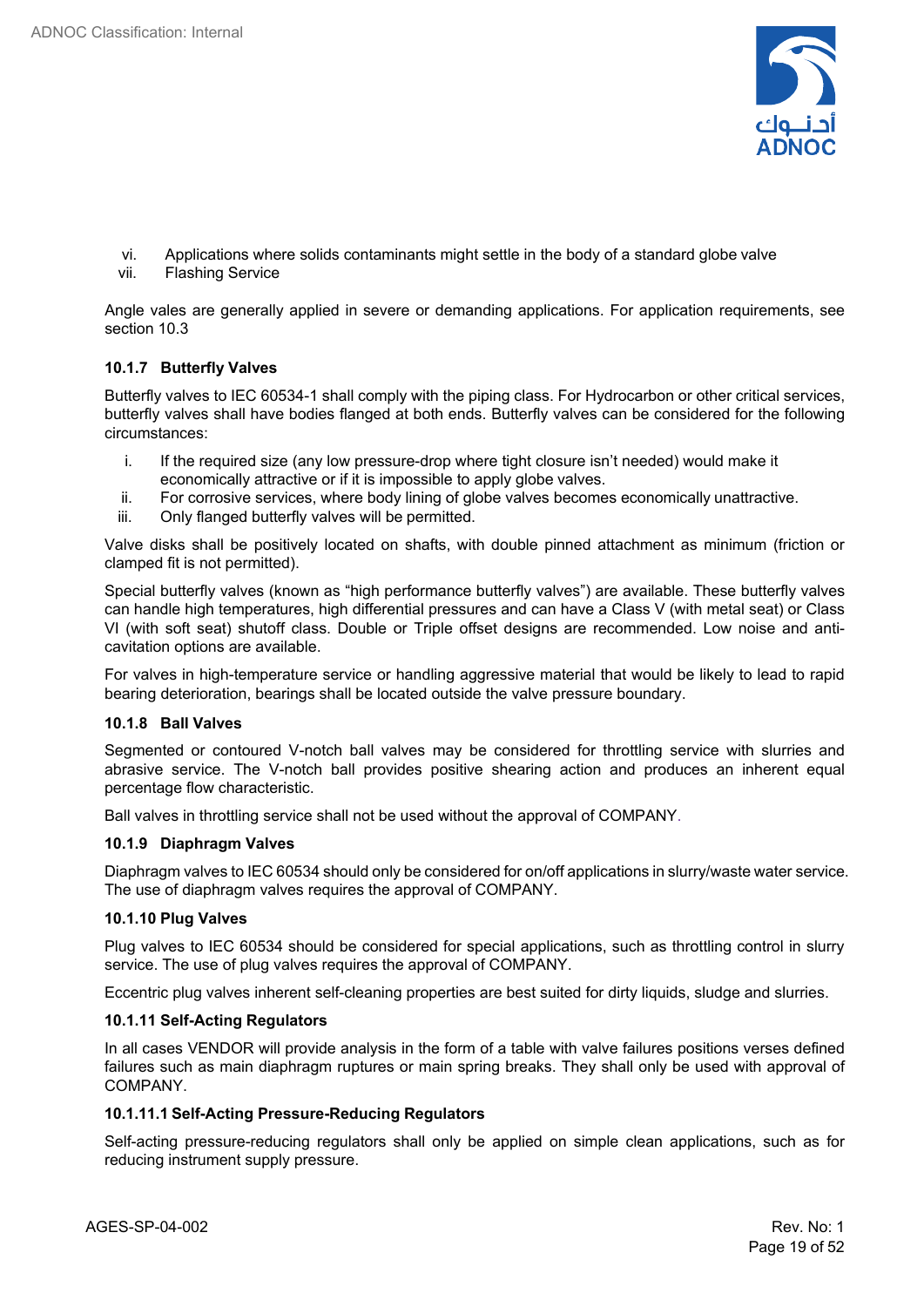

- vi. Applications where solids contaminants might settle in the body of a standard globe valve
- vii. Flashing Service

Angle vales are generally applied in severe or demanding applications. For application requirements, see section [10.3](#page-21-0)

# **10.1.7 Butterfly Valves**

Butterfly valves to IEC 60534-1 shall comply with the piping class. For Hydrocarbon or other critical services, butterfly valves shall have bodies flanged at both ends. Butterfly valves can be considered for the following circumstances:

- i. If the required size (any low pressure-drop where tight closure isn't needed) would make it economically attractive or if it is impossible to apply globe valves.
- ii. For corrosive services, where body lining of globe valves becomes economically unattractive.
- iii. Only flanged butterfly valves will be permitted.

Valve disks shall be positively located on shafts, with double pinned attachment as minimum (friction or clamped fit is not permitted).

Special butterfly valves (known as "high performance butterfly valves") are available. These butterfly valves can handle high temperatures, high differential pressures and can have a Class V (with metal seat) or Class VI (with soft seat) shutoff class. Double or Triple offset designs are recommended. Low noise and anticavitation options are available.

For valves in high-temperature service or handling aggressive material that would be likely to lead to rapid bearing deterioration, bearings shall be located outside the valve pressure boundary.

# **10.1.8 Ball Valves**

Segmented or contoured V-notch ball valves may be considered for throttling service with slurries and abrasive service. The V-notch ball provides positive shearing action and produces an inherent equal percentage flow characteristic.

Ball valves in throttling service shall not be used without the approval of COMPANY.

# **10.1.9 Diaphragm Valves**

Diaphragm valves to IEC 60534 should only be considered for on/off applications in slurry/waste water service. The use of diaphragm valves requires the approval of COMPANY.

# **10.1.10 Plug Valves**

Plug valves to IEC 60534 should be considered for special applications, such as throttling control in slurry service. The use of plug valves requires the approval of COMPANY.

Eccentric plug valves inherent self-cleaning properties are best suited for dirty liquids, sludge and slurries.

# **10.1.11 Self-Acting Regulators**

In all cases VENDOR will provide analysis in the form of a table with valve failures positions verses defined failures such as main diaphragm ruptures or main spring breaks. They shall only be used with approval of COMPANY.

# **10.1.11.1 Self-Acting Pressure-Reducing Regulators**

Self-acting pressure-reducing regulators shall only be applied on simple clean applications, such as for reducing instrument supply pressure.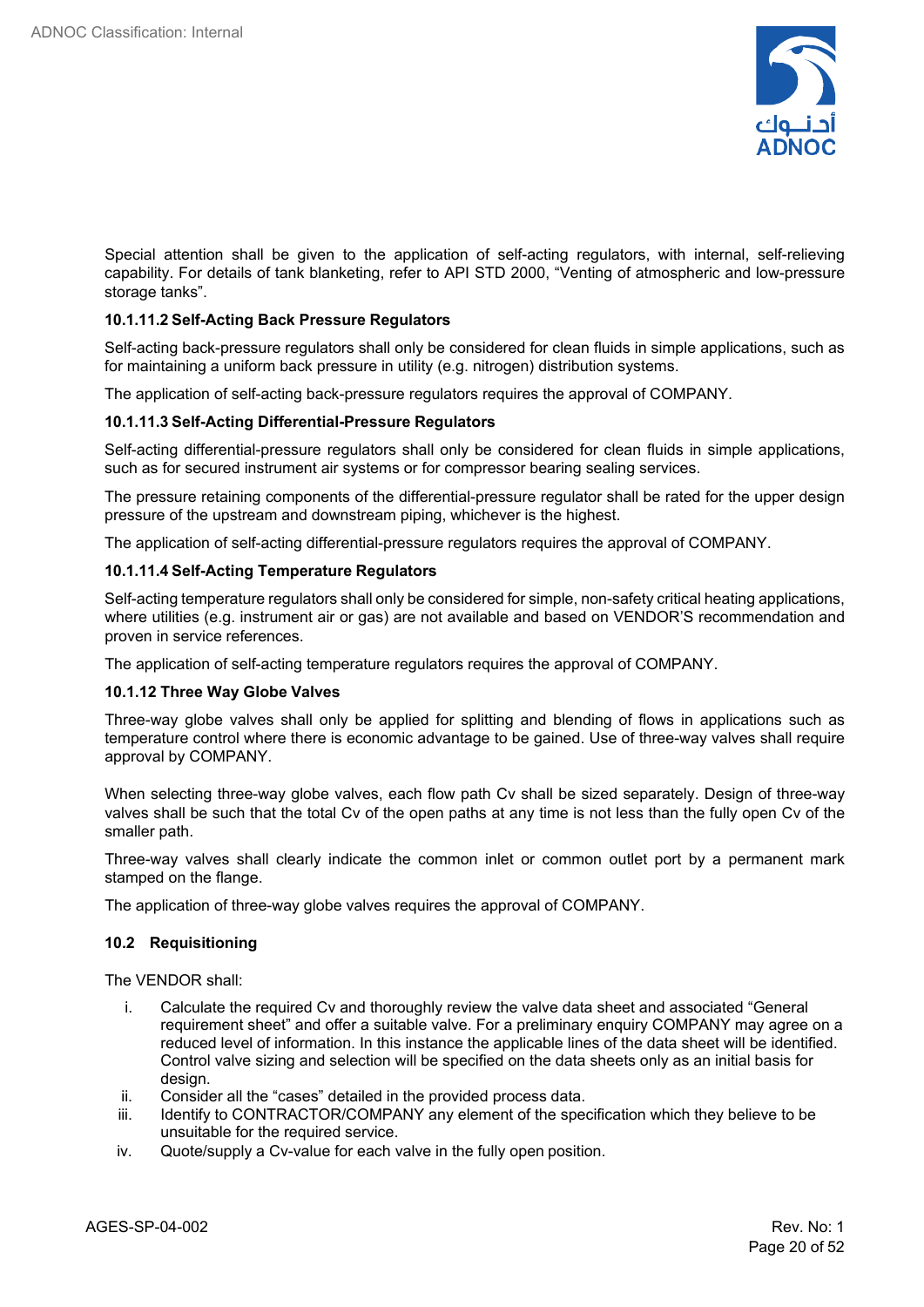

Special attention shall be given to the application of self-acting regulators, with internal, self-relieving capability. For details of tank blanketing, refer to API STD 2000, "Venting of atmospheric and low-pressure storage tanks".

# **10.1.11.2 Self-Acting Back Pressure Regulators**

Self-acting back-pressure regulators shall only be considered for clean fluids in simple applications, such as for maintaining a uniform back pressure in utility (e.g. nitrogen) distribution systems.

The application of self-acting back-pressure regulators requires the approval of COMPANY.

# **10.1.11.3 Self-Acting Differential-Pressure Regulators**

Self-acting differential-pressure regulators shall only be considered for clean fluids in simple applications, such as for secured instrument air systems or for compressor bearing sealing services.

The pressure retaining components of the differential-pressure regulator shall be rated for the upper design pressure of the upstream and downstream piping, whichever is the highest.

The application of self-acting differential-pressure regulators requires the approval of COMPANY.

#### **10.1.11.4 Self-Acting Temperature Regulators**

Self-acting temperature regulators shall only be considered for simple, non-safety critical heating applications, where utilities (e.g. instrument air or gas) are not available and based on VENDOR'S recommendation and proven in service references.

The application of self-acting temperature regulators requires the approval of COMPANY.

# **10.1.12 Three Way Globe Valves**

Three-way globe valves shall only be applied for splitting and blending of flows in applications such as temperature control where there is economic advantage to be gained. Use of three-way valves shall require approval by COMPANY.

When selecting three-way globe valves, each flow path Cv shall be sized separately. Design of three-way valves shall be such that the total Cv of the open paths at any time is not less than the fully open Cv of the smaller path.

Three-way valves shall clearly indicate the common inlet or common outlet port by a permanent mark stamped on the flange.

The application of three-way globe valves requires the approval of COMPANY.

# <span id="page-20-0"></span>**10.2 Requisitioning**

The VENDOR shall:

- i. Calculate the required Cv and thoroughly review the valve data sheet and associated "General requirement sheet" and offer a suitable valve. For a preliminary enquiry COMPANY may agree on a reduced level of information. In this instance the applicable lines of the data sheet will be identified. Control valve sizing and selection will be specified on the data sheets only as an initial basis for design.
- ii. Consider all the "cases" detailed in the provided process data.
- iii. Identify to CONTRACTOR/COMPANY any element of the specification which they believe to be unsuitable for the required service.
- iv. Quote/supply a Cv-value for each valve in the fully open position.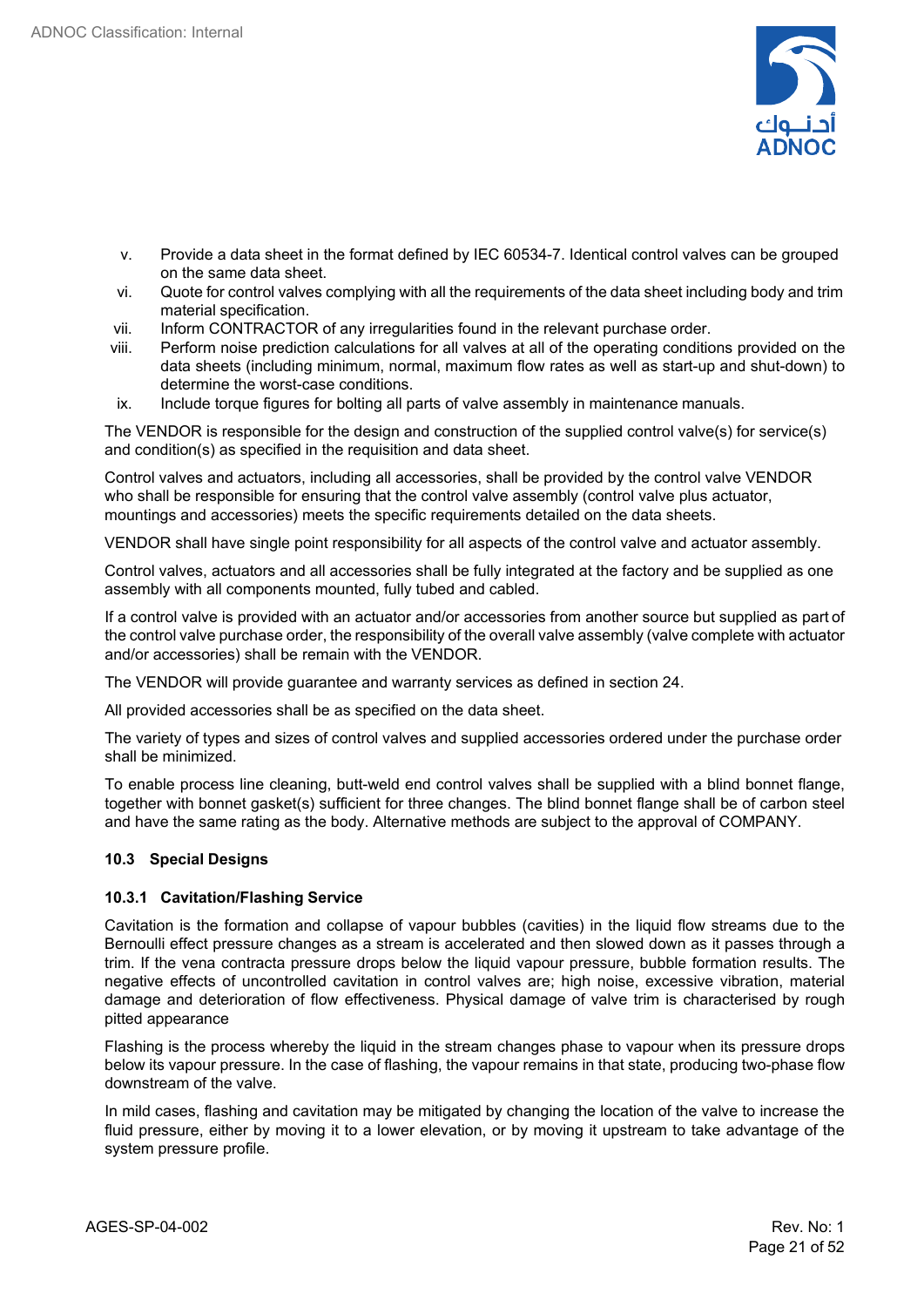

- v. Provide a data sheet in the format defined by IEC 60534-7. Identical control valves can be grouped on the same data sheet.
- vi. Quote for control valves complying with all the requirements of the data sheet including body and trim material specification.
- vii. Inform CONTRACTOR of any irregularities found in the relevant purchase order.
- viii. Perform noise prediction calculations for all valves at all of the operating conditions provided on the data sheets (including minimum, normal, maximum flow rates as well as start-up and shut-down) to determine the worst-case conditions.
- ix. Include torque figures for bolting all parts of valve assembly in maintenance manuals.

The VENDOR is responsible for the design and construction of the supplied control valve(s) for service(s) and condition(s) as specified in the requisition and data sheet.

Control valves and actuators, including all accessories, shall be provided by the control valve VENDOR who shall be responsible for ensuring that the control valve assembly (control valve plus actuator, mountings and accessories) meets the specific requirements detailed on the data sheets.

VENDOR shall have single point responsibility for all aspects of the control valve and actuator assembly.

Control valves, actuators and all accessories shall be fully integrated at the factory and be supplied as one assembly with all components mounted, fully tubed and cabled.

If a control valve is provided with an actuator and/or accessories from another source but supplied as part of the control valve purchase order, the responsibility of the overall valve assembly (valve complete with actuator and/or accessories) shall be remain with the VENDOR.

The VENDOR will provide guarantee and warranty services as defined in section [24.](#page-50-0)

All provided accessories shall be as specified on the data sheet.

The variety of types and sizes of control valves and supplied accessories ordered under the purchase order shall be minimized.

To enable process line cleaning, butt-weld end control valves shall be supplied with a blind bonnet flange, together with bonnet gasket(s) sufficient for three changes. The blind bonnet flange shall be of carbon steel and have the same rating as the body. Alternative methods are subject to the approval of COMPANY.

# <span id="page-21-0"></span>**10.3 Special Designs**

# **10.3.1 Cavitation/Flashing Service**

Cavitation is the formation and collapse of vapour bubbles (cavities) in the liquid flow streams due to the Bernoulli effect pressure changes as a stream is accelerated and then slowed down as it passes through a trim. If the vena contracta pressure drops below the liquid vapour pressure, bubble formation results. The negative effects of uncontrolled cavitation in control valves are; high noise, excessive vibration, material damage and deterioration of flow effectiveness. Physical damage of valve trim is characterised by rough pitted appearance

Flashing is the process whereby the liquid in the stream changes phase to vapour when its pressure drops below its vapour pressure. In the case of flashing, the vapour remains in that state, producing two-phase flow downstream of the valve.

In mild cases, flashing and cavitation may be mitigated by changing the location of the valve to increase the fluid pressure, either by moving it to a lower elevation, or by moving it upstream to take advantage of the system pressure profile.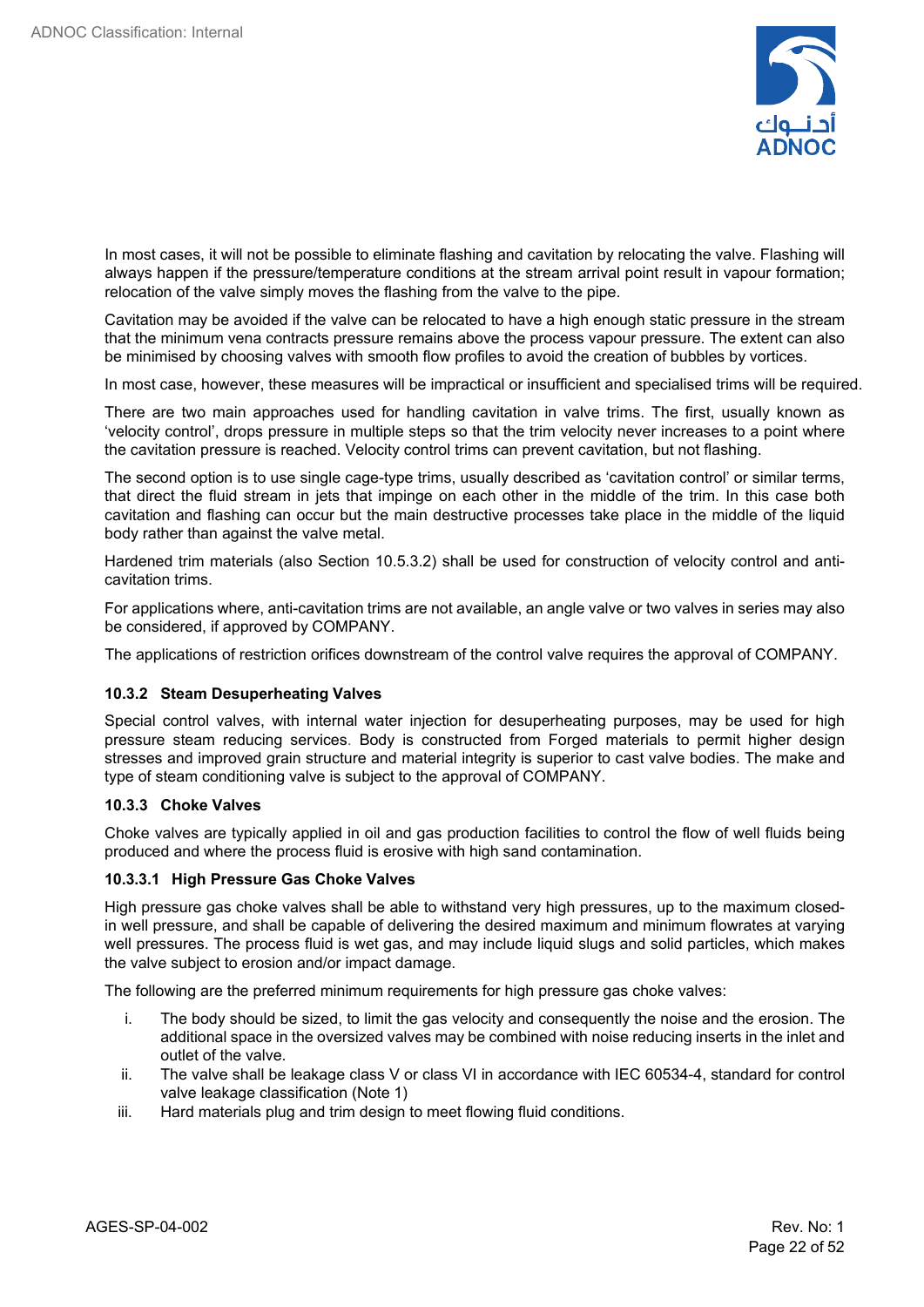

In most cases, it will not be possible to eliminate flashing and cavitation by relocating the valve. Flashing will always happen if the pressure/temperature conditions at the stream arrival point result in vapour formation; relocation of the valve simply moves the flashing from the valve to the pipe.

Cavitation may be avoided if the valve can be relocated to have a high enough static pressure in the stream that the minimum vena contracts pressure remains above the process vapour pressure. The extent can also be minimised by choosing valves with smooth flow profiles to avoid the creation of bubbles by vortices.

In most case, however, these measures will be impractical or insufficient and specialised trims will be required.

There are two main approaches used for handling cavitation in valve trims. The first, usually known as 'velocity control', drops pressure in multiple steps so that the trim velocity never increases to a point where the cavitation pressure is reached. Velocity control trims can prevent cavitation, but not flashing.

The second option is to use single cage-type trims, usually described as 'cavitation control' or similar terms, that direct the fluid stream in jets that impinge on each other in the middle of the trim. In this case both cavitation and flashing can occur but the main destructive processes take place in the middle of the liquid body rather than against the valve metal.

Hardened trim materials (also Section [10.5.3.2\)](#page-28-1) shall be used for construction of velocity control and anticavitation trims.

For applications where, anti-cavitation trims are not available, an angle valve or two valves in series may also be considered, if approved by COMPANY.

The applications of restriction orifices downstream of the control valve requires the approval of COMPANY.

# **10.3.2 Steam Desuperheating Valves**

Special control valves, with internal water injection for desuperheating purposes, may be used for high pressure steam reducing services. Body is constructed from Forged materials to permit higher design stresses and improved grain structure and material integrity is superior to cast valve bodies. The make and type of steam conditioning valve is subject to the approval of COMPANY.

#### **10.3.3 Choke Valves**

Choke valves are typically applied in oil and gas production facilities to control the flow of well fluids being produced and where the process fluid is erosive with high sand contamination.

# **10.3.3.1 High Pressure Gas Choke Valves**

High pressure gas choke valves shall be able to withstand very high pressures, up to the maximum closedin well pressure, and shall be capable of delivering the desired maximum and minimum flowrates at varying well pressures. The process fluid is wet gas, and may include liquid slugs and solid particles, which makes the valve subject to erosion and/or impact damage.

The following are the preferred minimum requirements for high pressure gas choke valves:

- i. The body should be sized, to limit the gas velocity and consequently the noise and the erosion. The additional space in the oversized valves may be combined with noise reducing inserts in the inlet and outlet of the valve.
- ii. The valve shall be leakage class V or class VI in accordance with IEC 60534-4, standard for control valve leakage classification (Note 1)
- iii. Hard materials plug and trim design to meet flowing fluid conditions.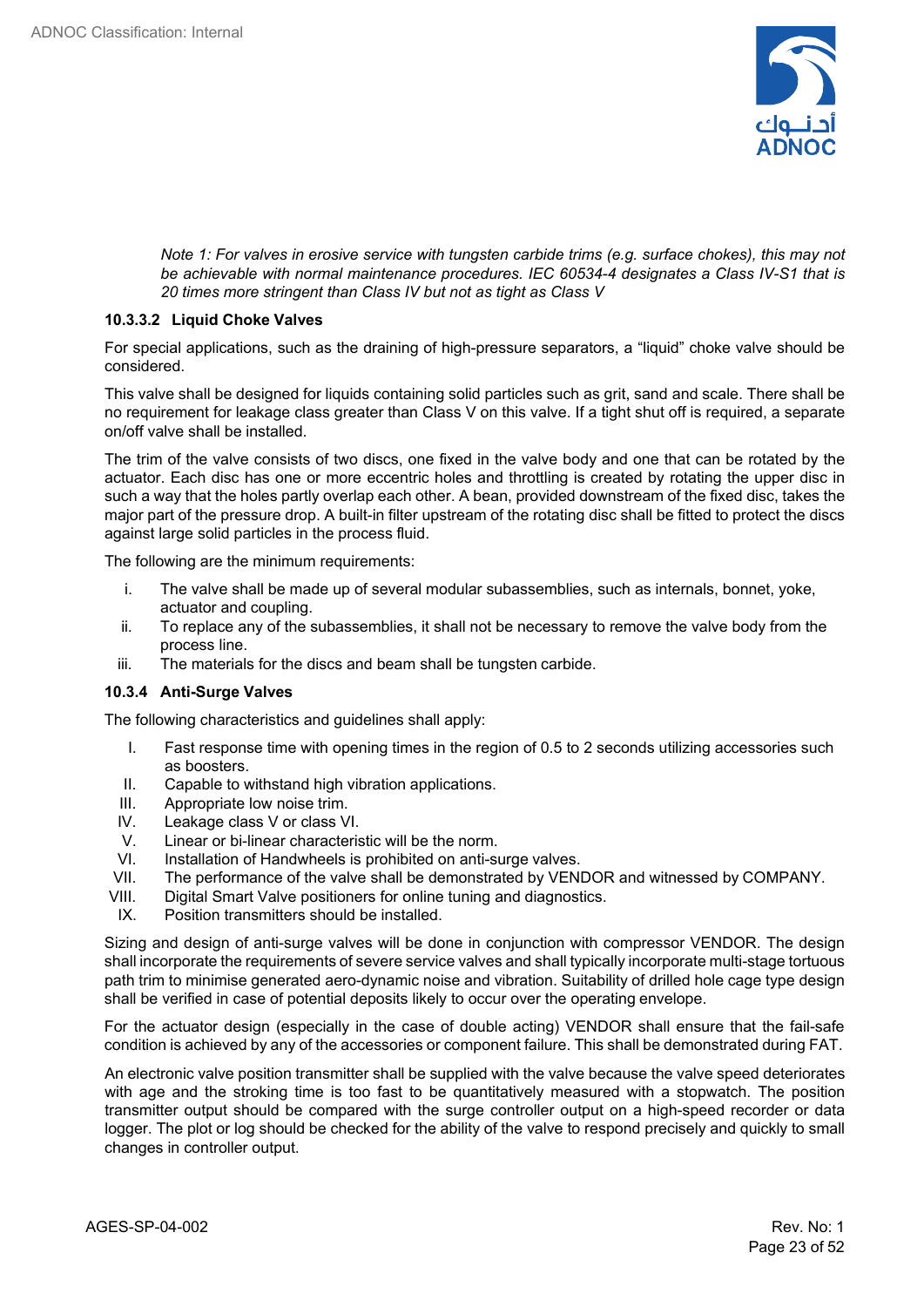

*Note 1: For valves in erosive service with tungsten carbide trims (e.g. surface chokes), this may not be achievable with normal maintenance procedures. IEC 60534-4 designates a Class IV-S1 that is 20 times more stringent than Class IV but not as tight as Class V*

# **10.3.3.2 Liquid Choke Valves**

For special applications, such as the draining of high-pressure separators, a "liquid" choke valve should be considered.

This valve shall be designed for liquids containing solid particles such as grit, sand and scale. There shall be no requirement for leakage class greater than Class V on this valve. If a tight shut off is required, a separate on/off valve shall be installed.

The trim of the valve consists of two discs, one fixed in the valve body and one that can be rotated by the actuator. Each disc has one or more eccentric holes and throttling is created by rotating the upper disc in such a way that the holes partly overlap each other. A bean, provided downstream of the fixed disc, takes the major part of the pressure drop. A built-in filter upstream of the rotating disc shall be fitted to protect the discs against large solid particles in the process fluid.

The following are the minimum requirements:

- i. The valve shall be made up of several modular subassemblies, such as internals, bonnet, yoke, actuator and coupling.
- ii. To replace any of the subassemblies, it shall not be necessary to remove the valve body from the process line.
- iii. The materials for the discs and beam shall be tungsten carbide.

# **10.3.4 Anti-Surge Valves**

The following characteristics and guidelines shall apply:

- I. Fast response time with opening times in the region of 0.5 to 2 seconds utilizing accessories such as boosters.
- II. Capable to withstand high vibration applications.
- III. Appropriate low noise trim.
- IV. Leakage class V or class VI.
- V. Linear or bi-linear characteristic will be the norm.<br>VI. Installation of Handwheels is prohibited on anti-si
- VI. Installation of Handwheels is prohibited on anti-surge valves.<br>VII. The performance of the valve shall be demonstrated by VFN
- VII. The performance of the valve shall be demonstrated by VENDOR and witnessed by COMPANY.<br>VIII Digital Smart Valve positioners for online tuning and diagnostics
- Digital Smart Valve positioners for online tuning and diagnostics.
- IX. Position transmitters should be installed.

Sizing and design of anti-surge valves will be done in conjunction with compressor VENDOR. The design shall incorporate the requirements of severe service valves and shall typically incorporate multi-stage tortuous path trim to minimise generated aero-dynamic noise and vibration. Suitability of drilled hole cage type design shall be verified in case of potential deposits likely to occur over the operating envelope.

For the actuator design (especially in the case of double acting) VENDOR shall ensure that the fail-safe condition is achieved by any of the accessories or component failure. This shall be demonstrated during FAT.

An electronic valve position transmitter shall be supplied with the valve because the valve speed deteriorates with age and the stroking time is too fast to be quantitatively measured with a stopwatch. The position transmitter output should be compared with the surge controller output on a high-speed recorder or data logger. The plot or log should be checked for the ability of the valve to respond precisely and quickly to small changes in controller output.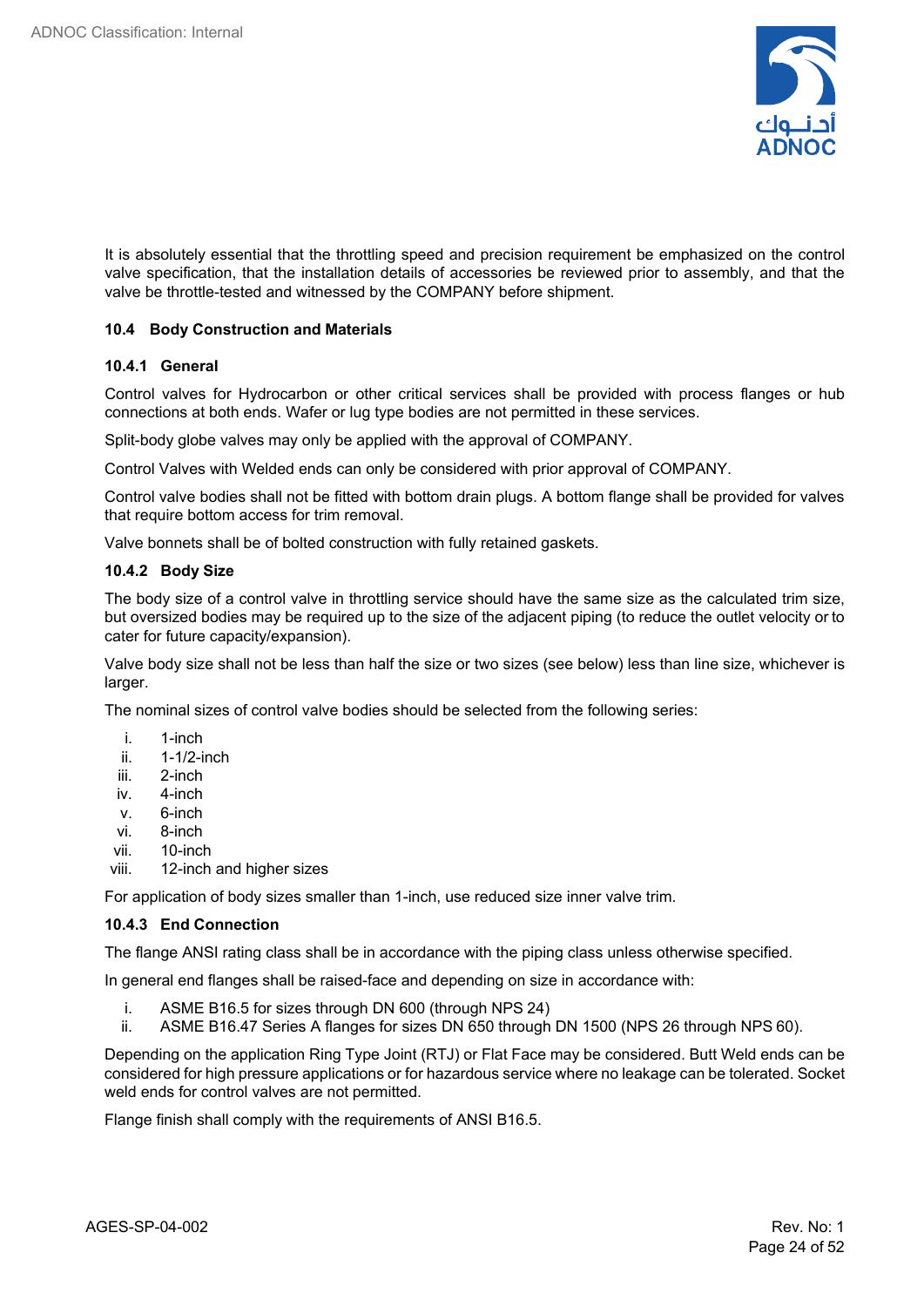

It is absolutely essential that the throttling speed and precision requirement be emphasized on the control valve specification, that the installation details of accessories be reviewed prior to assembly, and that the valve be throttle-tested and witnessed by the COMPANY before shipment.

# <span id="page-24-0"></span>**10.4 Body Construction and Materials**

#### **10.4.1 General**

Control valves for Hydrocarbon or other critical services shall be provided with process flanges or hub connections at both ends. Wafer or lug type bodies are not permitted in these services.

Split-body globe valves may only be applied with the approval of COMPANY.

Control Valves with Welded ends can only be considered with prior approval of COMPANY.

Control valve bodies shall not be fitted with bottom drain plugs. A bottom flange shall be provided for valves that require bottom access for trim removal.

Valve bonnets shall be of bolted construction with fully retained gaskets.

#### **10.4.2 Body Size**

The body size of a control valve in throttling service should have the same size as the calculated trim size, but oversized bodies may be required up to the size of the adjacent piping (to reduce the outlet velocity or to cater for future capacity/expansion).

Valve body size shall not be less than half the size or two sizes (see below) less than line size, whichever is larger.

The nominal sizes of control valve bodies should be selected from the following series:

- i. 1-inch
- ii. 1-1/2-inch
- iii. 2-inch
- iv. 4-inch
- v. 6-inch
- vi. 8-inch
- vii. 10-inch
- viii. 12-inch and higher sizes

For application of body sizes smaller than 1-inch, use reduced size inner valve trim.

#### **10.4.3 End Connection**

The flange ANSI rating class shall be in accordance with the piping class unless otherwise specified.

In general end flanges shall be raised-face and depending on size in accordance with:

- i. ASME B16.5 for sizes through DN 600 (through NPS 24)
- ii. ASME B16.47 Series A flanges for sizes DN 650 through DN 1500 (NPS 26 through NPS 60).

Depending on the application Ring Type Joint (RTJ) or Flat Face may be considered. Butt Weld ends can be considered for high pressure applications or for hazardous service where no leakage can be tolerated. Socket weld ends for control valves are not permitted.

Flange finish shall comply with the requirements of ANSI B16.5.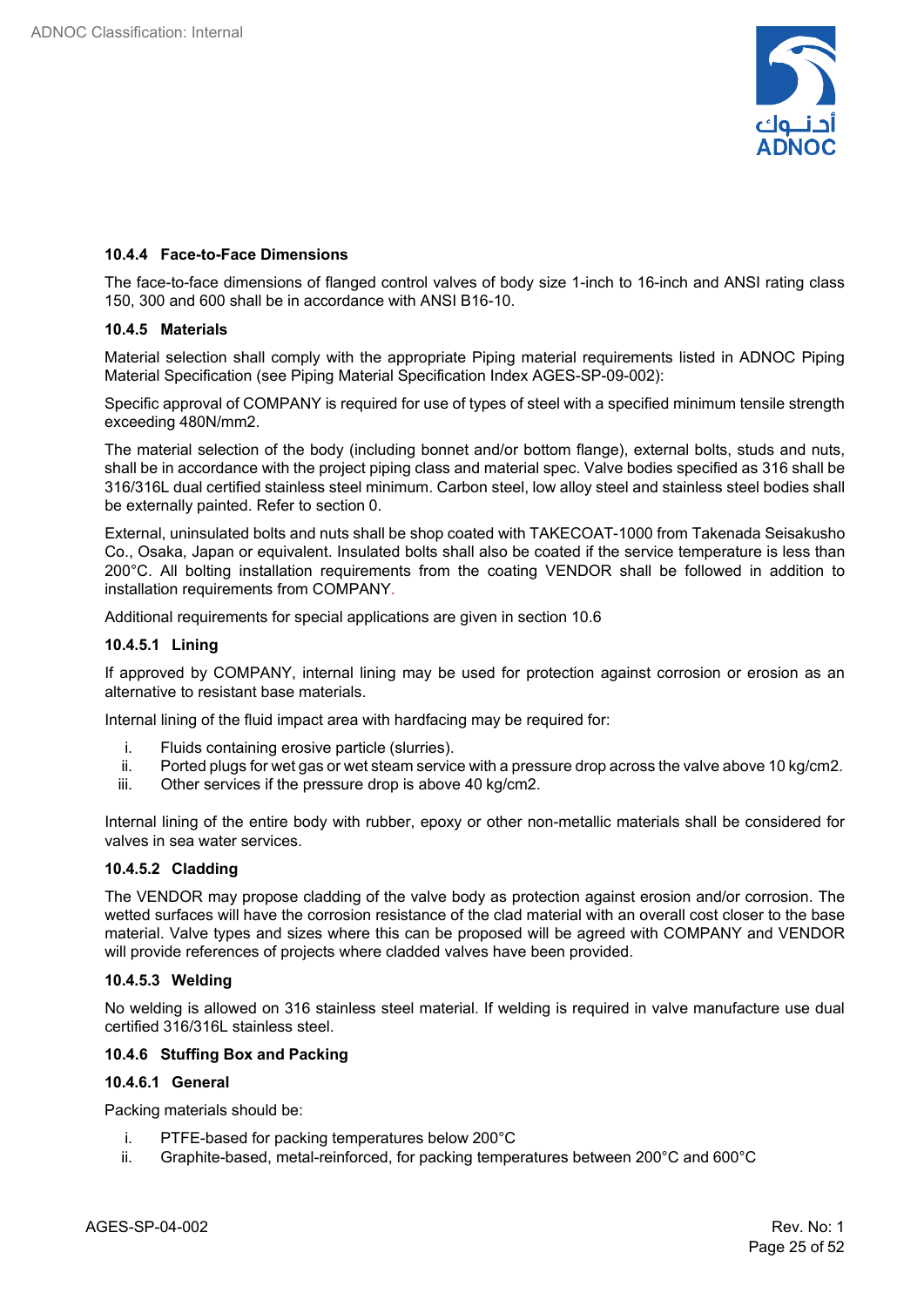

# **10.4.4 Face-to-Face Dimensions**

The face-to-face dimensions of flanged control valves of body size 1-inch to 16-inch and ANSI rating class 150, 300 and 600 shall be in accordance with ANSI B16-10.

#### **10.4.5 Materials**

Material selection shall comply with the appropriate Piping material requirements listed in ADNOC Piping Material Specification (see Piping Material Specification Index AGES-SP-09-002):

Specific approval of COMPANY is required for use of types of steel with a specified minimum tensile strength exceeding 480N/mm2.

The material selection of the body (including bonnet and/or bottom flange), external bolts, studs and nuts, shall be in accordance with the project piping class and material spec. Valve bodies specified as 316 shall be 316/316L dual certified stainless steel minimum. Carbon steel, low alloy steel and stainless steel bodies shall be externally painted. Refer to section [0.](#page-39-0)

External, uninsulated bolts and nuts shall be shop coated with TAKECOAT-1000 from Takenada Seisakusho Co., Osaka, Japan or equivalent. Insulated bolts shall also be coated if the service temperature is less than 200°C. All bolting installation requirements from the coating VENDOR shall be followed in addition to installation requirements from COMPANY.

Additional requirements for special applications are given in section [10.6](#page-28-0)

#### **10.4.5.1 Lining**

If approved by COMPANY, internal lining may be used for protection against corrosion or erosion as an alternative to resistant base materials.

Internal lining of the fluid impact area with hardfacing may be required for:

- i. Fluids containing erosive particle (slurries).
- ii. Ported plugs for wet gas or wet steam service with a pressure drop across the valve above 10 kg/cm2.
- iii. Other services if the pressure drop is above 40 kg/cm2.

Internal lining of the entire body with rubber, epoxy or other non-metallic materials shall be considered for valves in sea water services.

# **10.4.5.2 Cladding**

The VENDOR may propose cladding of the valve body as protection against erosion and/or corrosion. The wetted surfaces will have the corrosion resistance of the clad material with an overall cost closer to the base material. Valve types and sizes where this can be proposed will be agreed with COMPANY and VENDOR will provide references of projects where cladded valves have been provided.

#### **10.4.5.3 Welding**

No welding is allowed on 316 stainless steel material. If welding is required in valve manufacture use dual certified 316/316L stainless steel.

# **10.4.6 Stuffing Box and Packing**

# **10.4.6.1 General**

Packing materials should be:

- i. PTFE-based for packing temperatures below 200°C
- ii. Graphite-based, metal-reinforced, for packing temperatures between 200°C and 600°C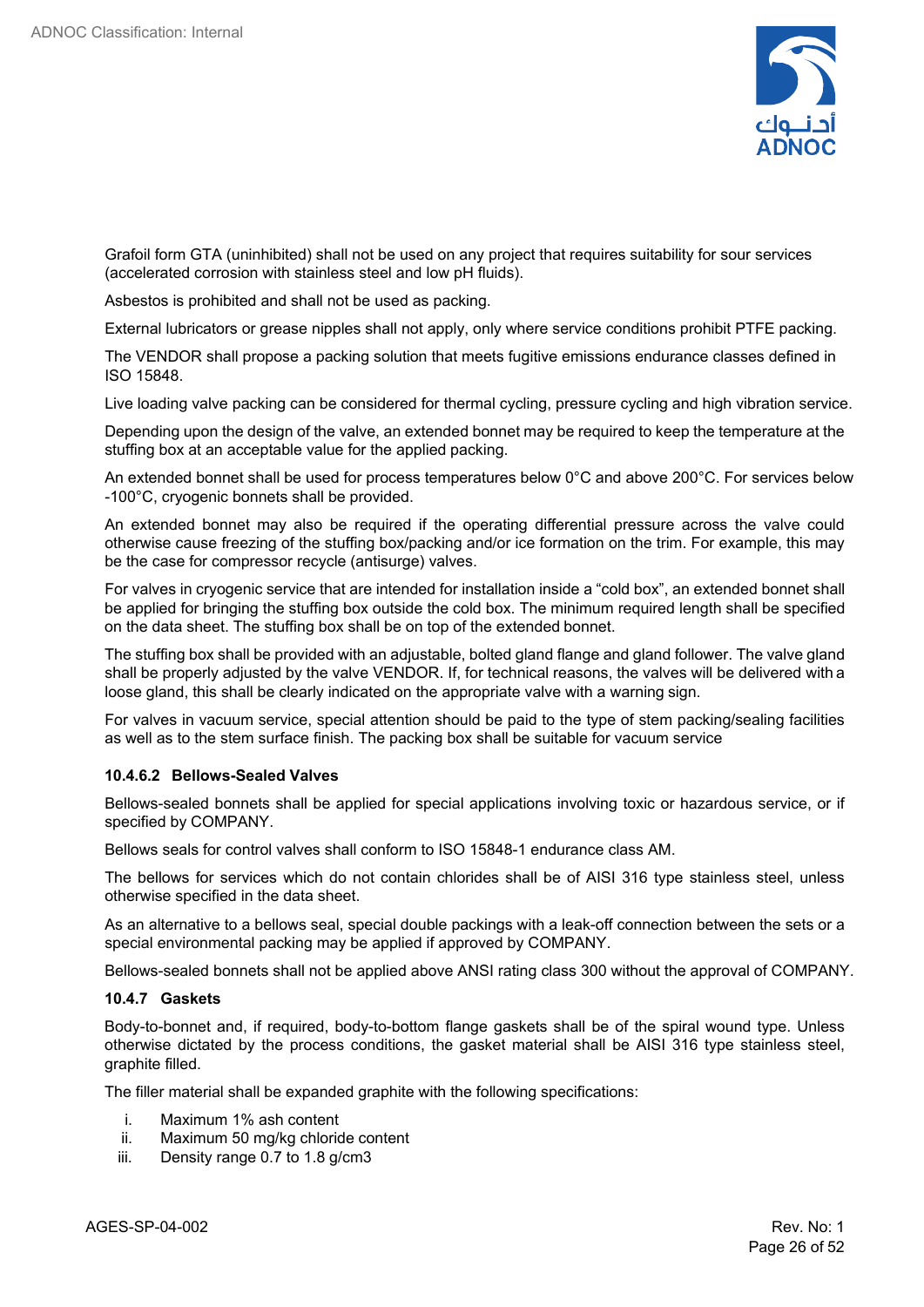

Grafoil form GTA (uninhibited) shall not be used on any project that requires suitability for sour services (accelerated corrosion with stainless steel and low pH fluids).

Asbestos is prohibited and shall not be used as packing.

External lubricators or grease nipples shall not apply, only where service conditions prohibit PTFE packing.

The VENDOR shall propose a packing solution that meets fugitive emissions endurance classes defined in ISO 15848.

Live loading valve packing can be considered for thermal cycling, pressure cycling and high vibration service.

Depending upon the design of the valve, an extended bonnet may be required to keep the temperature at the stuffing box at an acceptable value for the applied packing.

An extended bonnet shall be used for process temperatures below 0°C and above 200°C. For services below -100°C, cryogenic bonnets shall be provided.

An extended bonnet may also be required if the operating differential pressure across the valve could otherwise cause freezing of the stuffing box/packing and/or ice formation on the trim. For example, this may be the case for compressor recycle (antisurge) valves.

For valves in cryogenic service that are intended for installation inside a "cold box", an extended bonnet shall be applied for bringing the stuffing box outside the cold box. The minimum required length shall be specified on the data sheet. The stuffing box shall be on top of the extended bonnet.

The stuffing box shall be provided with an adjustable, bolted gland flange and gland follower. The valve gland shall be properly adjusted by the valve VENDOR. If, for technical reasons, the valves will be delivered with a loose gland, this shall be clearly indicated on the appropriate valve with a warning sign.

For valves in vacuum service, special attention should be paid to the type of stem packing/sealing facilities as well as to the stem surface finish. The packing box shall be suitable for vacuum service

# **10.4.6.2 Bellows-Sealed Valves**

Bellows-sealed bonnets shall be applied for special applications involving toxic or hazardous service, or if specified by COMPANY.

Bellows seals for control valves shall conform to ISO 15848-1 endurance class AM.

The bellows for services which do not contain chlorides shall be of AISI 316 type stainless steel, unless otherwise specified in the data sheet.

As an alternative to a bellows seal, special double packings with a leak-off connection between the sets or a special environmental packing may be applied if approved by COMPANY.

Bellows-sealed bonnets shall not be applied above ANSI rating class 300 without the approval of COMPANY.

# **10.4.7 Gaskets**

Body-to-bonnet and, if required, body-to-bottom flange gaskets shall be of the spiral wound type. Unless otherwise dictated by the process conditions, the gasket material shall be AISI 316 type stainless steel, graphite filled.

The filler material shall be expanded graphite with the following specifications:

- i. Maximum 1% ash content
- ii. Maximum 50 mg/kg chloride content
- iii. Density range 0.7 to 1.8 g/cm3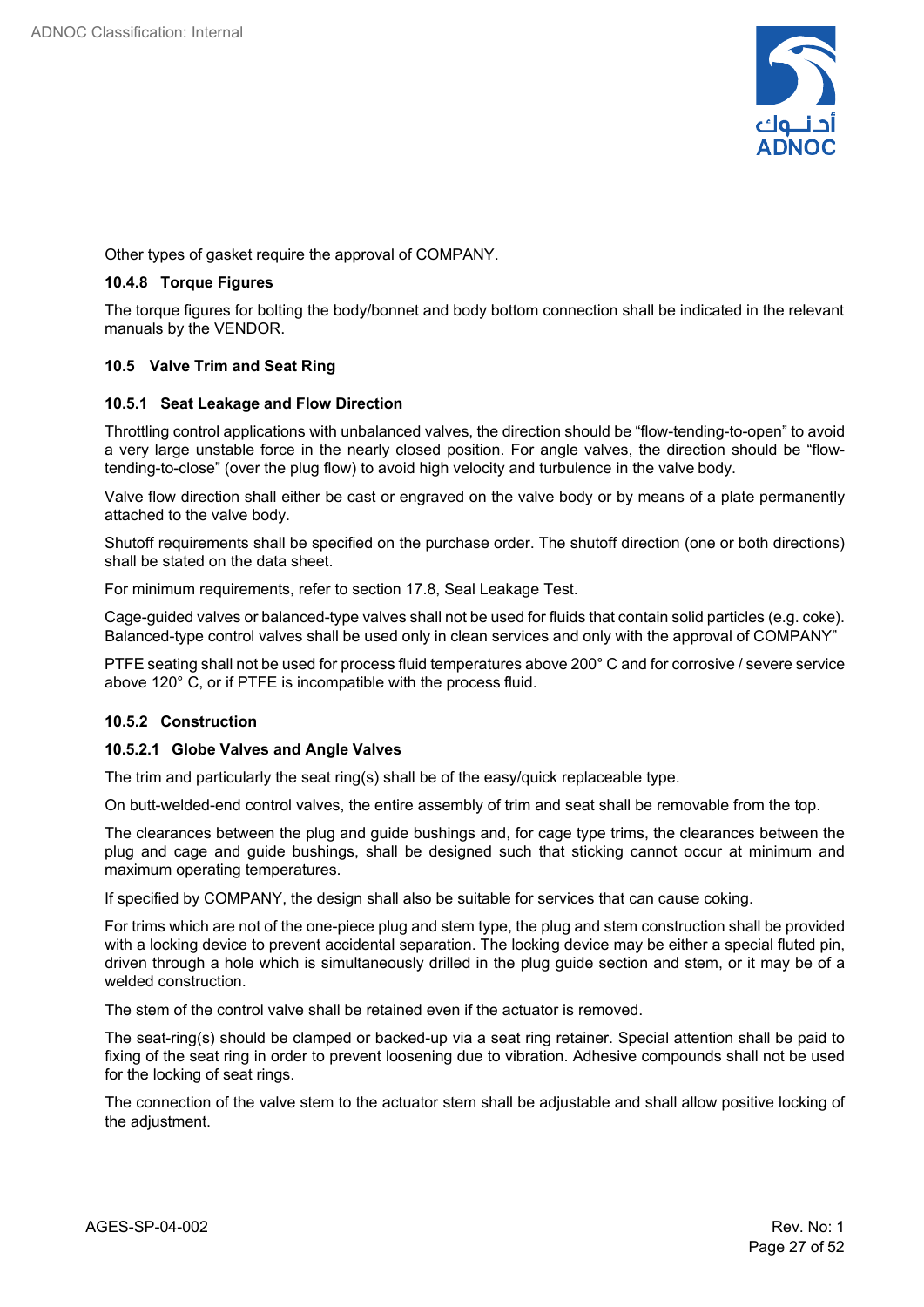

Other types of gasket require the approval of COMPANY.

# **10.4.8 Torque Figures**

The torque figures for bolting the body/bonnet and body bottom connection shall be indicated in the relevant manuals by the VENDOR.

# <span id="page-27-0"></span>**10.5 Valve Trim and Seat Ring**

# **10.5.1 Seat Leakage and Flow Direction**

Throttling control applications with unbalanced valves, the direction should be "flow-tending-to-open" to avoid a very large unstable force in the nearly closed position. For angle valves, the direction should be "flowtending-to-close" (over the plug flow) to avoid high velocity and turbulence in the valve body.

Valve flow direction shall either be cast or engraved on the valve body or by means of a plate permanently attached to the valve body.

Shutoff requirements shall be specified on the purchase order. The shutoff direction (one or both directions) shall be stated on the data sheet.

For minimum requirements, refer to section [17.8, S](#page-44-3)eal Leakage Test.

Cage-guided valves or balanced-type valves shall not be used for fluids that contain solid particles (e.g. coke). Balanced-type control valves shall be used only in clean services and only with the approval of COMPANY"

PTFE seating shall not be used for process fluid temperatures above 200° C and for corrosive / severe service above 120° C, or if PTFE is incompatible with the process fluid.

# **10.5.2 Construction**

# **10.5.2.1 Globe Valves and Angle Valves**

The trim and particularly the seat ring(s) shall be of the easy/quick replaceable type.

On butt-welded-end control valves, the entire assembly of trim and seat shall be removable from the top.

The clearances between the plug and guide bushings and, for cage type trims, the clearances between the plug and cage and guide bushings, shall be designed such that sticking cannot occur at minimum and maximum operating temperatures.

If specified by COMPANY, the design shall also be suitable for services that can cause coking.

For trims which are not of the one-piece plug and stem type, the plug and stem construction shall be provided with a locking device to prevent accidental separation. The locking device may be either a special fluted pin, driven through a hole which is simultaneously drilled in the plug guide section and stem, or it may be of a welded construction.

The stem of the control valve shall be retained even if the actuator is removed.

The seat-ring(s) should be clamped or backed-up via a seat ring retainer. Special attention shall be paid to fixing of the seat ring in order to prevent loosening due to vibration. Adhesive compounds shall not be used for the locking of seat rings.

The connection of the valve stem to the actuator stem shall be adjustable and shall allow positive locking of the adjustment.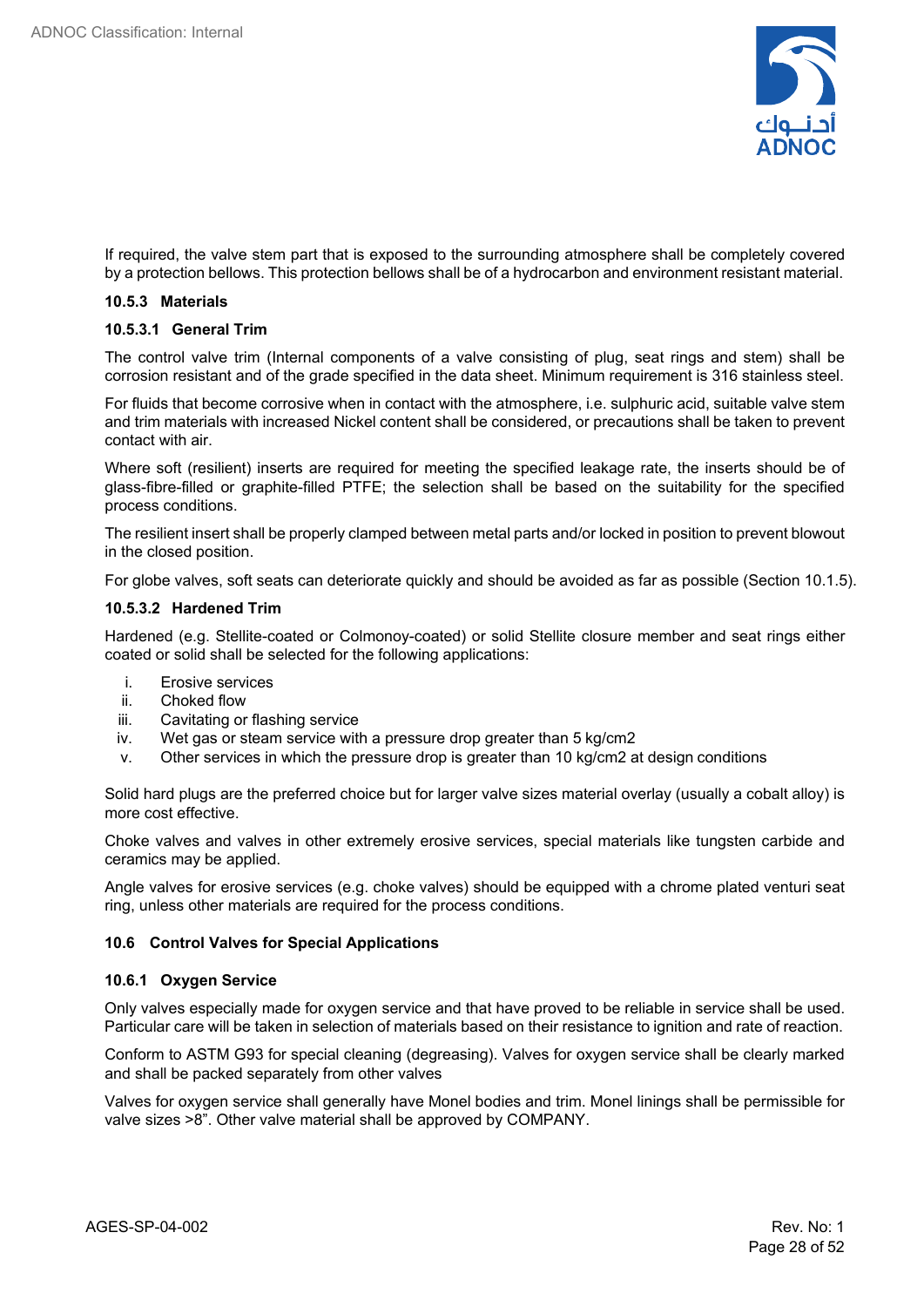

If required, the valve stem part that is exposed to the surrounding atmosphere shall be completely covered by a protection bellows. This protection bellows shall be of a hydrocarbon and environment resistant material.

#### **10.5.3 Materials**

#### **10.5.3.1 General Trim**

The control valve trim (Internal components of a valve consisting of plug, seat rings and stem) shall be corrosion resistant and of the grade specified in the data sheet. Minimum requirement is 316 stainless steel.

For fluids that become corrosive when in contact with the atmosphere, i.e. sulphuric acid, suitable valve stem and trim materials with increased Nickel content shall be considered, or precautions shall be taken to prevent contact with air.

Where soft (resilient) inserts are required for meeting the specified leakage rate, the inserts should be of glass-fibre-filled or graphite-filled PTFE; the selection shall be based on the suitability for the specified process conditions.

The resilient insert shall be properly clamped between metal parts and/or locked in position to prevent blowout in the closed position.

For globe valves, soft seats can deteriorate quickly and should be avoided as far as possible (Section [10.1.5\)](#page-18-0).

#### <span id="page-28-1"></span>**10.5.3.2 Hardened Trim**

Hardened (e.g. Stellite-coated or Colmonoy-coated) or solid Stellite closure member and seat rings either coated or solid shall be selected for the following applications:

- i. Erosive services
- ii. Choked flow
- iii. Cavitating or flashing service
- iv. Wet gas or steam service with a pressure drop greater than 5 kg/cm2
- v. Other services in which the pressure drop is greater than 10 kg/cm2 at design conditions

Solid hard plugs are the preferred choice but for larger valve sizes material overlay (usually a cobalt alloy) is more cost effective.

Choke valves and valves in other extremely erosive services, special materials like tungsten carbide and ceramics may be applied.

Angle valves for erosive services (e.g. choke valves) should be equipped with a chrome plated venturi seat ring, unless other materials are required for the process conditions.

# <span id="page-28-0"></span>**10.6 Control Valves for Special Applications**

#### **10.6.1 Oxygen Service**

Only valves especially made for oxygen service and that have proved to be reliable in service shall be used. Particular care will be taken in selection of materials based on their resistance to ignition and rate of reaction.

Conform to ASTM G93 for special cleaning (degreasing). Valves for oxygen service shall be clearly marked and shall be packed separately from other valves

Valves for oxygen service shall generally have Monel bodies and trim. Monel linings shall be permissible for valve sizes ˃8". Other valve material shall be approved by COMPANY.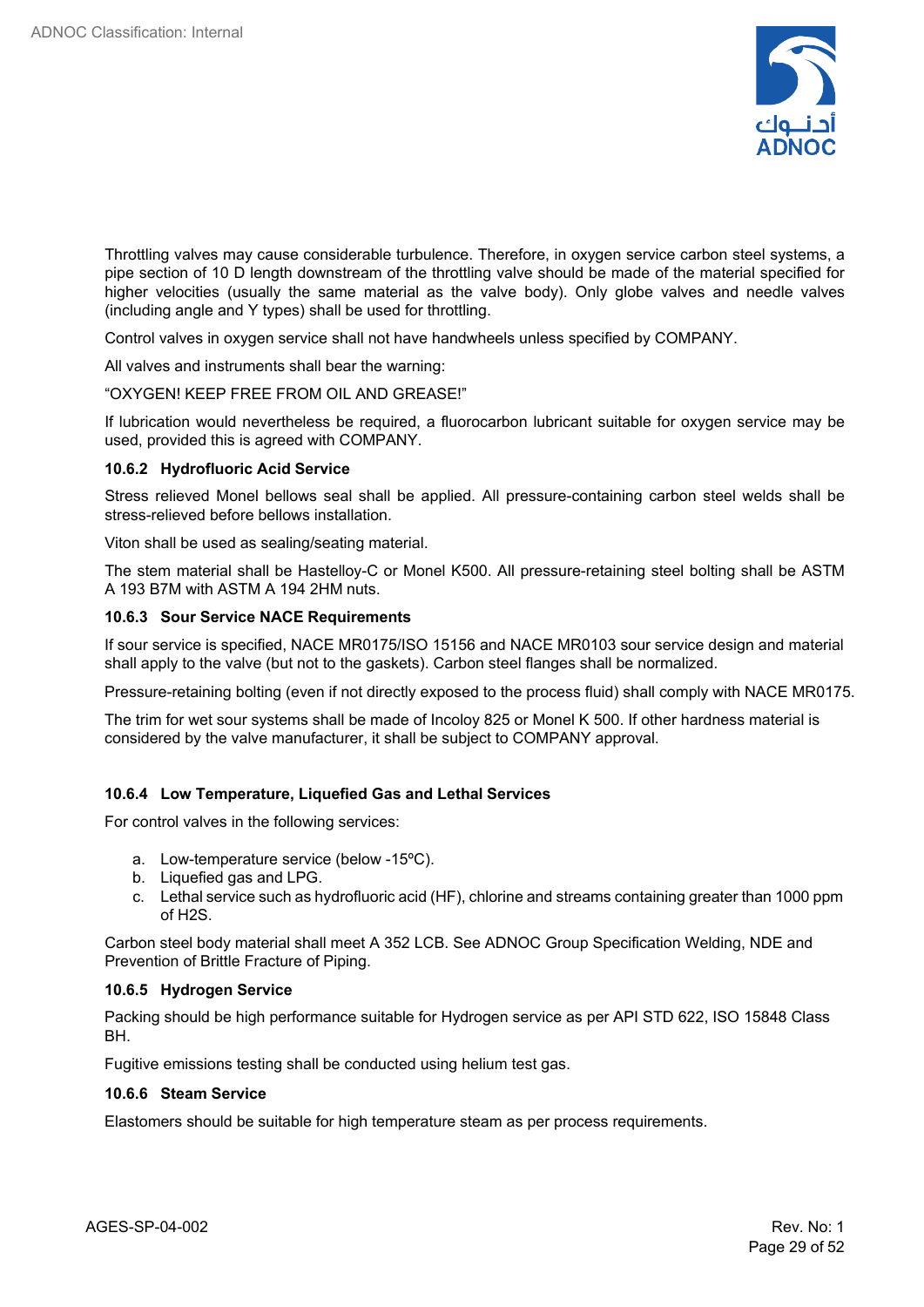

Throttling valves may cause considerable turbulence. Therefore, in oxygen service carbon steel systems, a pipe section of 10 D length downstream of the throttling valve should be made of the material specified for higher velocities (usually the same material as the valve body). Only globe valves and needle valves (including angle and Y types) shall be used for throttling.

Control valves in oxygen service shall not have handwheels unless specified by COMPANY.

All valves and instruments shall bear the warning:

"OXYGEN! KEEP FREE FROM OIL AND GREASE!"

If lubrication would nevertheless be required, a fluorocarbon lubricant suitable for oxygen service may be used, provided this is agreed with COMPANY.

#### **10.6.2 Hydrofluoric Acid Service**

Stress relieved Monel bellows seal shall be applied. All pressure-containing carbon steel welds shall be stress-relieved before bellows installation.

Viton shall be used as sealing/seating material.

The stem material shall be Hastelloy-C or Monel K500. All pressure-retaining steel bolting shall be ASTM A 193 B7M with ASTM A 194 2HM nuts.

#### **10.6.3 Sour Service NACE Requirements**

If sour service is specified, NACE MR0175/ISO 15156 and NACE MR0103 sour service design and material shall apply to the valve (but not to the gaskets). Carbon steel flanges shall be normalized.

Pressure-retaining bolting (even if not directly exposed to the process fluid) shall comply with NACE MR0175.

The trim for wet sour systems shall be made of Incoloy 825 or Monel K 500. If other hardness material is considered by the valve manufacturer, it shall be subject to COMPANY approval.

#### **10.6.4 Low Temperature, Liquefied Gas and Lethal Services**

For control valves in the following services:

- a. Low-temperature service (below -15ºC).
- b. Liquefied gas and LPG.
- c. Lethal service such as hydrofluoric acid (HF), chlorine and streams containing greater than 1000 ppm of H2S.

Carbon steel body material shall meet A 352 LCB. See ADNOC Group Specification Welding, NDE and Prevention of Brittle Fracture of Piping.

#### **10.6.5 Hydrogen Service**

Packing should be high performance suitable for Hydrogen service as per API STD 622, ISO 15848 Class BH.

Fugitive emissions testing shall be conducted using helium test gas.

#### **10.6.6 Steam Service**

Elastomers should be suitable for high temperature steam as per process requirements.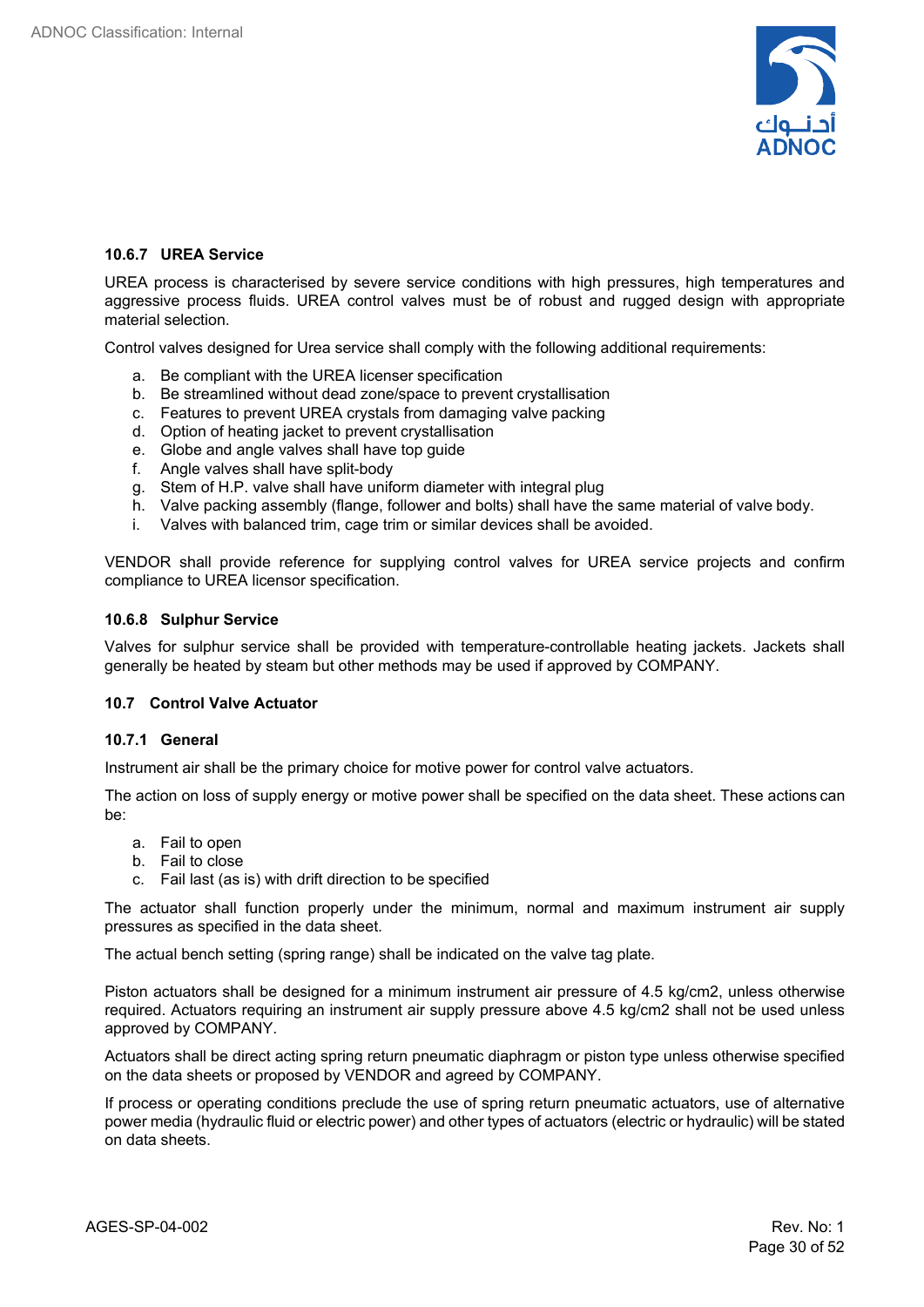

# **10.6.7 UREA Service**

UREA process is characterised by severe service conditions with high pressures, high temperatures and aggressive process fluids. UREA control valves must be of robust and rugged design with appropriate material selection.

Control valves designed for Urea service shall comply with the following additional requirements:

- a. Be compliant with the UREA licenser specification
- b. Be streamlined without dead zone/space to prevent crystallisation
- c. Features to prevent UREA crystals from damaging valve packing
- d. Option of heating jacket to prevent crystallisation
- e. Globe and angle valves shall have top guide
- f. Angle valves shall have split-body
- g. Stem of H.P. valve shall have uniform diameter with integral plug
- h. Valve packing assembly (flange, follower and bolts) shall have the same material of valve body.
- i. Valves with balanced trim, cage trim or similar devices shall be avoided.

VENDOR shall provide reference for supplying control valves for UREA service projects and confirm compliance to UREA licensor specification.

#### **10.6.8 Sulphur Service**

Valves for sulphur service shall be provided with temperature-controllable heating jackets. Jackets shall generally be heated by steam but other methods may be used if approved by COMPANY.

# <span id="page-30-0"></span>**10.7 Control Valve Actuator**

#### **10.7.1 General**

Instrument air shall be the primary choice for motive power for control valve actuators.

The action on loss of supply energy or motive power shall be specified on the data sheet. These actions can be:

- a. Fail to open
- b. Fail to close
- c. Fail last (as is) with drift direction to be specified

The actuator shall function properly under the minimum, normal and maximum instrument air supply pressures as specified in the data sheet.

The actual bench setting (spring range) shall be indicated on the valve tag plate.

Piston actuators shall be designed for a minimum instrument air pressure of 4.5 kg/cm2, unless otherwise required. Actuators requiring an instrument air supply pressure above 4.5 kg/cm2 shall not be used unless approved by COMPANY.

Actuators shall be direct acting spring return pneumatic diaphragm or piston type unless otherwise specified on the data sheets or proposed by VENDOR and agreed by COMPANY.

If process or operating conditions preclude the use of spring return pneumatic actuators, use of alternative power media (hydraulic fluid or electric power) and other types of actuators (electric or hydraulic) will be stated on data sheets.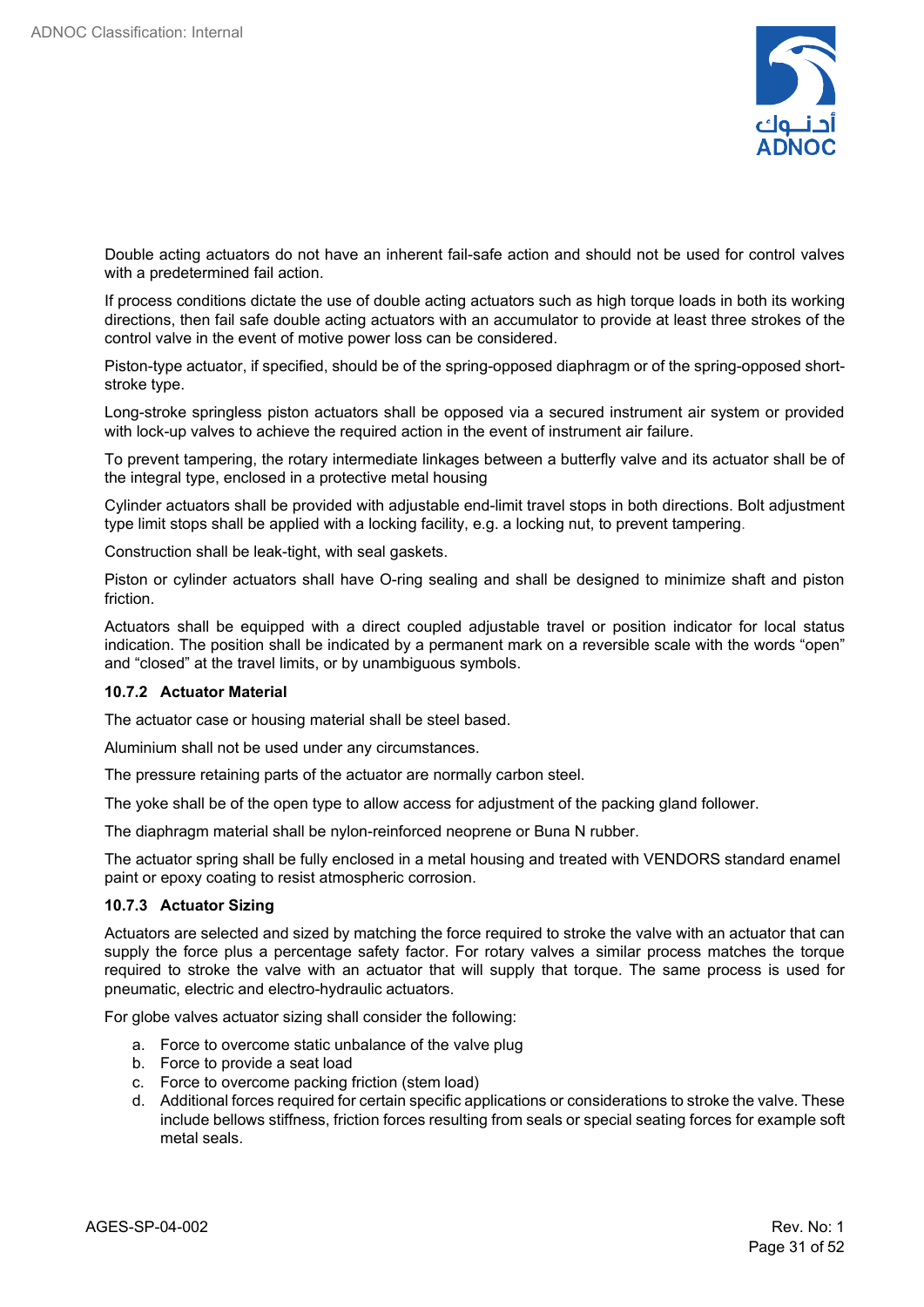

Double acting actuators do not have an inherent fail-safe action and should not be used for control valves with a predetermined fail action.

If process conditions dictate the use of double acting actuators such as high torque loads in both its working directions, then fail safe double acting actuators with an accumulator to provide at least three strokes of the control valve in the event of motive power loss can be considered.

Piston-type actuator, if specified, should be of the spring-opposed diaphragm or of the spring-opposed shortstroke type.

Long-stroke springless piston actuators shall be opposed via a secured instrument air system or provided with lock-up valves to achieve the required action in the event of instrument air failure.

To prevent tampering, the rotary intermediate linkages between a butterfly valve and its actuator shall be of the integral type, enclosed in a protective metal housing

Cylinder actuators shall be provided with adjustable end-limit travel stops in both directions. Bolt adjustment type limit stops shall be applied with a locking facility, e.g. a locking nut, to prevent tampering.

Construction shall be leak-tight, with seal gaskets.

Piston or cylinder actuators shall have O-ring sealing and shall be designed to minimize shaft and piston friction.

Actuators shall be equipped with a direct coupled adjustable travel or position indicator for local status indication. The position shall be indicated by a permanent mark on a reversible scale with the words "open" and "closed" at the travel limits, or by unambiguous symbols.

#### **10.7.2 Actuator Material**

The actuator case or housing material shall be steel based.

Aluminium shall not be used under any circumstances.

The pressure retaining parts of the actuator are normally carbon steel.

The yoke shall be of the open type to allow access for adjustment of the packing gland follower.

The diaphragm material shall be nylon-reinforced neoprene or Buna N rubber.

The actuator spring shall be fully enclosed in a metal housing and treated with VENDORS standard enamel paint or epoxy coating to resist atmospheric corrosion.

#### **10.7.3 Actuator Sizing**

Actuators are selected and sized by matching the force required to stroke the valve with an actuator that can supply the force plus a percentage safety factor. For rotary valves a similar process matches the torque required to stroke the valve with an actuator that will supply that torque. The same process is used for pneumatic, electric and electro-hydraulic actuators.

For globe valves actuator sizing shall consider the following:

- a. Force to overcome static unbalance of the valve plug
- b. Force to provide a seat load
- c. Force to overcome packing friction (stem load)
- d. Additional forces required for certain specific applications or considerations to stroke the valve. These include bellows stiffness, friction forces resulting from seals or special seating forces for example soft metal seals.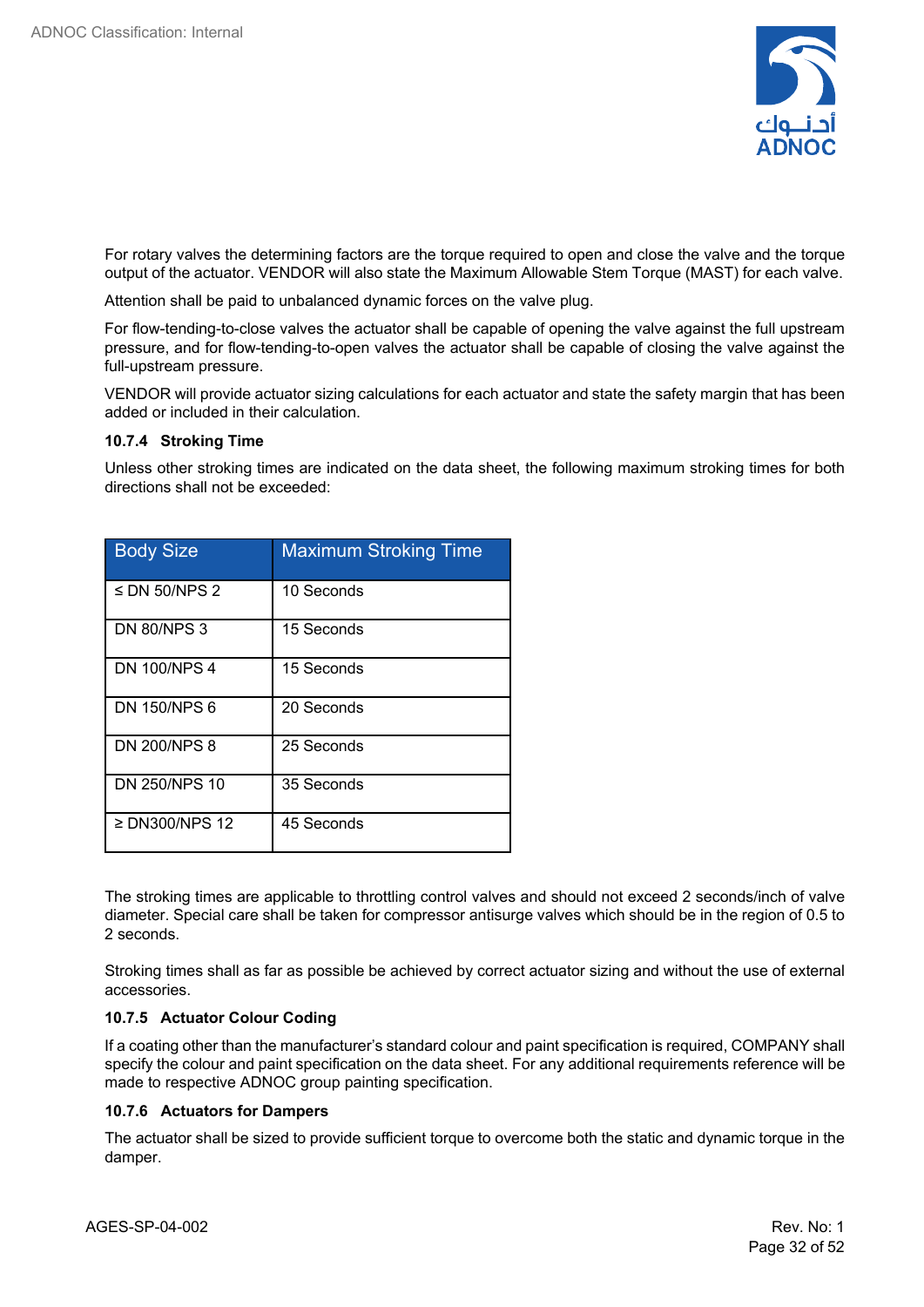

For rotary valves the determining factors are the torque required to open and close the valve and the torque output of the actuator. VENDOR will also state the Maximum Allowable Stem Torque (MAST) for each valve.

Attention shall be paid to unbalanced dynamic forces on the valve plug.

For flow-tending-to-close valves the actuator shall be capable of opening the valve against the full upstream pressure, and for flow-tending-to-open valves the actuator shall be capable of closing the valve against the full-upstream pressure.

VENDOR will provide actuator sizing calculations for each actuator and state the safety margin that has been added or included in their calculation.

# <span id="page-32-0"></span>**10.7.4 Stroking Time**

Unless other stroking times are indicated on the data sheet, the following maximum stroking times for both directions shall not be exceeded:

| <b>Body Size</b>     | <b>Maximum Stroking Time</b> |
|----------------------|------------------------------|
| $\leq$ DN 50/NPS 2   | 10 Seconds                   |
| <b>DN 80/NPS 3</b>   | 15 Seconds                   |
| <b>DN 100/NPS 4</b>  | 15 Seconds                   |
| <b>DN 150/NPS 6</b>  | 20 Seconds                   |
| <b>DN 200/NPS 8</b>  | 25 Seconds                   |
| <b>DN 250/NPS 10</b> | 35 Seconds                   |
| $\geq$ DN300/NPS 12  | 45 Seconds                   |

The stroking times are applicable to throttling control valves and should not exceed 2 seconds/inch of valve diameter. Special care shall be taken for compressor antisurge valves which should be in the region of 0.5 to 2 seconds.

Stroking times shall as far as possible be achieved by correct actuator sizing and without the use of external accessories.

# **10.7.5 Actuator Colour Coding**

If a coating other than the manufacturer's standard colour and paint specification is required, COMPANY shall specify the colour and paint specification on the data sheet. For any additional requirements reference will be made to respective ADNOC group painting specification.

# **10.7.6 Actuators for Dampers**

The actuator shall be sized to provide sufficient torque to overcome both the static and dynamic torque in the damper.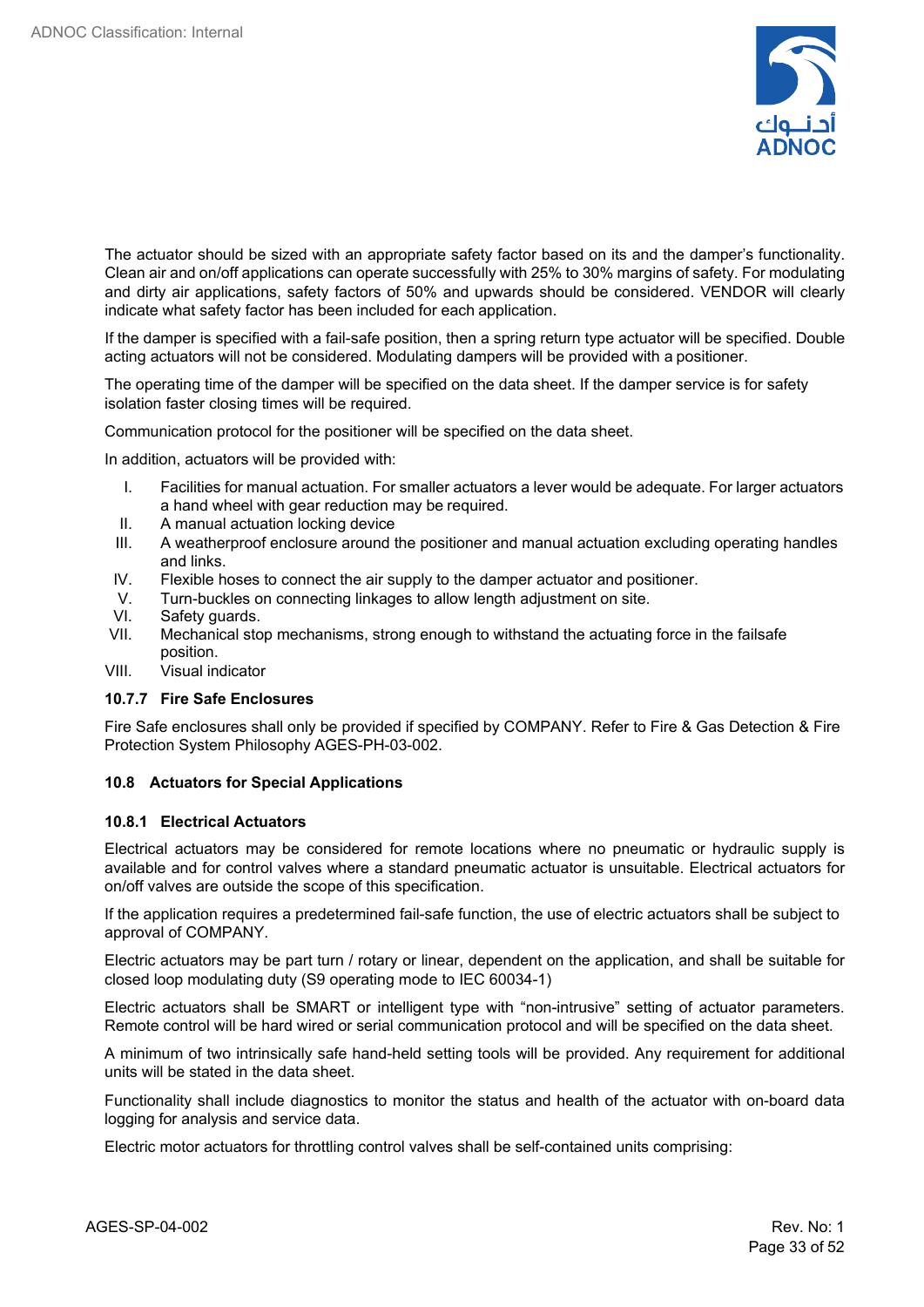

The actuator should be sized with an appropriate safety factor based on its and the damper's functionality. Clean air and on/off applications can operate successfully with 25% to 30% margins of safety. For modulating and dirty air applications, safety factors of 50% and upwards should be considered. VENDOR will clearly indicate what safety factor has been included for each application.

If the damper is specified with a fail-safe position, then a spring return type actuator will be specified. Double acting actuators will not be considered. Modulating dampers will be provided with a positioner.

The operating time of the damper will be specified on the data sheet. If the damper service is for safety isolation faster closing times will be required.

Communication protocol for the positioner will be specified on the data sheet.

In addition, actuators will be provided with:

- I. Facilities for manual actuation. For smaller actuators a lever would be adequate. For larger actuators a hand wheel with gear reduction may be required.
- II. A manual actuation locking device
- III. A weatherproof enclosure around the positioner and manual actuation excluding operating handles and links.
- IV. Flexible hoses to connect the air supply to the damper actuator and positioner.
- V. Turn-buckles on connecting linkages to allow length adjustment on site.<br>VI. Safety quards.
- Safety guards.
- VII. Mechanical stop mechanisms, strong enough to withstand the actuating force in the failsafe position.
- VIII. Visual indicator

#### **10.7.7 Fire Safe Enclosures**

Fire Safe enclosures shall only be provided if specified by COMPANY. Refer to Fire & Gas Detection & Fire Protection System Philosophy AGES-PH-03-002.

# <span id="page-33-0"></span>**10.8 Actuators for Special Applications**

#### <span id="page-33-1"></span>**10.8.1 Electrical Actuators**

Electrical actuators may be considered for remote locations where no pneumatic or hydraulic supply is available and for control valves where a standard pneumatic actuator is unsuitable. Electrical actuators for on/off valves are outside the scope of this specification.

If the application requires a predetermined fail-safe function, the use of electric actuators shall be subject to approval of COMPANY.

Electric actuators may be part turn / rotary or linear, dependent on the application, and shall be suitable for closed loop modulating duty (S9 operating mode to IEC 60034-1)

Electric actuators shall be SMART or intelligent type with "non-intrusive" setting of actuator parameters. Remote control will be hard wired or serial communication protocol and will be specified on the data sheet.

A minimum of two intrinsically safe hand-held setting tools will be provided. Any requirement for additional units will be stated in the data sheet.

Functionality shall include diagnostics to monitor the status and health of the actuator with on-board data logging for analysis and service data.

Electric motor actuators for throttling control valves shall be self-contained units comprising: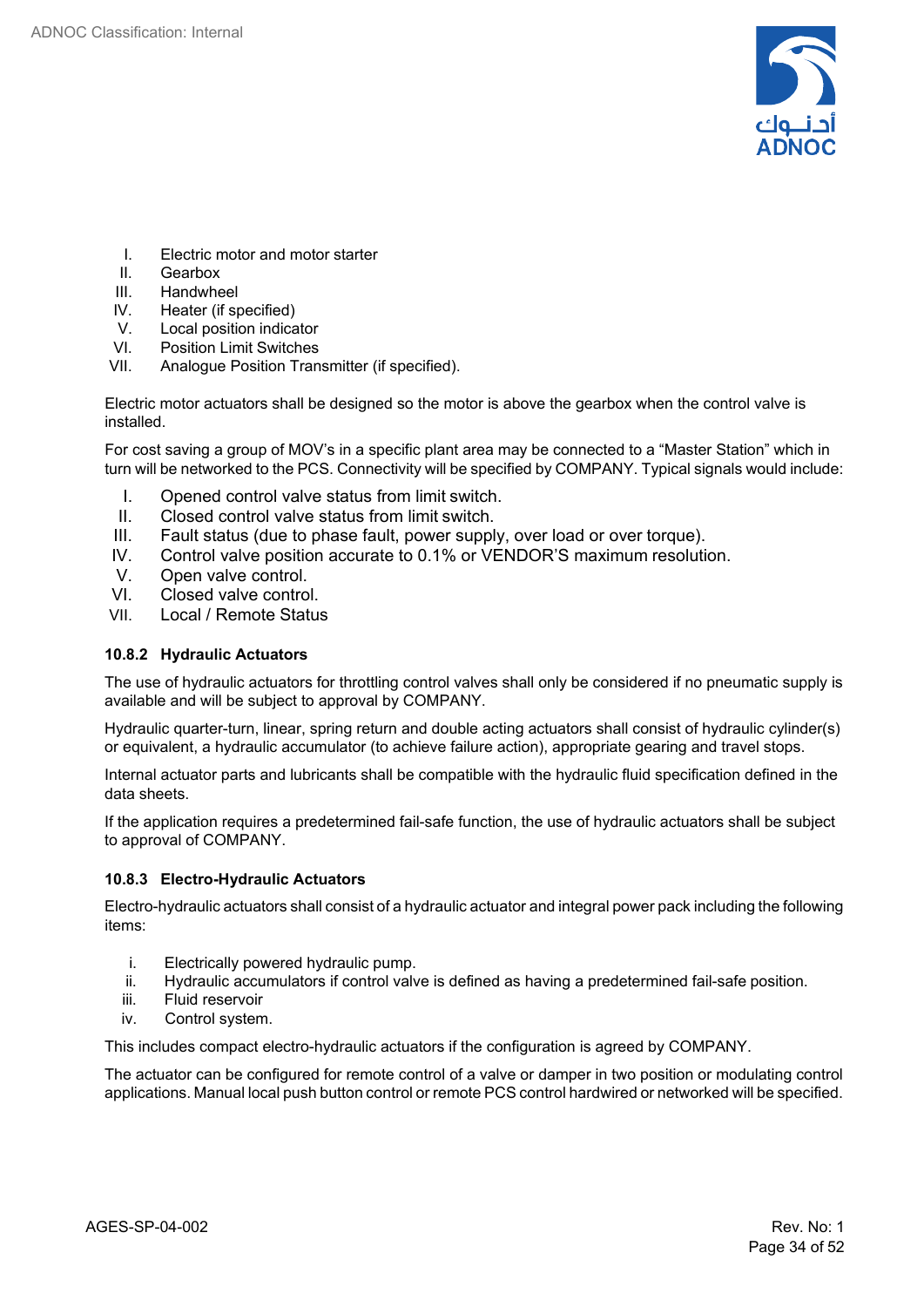

- I. Electric motor and motor starter<br>II. Gearbox
- Gearbox
- III. Handwheel
- IV. Heater (if specified)
- V. Local position indicator<br>VI. Position Limit Switches
- **Position Limit Switches**
- VII. Analogue Position Transmitter (if specified).

Electric motor actuators shall be designed so the motor is above the gearbox when the control valve is installed.

For cost saving a group of MOV's in a specific plant area may be connected to a "Master Station" which in turn will be networked to the PCS. Connectivity will be specified by COMPANY. Typical signals would include:

- I. Opened control valve status from limit switch.
- II. Closed control valve status from limit switch.
- III. Fault status (due to phase fault, power supply, over load or over torque).<br>IV. Control valve position accurate to 0.1% or VENDOR'S maximum resoluti
- Control valve position accurate to 0.1% or VENDOR'S maximum resolution.
- V. Open valve control.
- VI. Closed valve control.
- VII. Local / Remote Status

# **10.8.2 Hydraulic Actuators**

The use of hydraulic actuators for throttling control valves shall only be considered if no pneumatic supply is available and will be subject to approval by COMPANY.

Hydraulic quarter-turn, linear, spring return and double acting actuators shall consist of hydraulic cylinder(s) or equivalent, a hydraulic accumulator (to achieve failure action), appropriate gearing and travel stops.

Internal actuator parts and lubricants shall be compatible with the hydraulic fluid specification defined in the data sheets.

If the application requires a predetermined fail-safe function, the use of hydraulic actuators shall be subject to approval of COMPANY.

# **10.8.3 Electro-Hydraulic Actuators**

Electro-hydraulic actuators shall consist of a hydraulic actuator and integral power pack including the following items:

- i. Electrically powered hydraulic pump.
- ii. Hydraulic accumulators if control valve is defined as having a predetermined fail-safe position.
- iii. Fluid reservoir
- iv. Control system.

This includes compact electro-hydraulic actuators if the configuration is agreed by COMPANY.

The actuator can be configured for remote control of a valve or damper in two position or modulating control applications. Manual local push button control or remote PCS control hardwired or networked will be specified.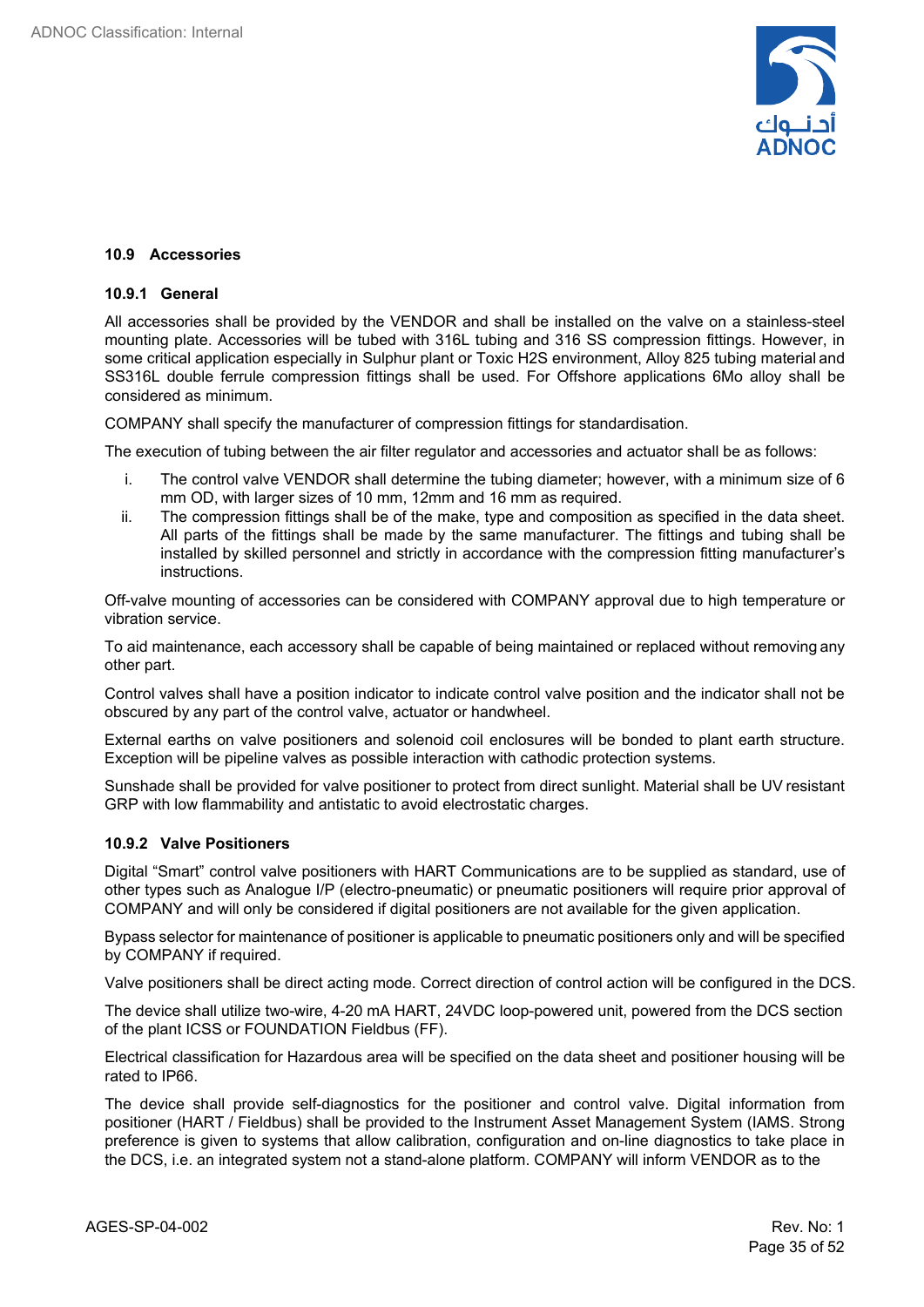

# <span id="page-35-0"></span>**10.9 Accessories**

#### **10.9.1 General**

All accessories shall be provided by the VENDOR and shall be installed on the valve on a stainless-steel mounting plate. Accessories will be tubed with 316L tubing and 316 SS compression fittings. However, in some critical application especially in Sulphur plant or Toxic H2S environment, Alloy 825 tubing material and SS316L double ferrule compression fittings shall be used. For Offshore applications 6Mo alloy shall be considered as minimum.

COMPANY shall specify the manufacturer of compression fittings for standardisation.

The execution of tubing between the air filter regulator and accessories and actuator shall be as follows:

- i. The control valve VENDOR shall determine the tubing diameter; however, with a minimum size of 6 mm OD, with larger sizes of 10 mm, 12mm and 16 mm as required.
- ii. The compression fittings shall be of the make, type and composition as specified in the data sheet. All parts of the fittings shall be made by the same manufacturer. The fittings and tubing shall be installed by skilled personnel and strictly in accordance with the compression fitting manufacturer's instructions.

Off-valve mounting of accessories can be considered with COMPANY approval due to high temperature or vibration service.

To aid maintenance, each accessory shall be capable of being maintained or replaced without removing any other part.

Control valves shall have a position indicator to indicate control valve position and the indicator shall not be obscured by any part of the control valve, actuator or handwheel.

External earths on valve positioners and solenoid coil enclosures will be bonded to plant earth structure. Exception will be pipeline valves as possible interaction with cathodic protection systems.

Sunshade shall be provided for valve positioner to protect from direct sunlight. Material shall be UV resistant GRP with low flammability and antistatic to avoid electrostatic charges.

#### **10.9.2 Valve Positioners**

Digital "Smart" control valve positioners with HART Communications are to be supplied as standard, use of other types such as Analogue I/P (electro-pneumatic) or pneumatic positioners will require prior approval of COMPANY and will only be considered if digital positioners are not available for the given application.

Bypass selector for maintenance of positioner is applicable to pneumatic positioners only and will be specified by COMPANY if required.

Valve positioners shall be direct acting mode. Correct direction of control action will be configured in the DCS.

The device shall utilize two-wire, 4-20 mA HART, 24VDC loop-powered unit, powered from the DCS section of the plant ICSS or FOUNDATION Fieldbus (FF).

Electrical classification for Hazardous area will be specified on the data sheet and positioner housing will be rated to IP66.

The device shall provide self-diagnostics for the positioner and control valve. Digital information from positioner (HART / Fieldbus) shall be provided to the Instrument Asset Management System (IAMS. Strong preference is given to systems that allow calibration, configuration and on-line diagnostics to take place in the DCS, i.e. an integrated system not a stand-alone platform. COMPANY will inform VENDOR as to the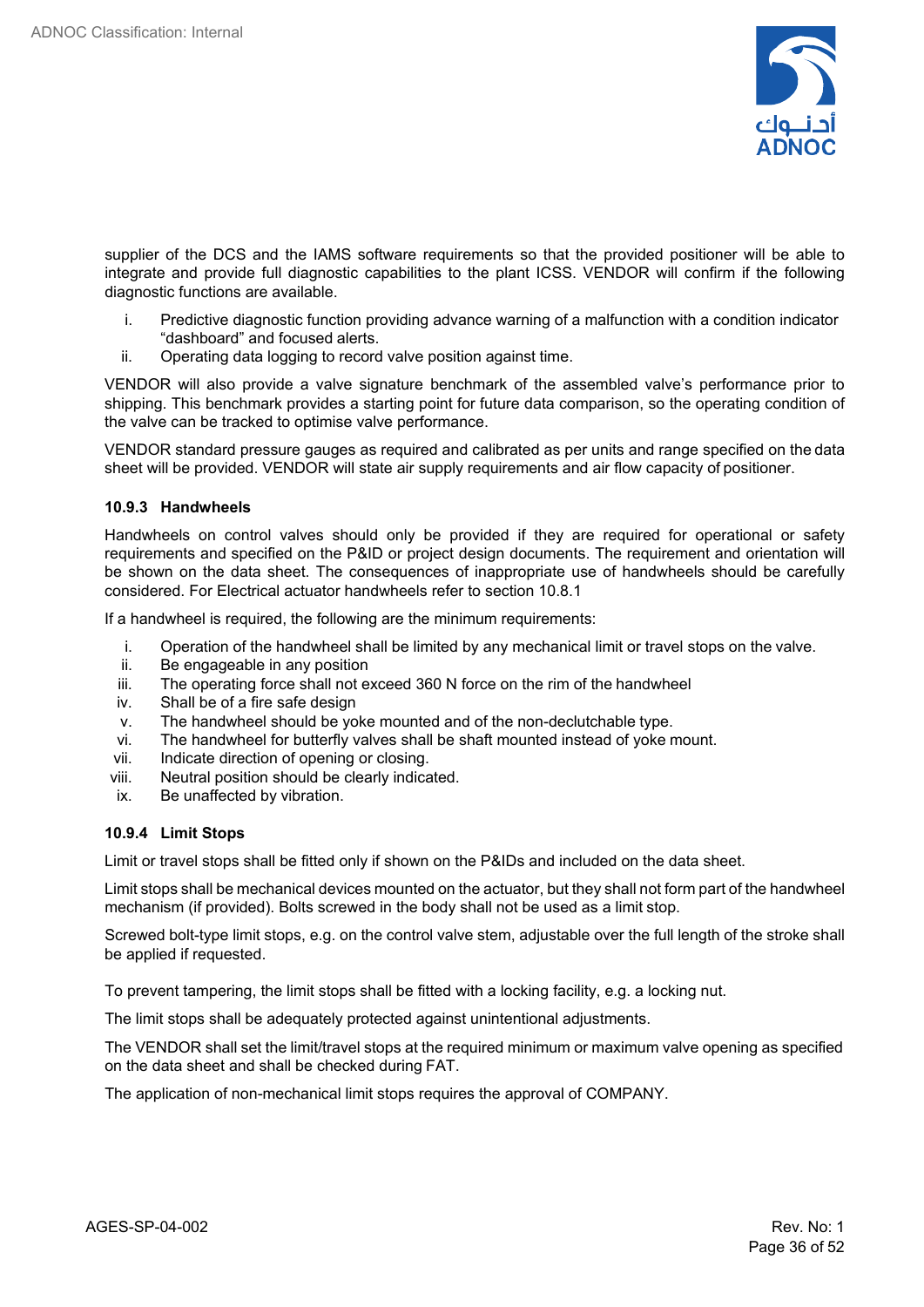

supplier of the DCS and the IAMS software requirements so that the provided positioner will be able to integrate and provide full diagnostic capabilities to the plant ICSS. VENDOR will confirm if the following diagnostic functions are available.

- i. Predictive diagnostic function providing advance warning of a malfunction with a condition indicator "dashboard" and focused alerts.
- ii. Operating data logging to record valve position against time.

VENDOR will also provide a valve signature benchmark of the assembled valve's performance prior to shipping. This benchmark provides a starting point for future data comparison, so the operating condition of the valve can be tracked to optimise valve performance.

VENDOR standard pressure gauges as required and calibrated as per units and range specified on the data sheet will be provided. VENDOR will state air supply requirements and air flow capacity of positioner.

# **10.9.3 Handwheels**

Handwheels on control valves should only be provided if they are required for operational or safety requirements and specified on the P&ID or project design documents. The requirement and orientation will be shown on the data sheet. The consequences of inappropriate use of handwheels should be carefully considered. For Electrical actuator handwheels refer to section [10.8.1](#page-33-1)

If a handwheel is required, the following are the minimum requirements:

- i. Operation of the handwheel shall be limited by any mechanical limit or travel stops on the valve.
- ii. Be engageable in any position
- iii. The operating force shall not exceed 360 N force on the rim of the handwheel
- iv. Shall be of a fire safe design
- v. The handwheel should be yoke mounted and of the non-declutchable type.
- vi. The handwheel for butterfly valves shall be shaft mounted instead of yoke mount.
- vii. Indicate direction of opening or closing.
- viii. Neutral position should be clearly indicated.
- ix. Be unaffected by vibration.

# **10.9.4 Limit Stops**

Limit or travel stops shall be fitted only if shown on the P&IDs and included on the data sheet.

Limit stops shall be mechanical devices mounted on the actuator, but they shall not form part of the handwheel mechanism (if provided). Bolts screwed in the body shall not be used as a limit stop.

Screwed bolt-type limit stops, e.g. on the control valve stem, adjustable over the full length of the stroke shall be applied if requested.

To prevent tampering, the limit stops shall be fitted with a locking facility, e.g. a locking nut.

The limit stops shall be adequately protected against unintentional adjustments.

The VENDOR shall set the limit/travel stops at the required minimum or maximum valve opening as specified on the data sheet and shall be checked during FAT.

The application of non-mechanical limit stops requires the approval of COMPANY.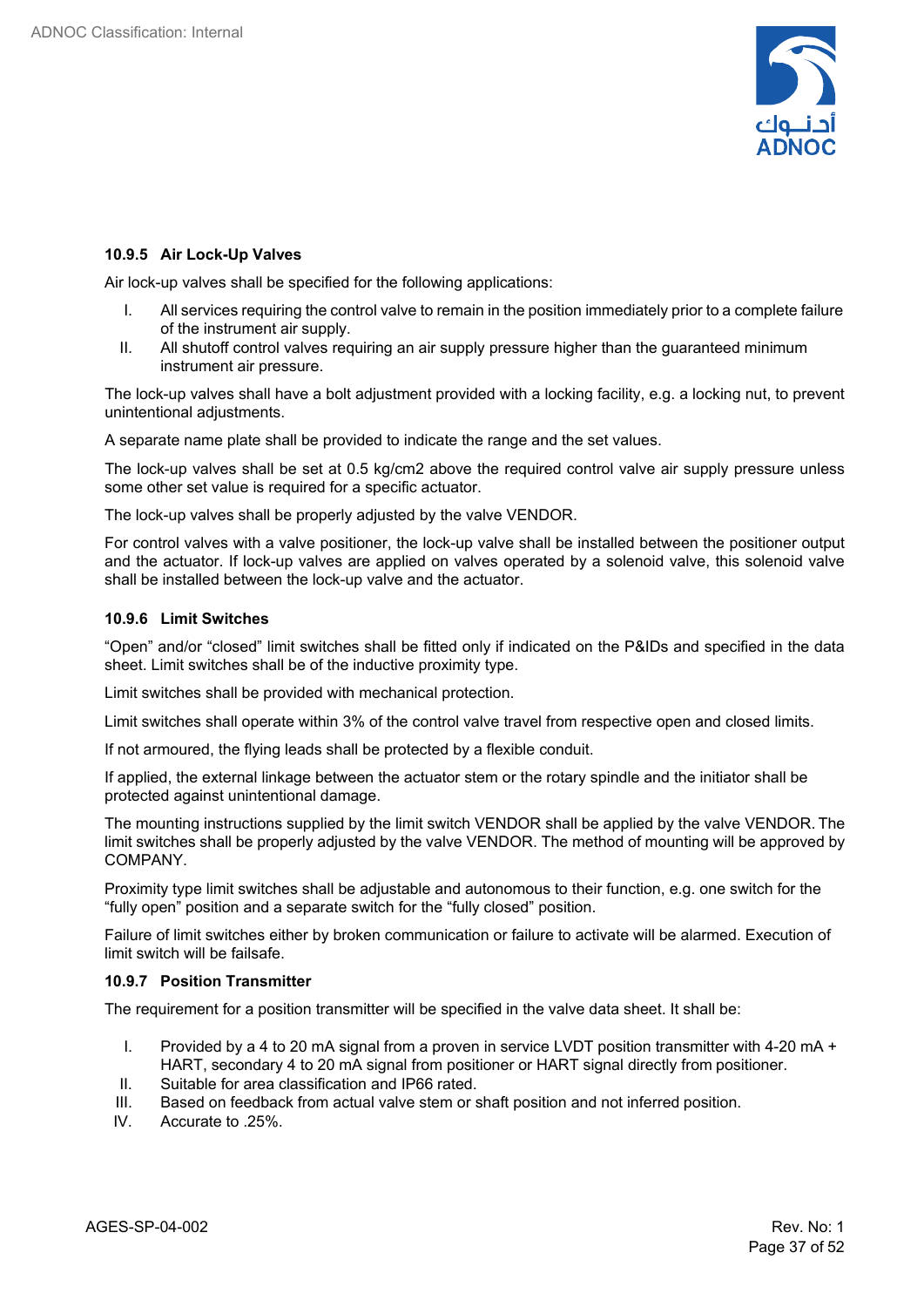

# **10.9.5 Air Lock-Up Valves**

Air lock-up valves shall be specified for the following applications:

- I. All services requiring the control valve to remain in the position immediately prior to a complete failure of the instrument air supply.
- II. All shutoff control valves requiring an air supply pressure higher than the guaranteed minimum instrument air pressure.

The lock-up valves shall have a bolt adjustment provided with a locking facility, e.g. a locking nut, to prevent unintentional adjustments.

A separate name plate shall be provided to indicate the range and the set values.

The lock-up valves shall be set at 0.5 kg/cm2 above the required control valve air supply pressure unless some other set value is required for a specific actuator.

The lock-up valves shall be properly adjusted by the valve VENDOR.

For control valves with a valve positioner, the lock-up valve shall be installed between the positioner output and the actuator. If lock-up valves are applied on valves operated by a solenoid valve, this solenoid valve shall be installed between the lock-up valve and the actuator.

#### **10.9.6 Limit Switches**

"Open" and/or "closed" limit switches shall be fitted only if indicated on the P&IDs and specified in the data sheet. Limit switches shall be of the inductive proximity type.

Limit switches shall be provided with mechanical protection.

Limit switches shall operate within 3% of the control valve travel from respective open and closed limits.

If not armoured, the flying leads shall be protected by a flexible conduit.

If applied, the external linkage between the actuator stem or the rotary spindle and the initiator shall be protected against unintentional damage.

The mounting instructions supplied by the limit switch VENDOR shall be applied by the valve VENDOR. The limit switches shall be properly adjusted by the valve VENDOR. The method of mounting will be approved by **COMPANY** 

Proximity type limit switches shall be adjustable and autonomous to their function, e.g. one switch for the "fully open" position and a separate switch for the "fully closed" position.

Failure of limit switches either by broken communication or failure to activate will be alarmed. Execution of limit switch will be failsafe.

# **10.9.7 Position Transmitter**

The requirement for a position transmitter will be specified in the valve data sheet. It shall be:

- I. Provided by a 4 to 20 mA signal from a proven in service LVDT position transmitter with 4-20 mA + HART, secondary 4 to 20 mA signal from positioner or HART signal directly from positioner.
- II. Suitable for area classification and IP66 rated.
- III. Based on feedback from actual valve stem or shaft position and not inferred position.
- IV. Accurate to .25%.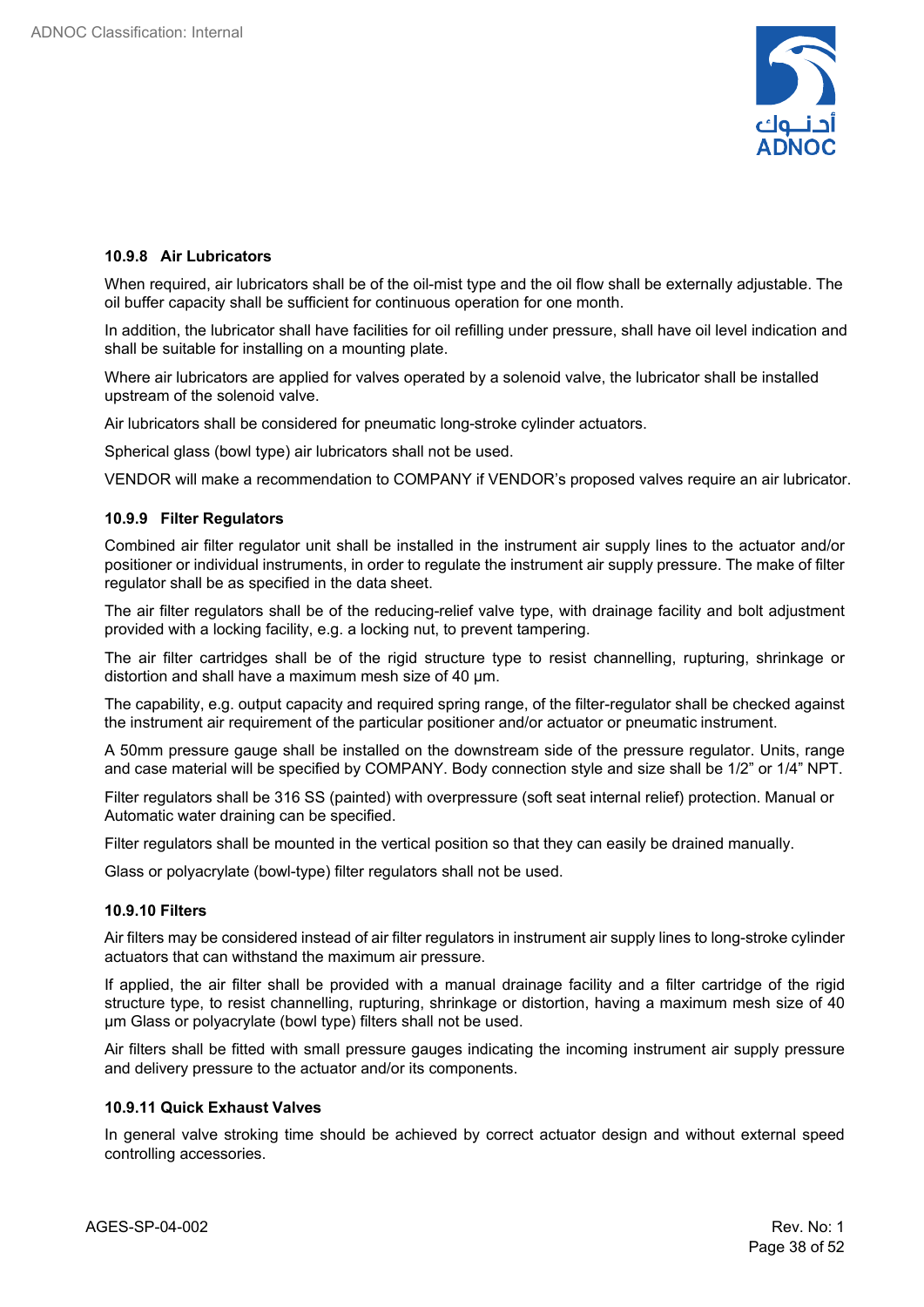

# **10.9.8 Air Lubricators**

When required, air lubricators shall be of the oil-mist type and the oil flow shall be externally adjustable. The oil buffer capacity shall be sufficient for continuous operation for one month.

In addition, the lubricator shall have facilities for oil refilling under pressure, shall have oil level indication and shall be suitable for installing on a mounting plate.

Where air lubricators are applied for valves operated by a solenoid valve, the lubricator shall be installed upstream of the solenoid valve.

Air lubricators shall be considered for pneumatic long-stroke cylinder actuators.

Spherical glass (bowl type) air lubricators shall not be used.

VENDOR will make a recommendation to COMPANY if VENDOR's proposed valves require an air lubricator.

# **10.9.9 Filter Regulators**

Combined air filter regulator unit shall be installed in the instrument air supply lines to the actuator and/or positioner or individual instruments, in order to regulate the instrument air supply pressure. The make of filter regulator shall be as specified in the data sheet.

The air filter regulators shall be of the reducing-relief valve type, with drainage facility and bolt adjustment provided with a locking facility, e.g. a locking nut, to prevent tampering.

The air filter cartridges shall be of the rigid structure type to resist channelling, rupturing, shrinkage or distortion and shall have a maximum mesh size of 40 µm.

The capability, e.g. output capacity and required spring range, of the filter-regulator shall be checked against the instrument air requirement of the particular positioner and/or actuator or pneumatic instrument.

A 50mm pressure gauge shall be installed on the downstream side of the pressure regulator. Units, range and case material will be specified by COMPANY. Body connection style and size shall be 1/2" or 1/4" NPT.

Filter regulators shall be 316 SS (painted) with overpressure (soft seat internal relief) protection. Manual or Automatic water draining can be specified.

Filter regulators shall be mounted in the vertical position so that they can easily be drained manually.

Glass or polyacrylate (bowl-type) filter regulators shall not be used.

#### **10.9.10 Filters**

Air filters may be considered instead of air filter regulators in instrument air supply lines to long-stroke cylinder actuators that can withstand the maximum air pressure.

If applied, the air filter shall be provided with a manual drainage facility and a filter cartridge of the rigid structure type, to resist channelling, rupturing, shrinkage or distortion, having a maximum mesh size of 40 µm Glass or polyacrylate (bowl type) filters shall not be used.

Air filters shall be fitted with small pressure gauges indicating the incoming instrument air supply pressure and delivery pressure to the actuator and/or its components.

#### **10.9.11 Quick Exhaust Valves**

In general valve stroking time should be achieved by correct actuator design and without external speed controlling accessories.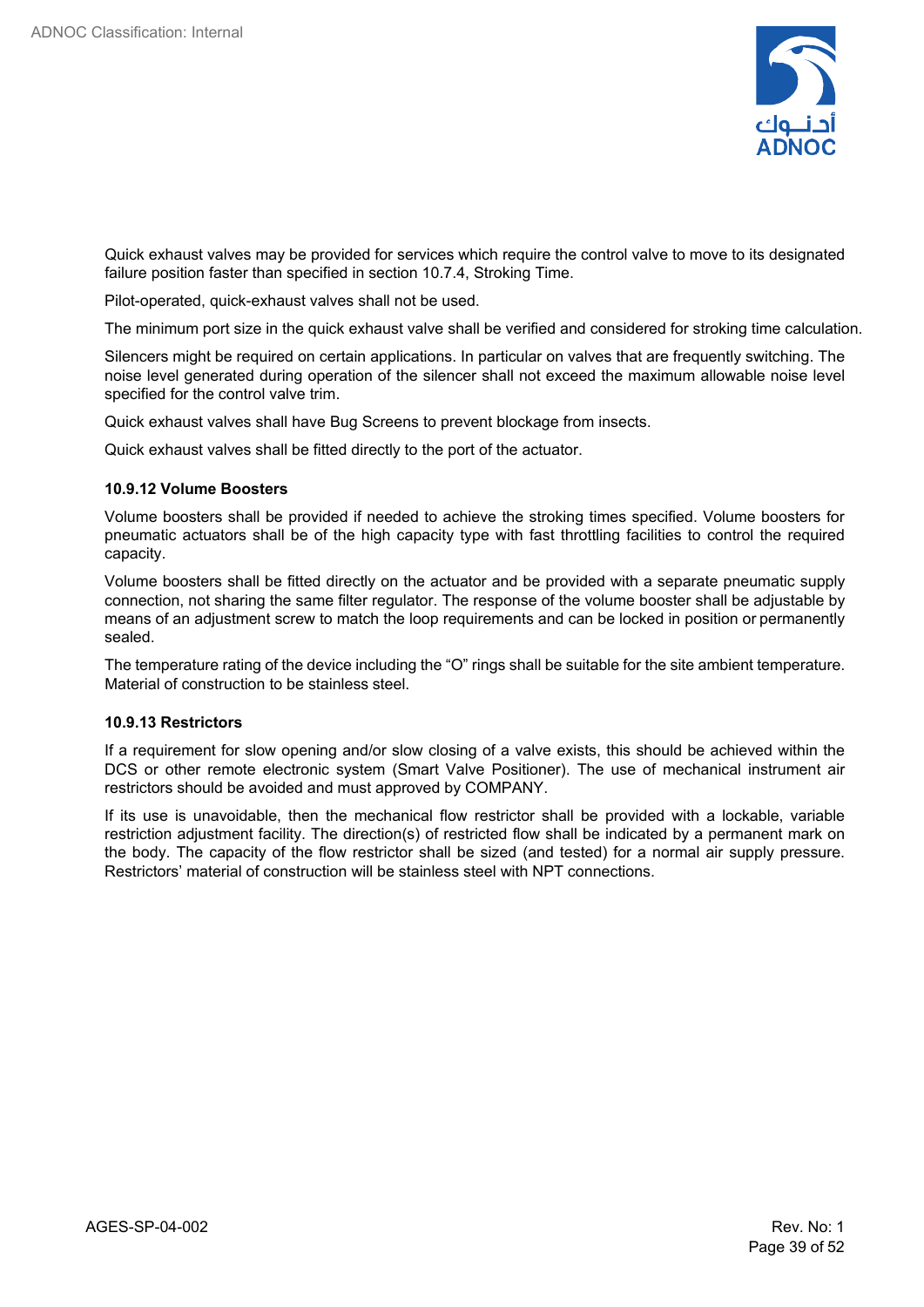

<span id="page-39-0"></span>Quick exhaust valves may be provided for services which require the control valve to move to its designated failure position faster than specified in section [10.7.4, S](#page-32-0)troking Time.

Pilot-operated, quick-exhaust valves shall not be used.

The minimum port size in the quick exhaust valve shall be verified and considered for stroking time calculation.

Silencers might be required on certain applications. In particular on valves that are frequently switching. The noise level generated during operation of the silencer shall not exceed the maximum allowable noise level specified for the control valve trim.

Quick exhaust valves shall have Bug Screens to prevent blockage from insects.

Quick exhaust valves shall be fitted directly to the port of the actuator.

#### **10.9.12 Volume Boosters**

Volume boosters shall be provided if needed to achieve the stroking times specified. Volume boosters for pneumatic actuators shall be of the high capacity type with fast throttling facilities to control the required capacity.

Volume boosters shall be fitted directly on the actuator and be provided with a separate pneumatic supply connection, not sharing the same filter regulator. The response of the volume booster shall be adjustable by means of an adjustment screw to match the loop requirements and can be locked in position or permanently sealed.

The temperature rating of the device including the "O" rings shall be suitable for the site ambient temperature. Material of construction to be stainless steel.

#### **10.9.13 Restrictors**

If a requirement for slow opening and/or slow closing of a valve exists, this should be achieved within the DCS or other remote electronic system (Smart Valve Positioner). The use of mechanical instrument air restrictors should be avoided and must approved by COMPANY.

If its use is unavoidable, then the mechanical flow restrictor shall be provided with a lockable, variable restriction adjustment facility. The direction(s) of restricted flow shall be indicated by a permanent mark on the body. The capacity of the flow restrictor shall be sized (and tested) for a normal air supply pressure. Restrictors' material of construction will be stainless steel with NPT connections.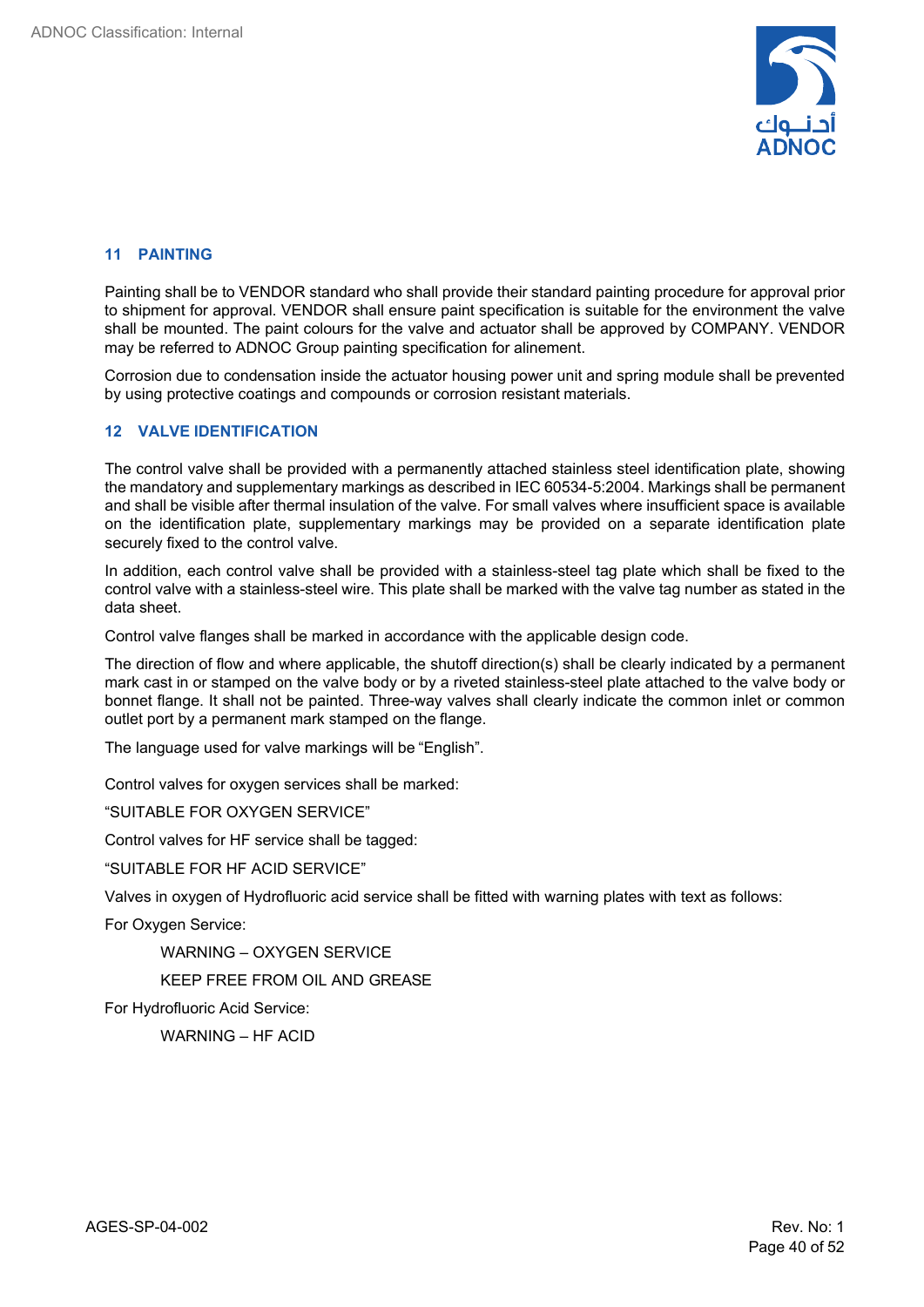

# **11 PAINTING**

Painting shall be to VENDOR standard who shall provide their standard painting procedure for approval prior to shipment for approval. VENDOR shall ensure paint specification is suitable for the environment the valve shall be mounted. The paint colours for the valve and actuator shall be approved by COMPANY. VENDOR may be referred to ADNOC Group painting specification for alinement.

Corrosion due to condensation inside the actuator housing power unit and spring module shall be prevented by using protective coatings and compounds or corrosion resistant materials.

# <span id="page-40-0"></span>**12 VALVE IDENTIFICATION**

The control valve shall be provided with a permanently attached stainless steel identification plate, showing the mandatory and supplementary markings as described in IEC 60534-5:2004. Markings shall be permanent and shall be visible after thermal insulation of the valve. For small valves where insufficient space is available on the identification plate, supplementary markings may be provided on a separate identification plate securely fixed to the control valve.

In addition, each control valve shall be provided with a stainless-steel tag plate which shall be fixed to the control valve with a stainless-steel wire. This plate shall be marked with the valve tag number as stated in the data sheet.

Control valve flanges shall be marked in accordance with the applicable design code.

The direction of flow and where applicable, the shutoff direction(s) shall be clearly indicated by a permanent mark cast in or stamped on the valve body or by a riveted stainless-steel plate attached to the valve body or bonnet flange. It shall not be painted. Three-way valves shall clearly indicate the common inlet or common outlet port by a permanent mark stamped on the flange.

The language used for valve markings will be "English".

Control valves for oxygen services shall be marked:

"SUITABLE FOR OXYGEN SERVICE"

Control valves for HF service shall be tagged:

"SUITABLE FOR HF ACID SERVICE"

Valves in oxygen of Hydrofluoric acid service shall be fitted with warning plates with text as follows:

For Oxygen Service:

WARNING – OXYGEN SERVICE

KEEP FREE FROM OIL AND GREASE

For Hydrofluoric Acid Service:

WARNING – HF ACID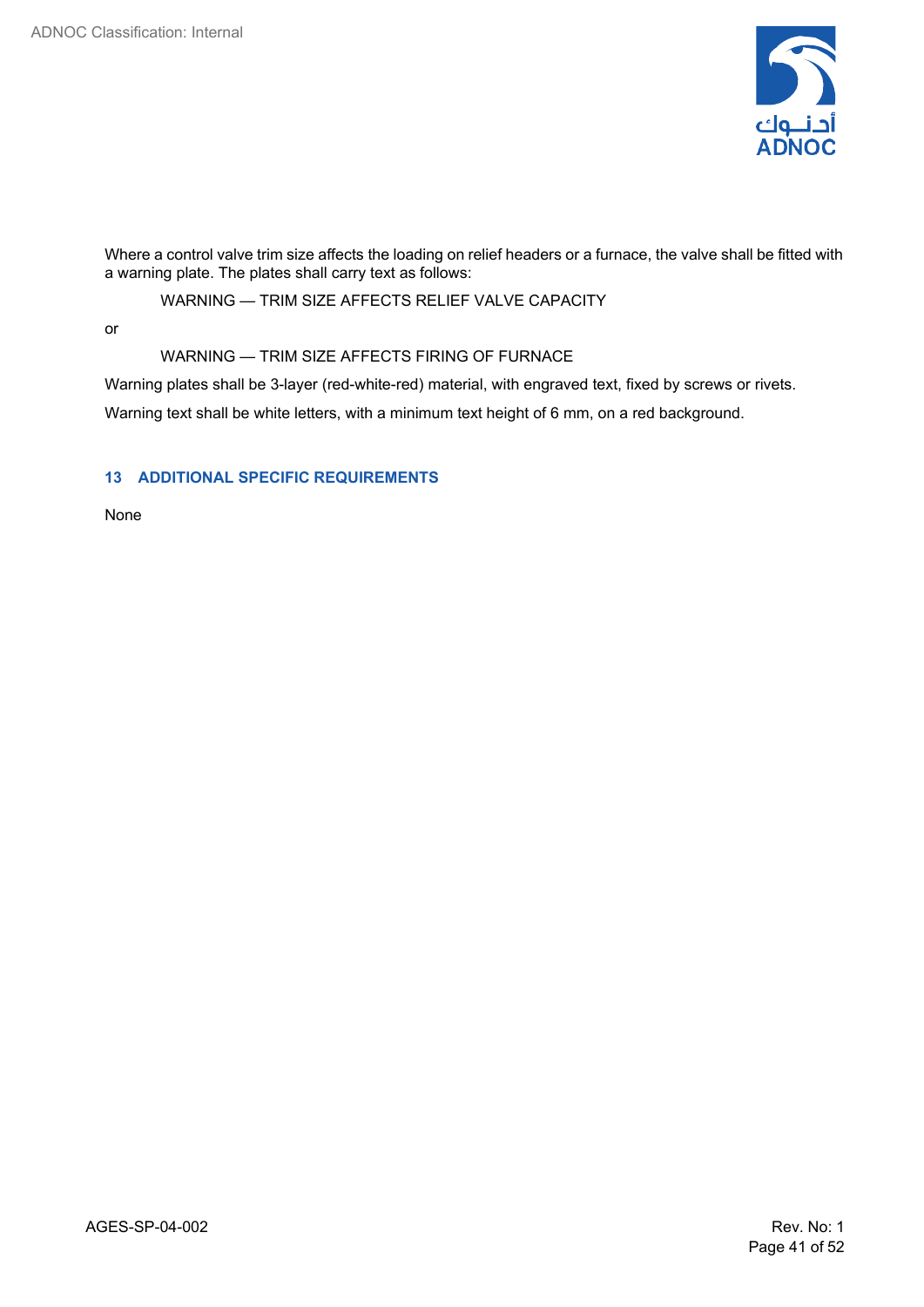

Where a control valve trim size affects the loading on relief headers or a furnace, the valve shall be fitted with a warning plate. The plates shall carry text as follows:

WARNING — TRIM SIZE AFFECTS RELIEF VALVE CAPACITY

or

WARNING — TRIM SIZE AFFECTS FIRING OF FURNACE

Warning plates shall be 3-layer (red-white-red) material, with engraved text, fixed by screws or rivets.

Warning text shall be white letters, with a minimum text height of 6 mm, on a red background.

# <span id="page-41-0"></span>**13 ADDITIONAL SPECIFIC REQUIREMENTS**

None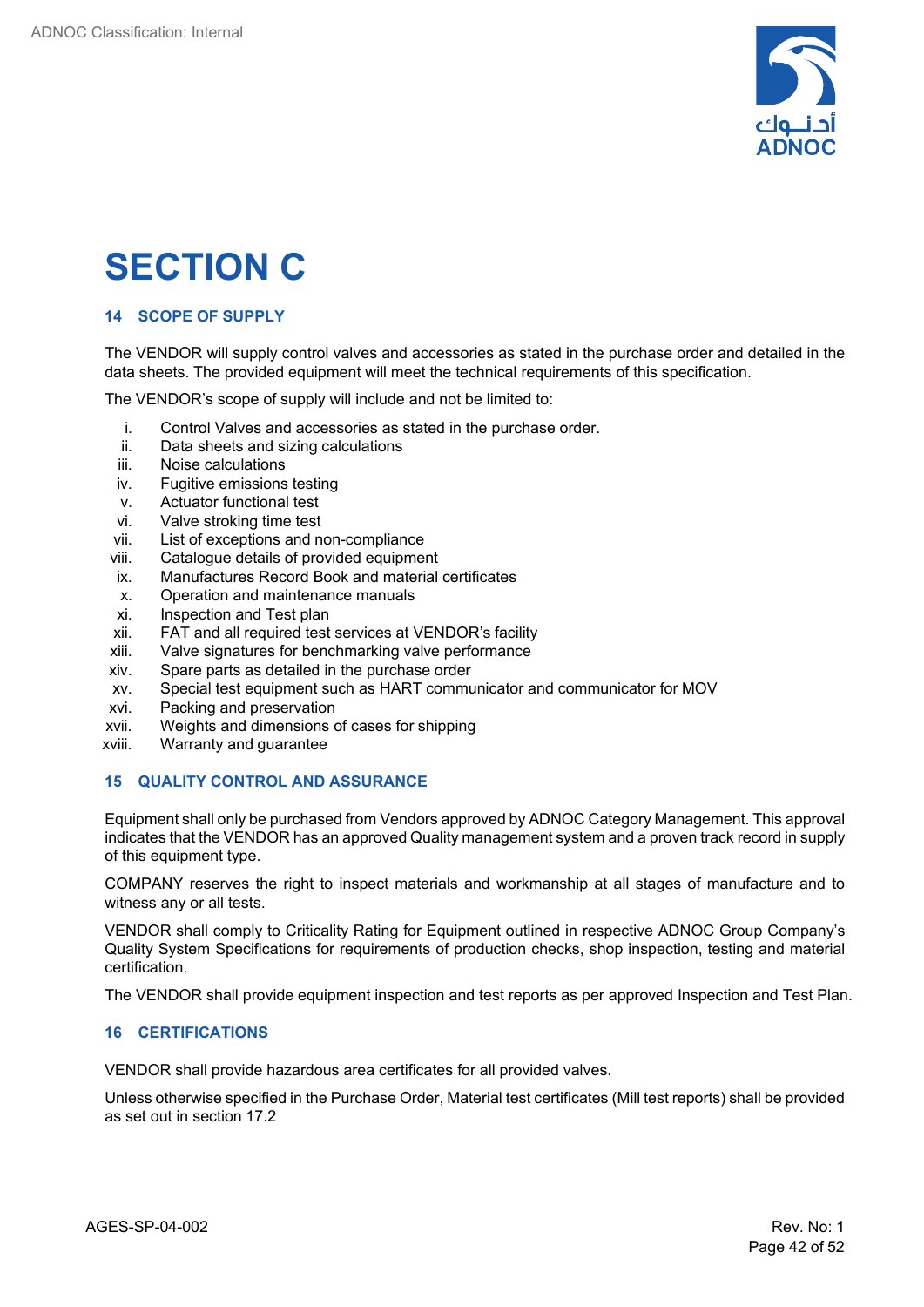

# <span id="page-42-0"></span>**SECTION C**

# <span id="page-42-1"></span>**14 SCOPE OF SUPPLY**

The VENDOR will supply control valves and accessories as stated in the purchase order and detailed in the data sheets. The provided equipment will meet the technical requirements of this specification.

The VENDOR's scope of supply will include and not be limited to:

- i. Control Valves and accessories as stated in the purchase order.
- ii. Data sheets and sizing calculations
- iii. Noise calculations
- iv. Fugitive emissions testing
- v. Actuator functional test<br>vi. Valve stroking time test
- Valve stroking time test
- vii. List of exceptions and non-compliance
- viii. Catalogue details of provided equipment
- ix. Manufactures Record Book and material certificates
- x. Operation and maintenance manuals
- xi. Inspection and Test plan
- xii. FAT and all required test services at VENDOR's facility
- xiii. Valve signatures for benchmarking valve performance
- xiv. Spare parts as detailed in the purchase order
- xv. Special test equipment such as HART communicator and communicator for MOV
- xvi. Packing and preservation
- xvii. Weights and dimensions of cases for shipping
- xviii. Warranty and guarantee

# <span id="page-42-2"></span>**15 QUALITY CONTROL AND ASSURANCE**

Equipment shall only be purchased from Vendors approved by ADNOC Category Management. This approval indicates that the VENDOR has an approved Quality management system and a proven track record in supply of this equipment type.

COMPANY reserves the right to inspect materials and workmanship at all stages of manufacture and to witness any or all tests.

VENDOR shall comply to Criticality Rating for Equipment outlined in respective ADNOC Group Company's Quality System Specifications for requirements of production checks, shop inspection, testing and material certification.

The VENDOR shall provide equipment inspection and test reports as per approved Inspection and Test Plan.

# <span id="page-42-3"></span>**16 CERTIFICATIONS**

VENDOR shall provide hazardous area certificates for all provided valves.

Unless otherwise specified in the Purchase Order, Material test certificates (Mill test reports) shall be provided as set out in section [17.2](#page-43-2)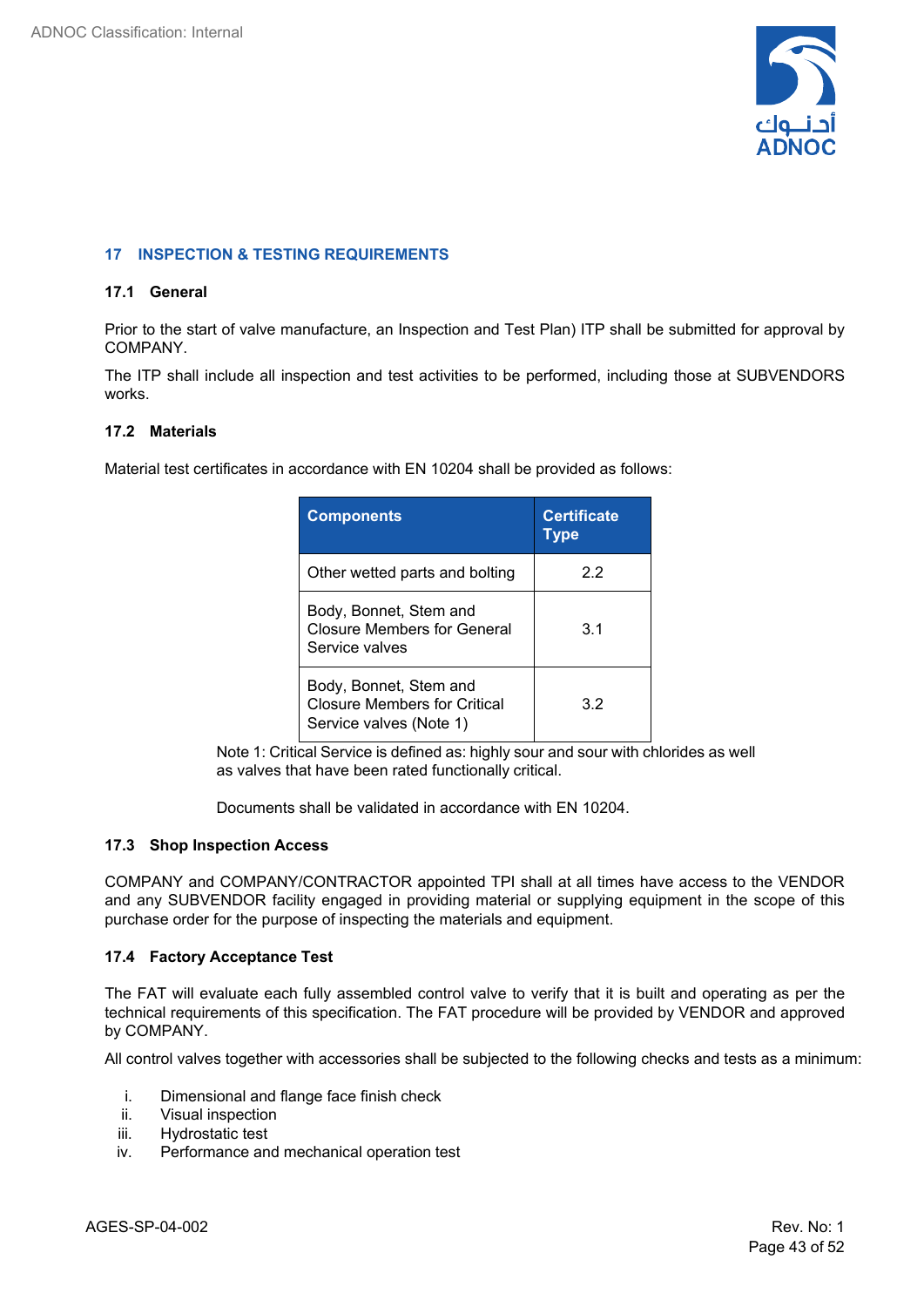

# <span id="page-43-0"></span>**17 INSPECTION & TESTING REQUIREMENTS**

#### <span id="page-43-1"></span>**17.1 General**

Prior to the start of valve manufacture, an Inspection and Test Plan) ITP shall be submitted for approval by COMPANY.

The ITP shall include all inspection and test activities to be performed, including those at SUBVENDORS works.

#### <span id="page-43-2"></span>**17.2 Materials**

Material test certificates in accordance with EN 10204 shall be provided as follows:

| <b>Components</b>                                                                        | <b>Certificate</b><br>Type |
|------------------------------------------------------------------------------------------|----------------------------|
| Other wetted parts and bolting                                                           | 22                         |
| Body, Bonnet, Stem and<br>Closure Members for General<br>Service valves                  | 3.1                        |
| Body, Bonnet, Stem and<br><b>Closure Members for Critical</b><br>Service valves (Note 1) | 3.2                        |

Note 1: Critical Service is defined as: highly sour and sour with chlorides as well as valves that have been rated functionally critical.

Documents shall be validated in accordance with EN 10204.

# <span id="page-43-3"></span>**17.3 Shop Inspection Access**

COMPANY and COMPANY/CONTRACTOR appointed TPI shall at all times have access to the VENDOR and any SUBVENDOR facility engaged in providing material or supplying equipment in the scope of this purchase order for the purpose of inspecting the materials and equipment.

# <span id="page-43-4"></span>**17.4 Factory Acceptance Test**

The FAT will evaluate each fully assembled control valve to verify that it is built and operating as per the technical requirements of this specification. The FAT procedure will be provided by VENDOR and approved by COMPANY.

All control valves together with accessories shall be subjected to the following checks and tests as a minimum:

- i. Dimensional and flange face finish check
- ii. Visual inspection
- iii. Hydrostatic test
- iv. Performance and mechanical operation test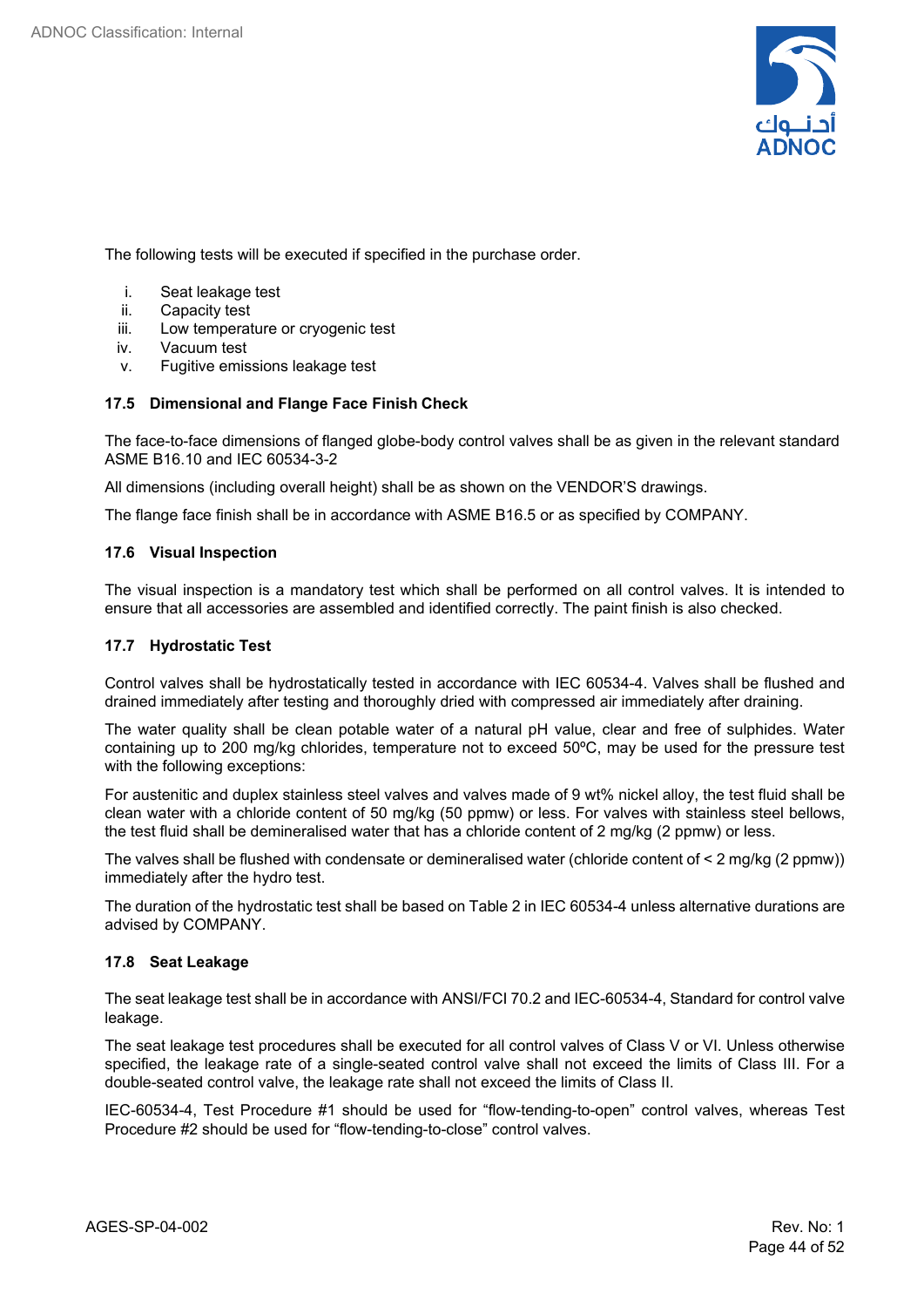

The following tests will be executed if specified in the purchase order.

- i. Seat leakage test
- ii. Capacity test
- iii. Low temperature or cryogenic test
- iv. Vacuum test
- v. Fugitive emissions leakage test

# <span id="page-44-0"></span>**17.5 Dimensional and Flange Face Finish Check**

The face-to-face dimensions of flanged globe-body control valves shall be as given in the relevant standard ASME B16.10 and IEC 60534-3-2

All dimensions (including overall height) shall be as shown on the VENDOR'S drawings.

The flange face finish shall be in accordance with ASME B16.5 or as specified by COMPANY.

# <span id="page-44-1"></span>**17.6 Visual Inspection**

The visual inspection is a mandatory test which shall be performed on all control valves. It is intended to ensure that all accessories are assembled and identified correctly. The paint finish is also checked.

# <span id="page-44-2"></span>**17.7 Hydrostatic Test**

Control valves shall be hydrostatically tested in accordance with IEC 60534-4. Valves shall be flushed and drained immediately after testing and thoroughly dried with compressed air immediately after draining.

The water quality shall be clean potable water of a natural pH value, clear and free of sulphides. Water containing up to 200 mg/kg chlorides, temperature not to exceed 50ºC, may be used for the pressure test with the following exceptions:

For austenitic and duplex stainless steel valves and valves made of 9 wt% nickel alloy, the test fluid shall be clean water with a chloride content of 50 mg/kg (50 ppmw) or less. For valves with stainless steel bellows, the test fluid shall be demineralised water that has a chloride content of 2 mg/kg (2 ppmw) or less.

The valves shall be flushed with condensate or demineralised water (chloride content of < 2 mg/kg (2 ppmw)) immediately after the hydro test.

The duration of the hydrostatic test shall be based on Table 2 in IEC 60534-4 unless alternative durations are advised by COMPANY.

# <span id="page-44-3"></span>**17.8 Seat Leakage**

The seat leakage test shall be in accordance with ANSI/FCI 70.2 and IEC-60534-4, Standard for control valve leakage.

The seat leakage test procedures shall be executed for all control valves of Class V or VI. Unless otherwise specified, the leakage rate of a single-seated control valve shall not exceed the limits of Class III. For a double-seated control valve, the leakage rate shall not exceed the limits of Class II.

IEC-60534-4, Test Procedure #1 should be used for "flow-tending-to-open" control valves, whereas Test Procedure #2 should be used for "flow-tending-to-close" control valves.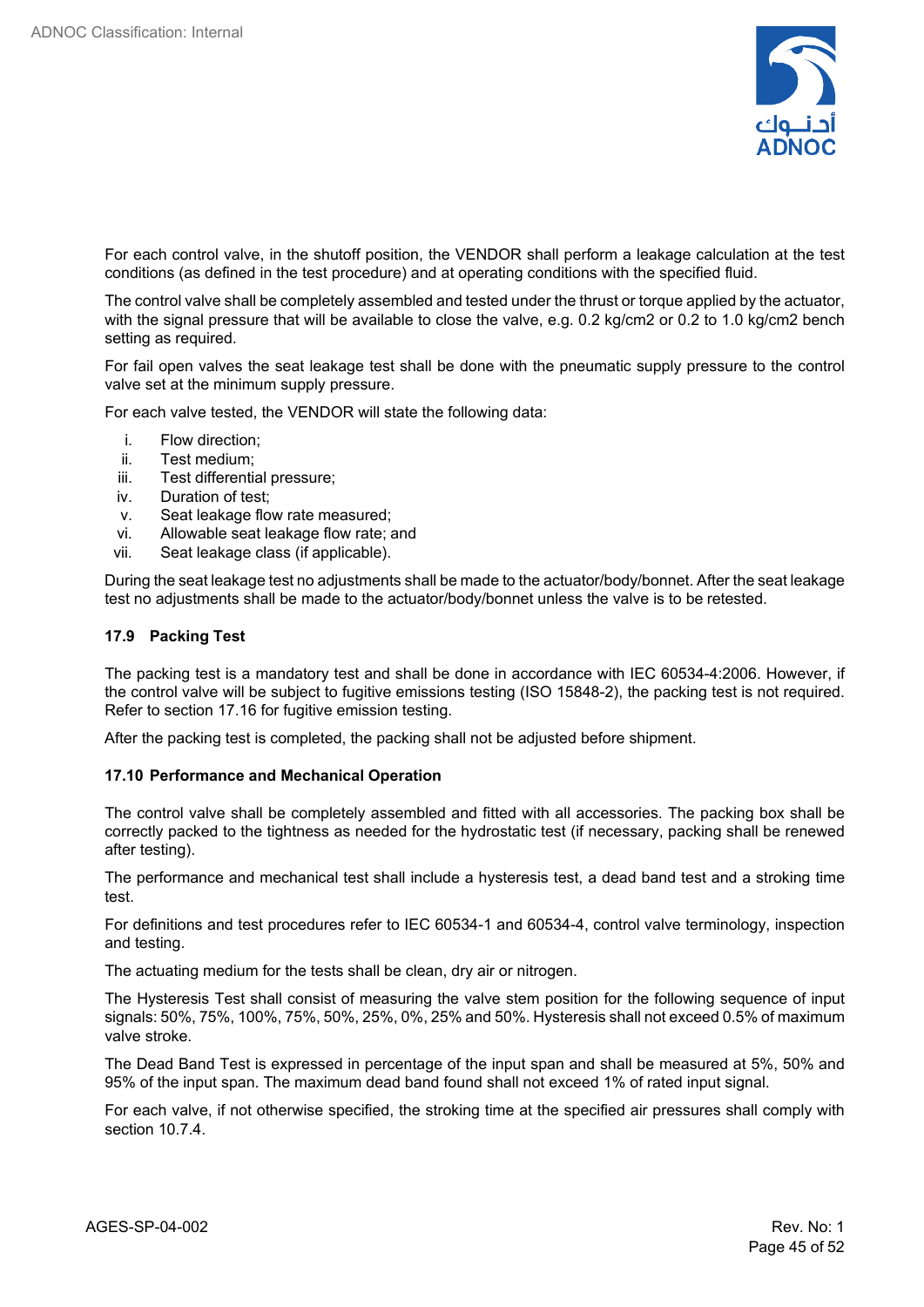

For each control valve, in the shutoff position, the VENDOR shall perform a leakage calculation at the test conditions (as defined in the test procedure) and at operating conditions with the specified fluid.

The control valve shall be completely assembled and tested under the thrust or torque applied by the actuator, with the signal pressure that will be available to close the valve, e.g. 0.2 kg/cm2 or 0.2 to 1.0 kg/cm2 bench setting as required.

For fail open valves the seat leakage test shall be done with the pneumatic supply pressure to the control valve set at the minimum supply pressure.

For each valve tested, the VENDOR will state the following data:

- i. Flow direction;
- ii. Test medium;
- iii. Test differential pressure;
- iv. Duration of test;
- v. Seat leakage flow rate measured;
- vi. Allowable seat leakage flow rate; and
- vii. Seat leakage class (if applicable).

During the seat leakage test no adjustments shall be made to the actuator/body/bonnet. After the seat leakage test no adjustments shall be made to the actuator/body/bonnet unless the valve is to be retested.

#### <span id="page-45-0"></span>**17.9 Packing Test**

The packing test is a mandatory test and shall be done in accordance with IEC 60534-4:2006. However, if the control valve will be subject to fugitive emissions testing (ISO 15848-2), the packing test is not required. Refer to section [17.16 f](#page-46-5)or fugitive emission testing.

After the packing test is completed, the packing shall not be adjusted before shipment.

#### <span id="page-45-1"></span>**17.10 Performance and Mechanical Operation**

The control valve shall be completely assembled and fitted with all accessories. The packing box shall be correctly packed to the tightness as needed for the hydrostatic test (if necessary, packing shall be renewed after testing).

The performance and mechanical test shall include a hysteresis test, a dead band test and a stroking time test.

For definitions and test procedures refer to IEC 60534-1 and 60534-4, control valve terminology, inspection and testing.

The actuating medium for the tests shall be clean, dry air or nitrogen.

The Hysteresis Test shall consist of measuring the valve stem position for the following sequence of input signals: 50%, 75%, 100%, 75%, 50%, 25%, 0%, 25% and 50%. Hysteresis shall not exceed 0.5% of maximum valve stroke.

The Dead Band Test is expressed in percentage of the input span and shall be measured at 5%, 50% and 95% of the input span. The maximum dead band found shall not exceed 1% of rated input signal.

For each valve, if not otherwise specified, the stroking time at the specified air pressures shall comply with section [10.7.4.](#page-32-0)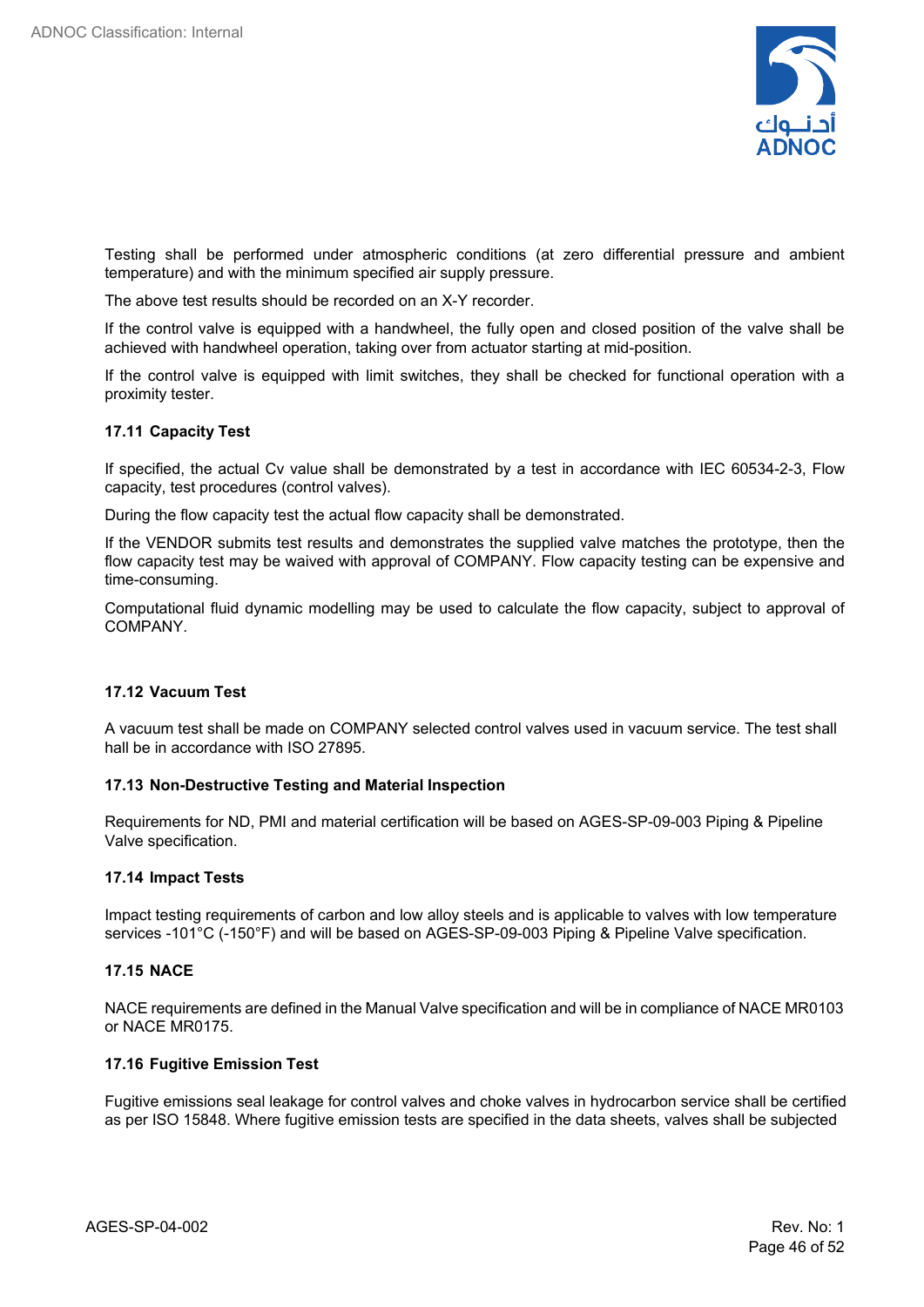

Testing shall be performed under atmospheric conditions (at zero differential pressure and ambient temperature) and with the minimum specified air supply pressure.

The above test results should be recorded on an X-Y recorder.

If the control valve is equipped with a handwheel, the fully open and closed position of the valve shall be achieved with handwheel operation, taking over from actuator starting at mid-position.

If the control valve is equipped with limit switches, they shall be checked for functional operation with a proximity tester.

#### <span id="page-46-0"></span>**17.11 Capacity Test**

If specified, the actual Cv value shall be demonstrated by a test in accordance with IEC 60534-2-3, Flow capacity, test procedures (control valves).

During the flow capacity test the actual flow capacity shall be demonstrated.

If the VENDOR submits test results and demonstrates the supplied valve matches the prototype, then the flow capacity test may be waived with approval of COMPANY. Flow capacity testing can be expensive and time-consuming.

Computational fluid dynamic modelling may be used to calculate the flow capacity, subject to approval of COMPANY.

# <span id="page-46-1"></span>**17.12 Vacuum Test**

A vacuum test shall be made on COMPANY selected control valves used in vacuum service. The test shall hall be in accordance with ISO 27895.

#### <span id="page-46-2"></span>**17.13 Non-Destructive Testing and Material Inspection**

Requirements for ND, PMI and material certification will be based on AGES-SP-09-003 Piping & Pipeline Valve specification.

#### <span id="page-46-3"></span>**17.14 Impact Tests**

Impact testing requirements of carbon and low alloy steels and is applicable to valves with low temperature services -101°C (-150°F) and will be based on AGES-SP-09-003 Piping & Pipeline Valve specification.

#### <span id="page-46-4"></span>**17.15 NACE**

NACE requirements are defined in the Manual Valve specification and will be in compliance of NACE MR0103 or NACE MR0175.

#### <span id="page-46-5"></span>**17.16 Fugitive Emission Test**

Fugitive emissions seal leakage for control valves and choke valves in hydrocarbon service shall be certified as per ISO 15848. Where fugitive emission tests are specified in the data sheets, valves shall be subjected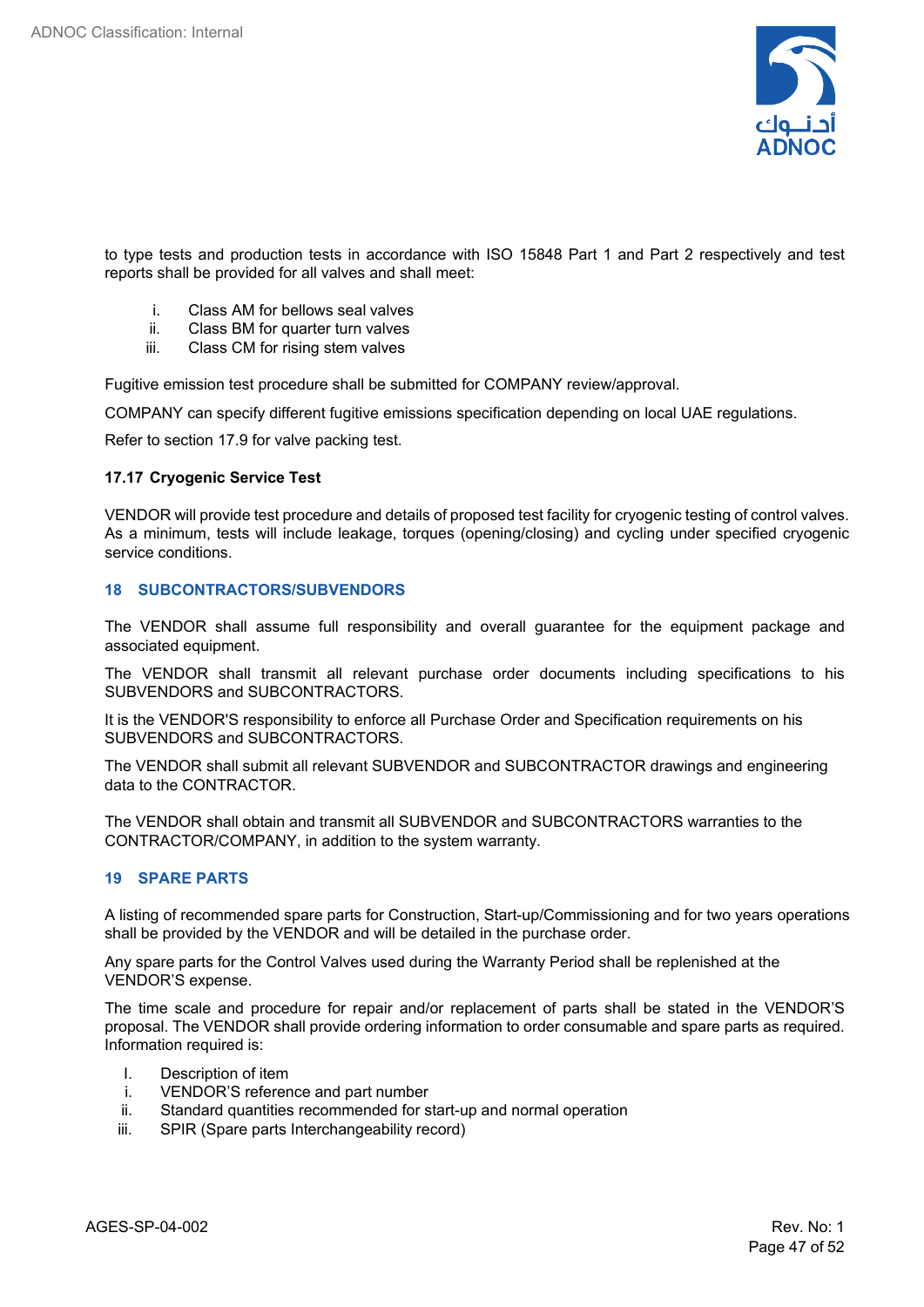

to type tests and production tests in accordance with ISO 15848 Part 1 and Part 2 respectively and test reports shall be provided for all valves and shall meet:

- i. Class AM for bellows seal valves
- ii. Class BM for quarter turn valves
- iii. Class CM for rising stem valves

Fugitive emission test procedure shall be submitted for COMPANY review/approval.

COMPANY can specify different fugitive emissions specification depending on local UAE regulations.

Refer to section [17.9 f](#page-45-0)or valve packing test.

#### <span id="page-47-0"></span>**17.17 Cryogenic Service Test**

VENDOR will provide test procedure and details of proposed test facility for cryogenic testing of control valves. As a minimum, tests will include leakage, torques (opening/closing) and cycling under specified cryogenic service conditions.

#### <span id="page-47-1"></span>**18 SUBCONTRACTORS/SUBVENDORS**

The VENDOR shall assume full responsibility and overall guarantee for the equipment package and associated equipment.

The VENDOR shall transmit all relevant purchase order documents including specifications to his SUBVENDORS and SUBCONTRACTORS.

It is the VENDOR'S responsibility to enforce all Purchase Order and Specification requirements on his SUBVENDORS and SUBCONTRACTORS.

The VENDOR shall submit all relevant SUBVENDOR and SUBCONTRACTOR drawings and engineering data to the CONTRACTOR.

The VENDOR shall obtain and transmit all SUBVENDOR and SUBCONTRACTORS warranties to the CONTRACTOR/COMPANY, in addition to the system warranty.

#### <span id="page-47-2"></span>**19 SPARE PARTS**

A listing of recommended spare parts for Construction, Start-up/Commissioning and for two years operations shall be provided by the VENDOR and will be detailed in the purchase order.

Any spare parts for the Control Valves used during the Warranty Period shall be replenished at the VENDOR'S expense.

The time scale and procedure for repair and/or replacement of parts shall be stated in the VENDOR'S proposal. The VENDOR shall provide ordering information to order consumable and spare parts as required. Information required is:

- I. Description of item
- i. VENDOR'S reference and part number
- ii. Standard quantities recommended for start-up and normal operation
- iii. SPIR (Spare parts Interchangeability record)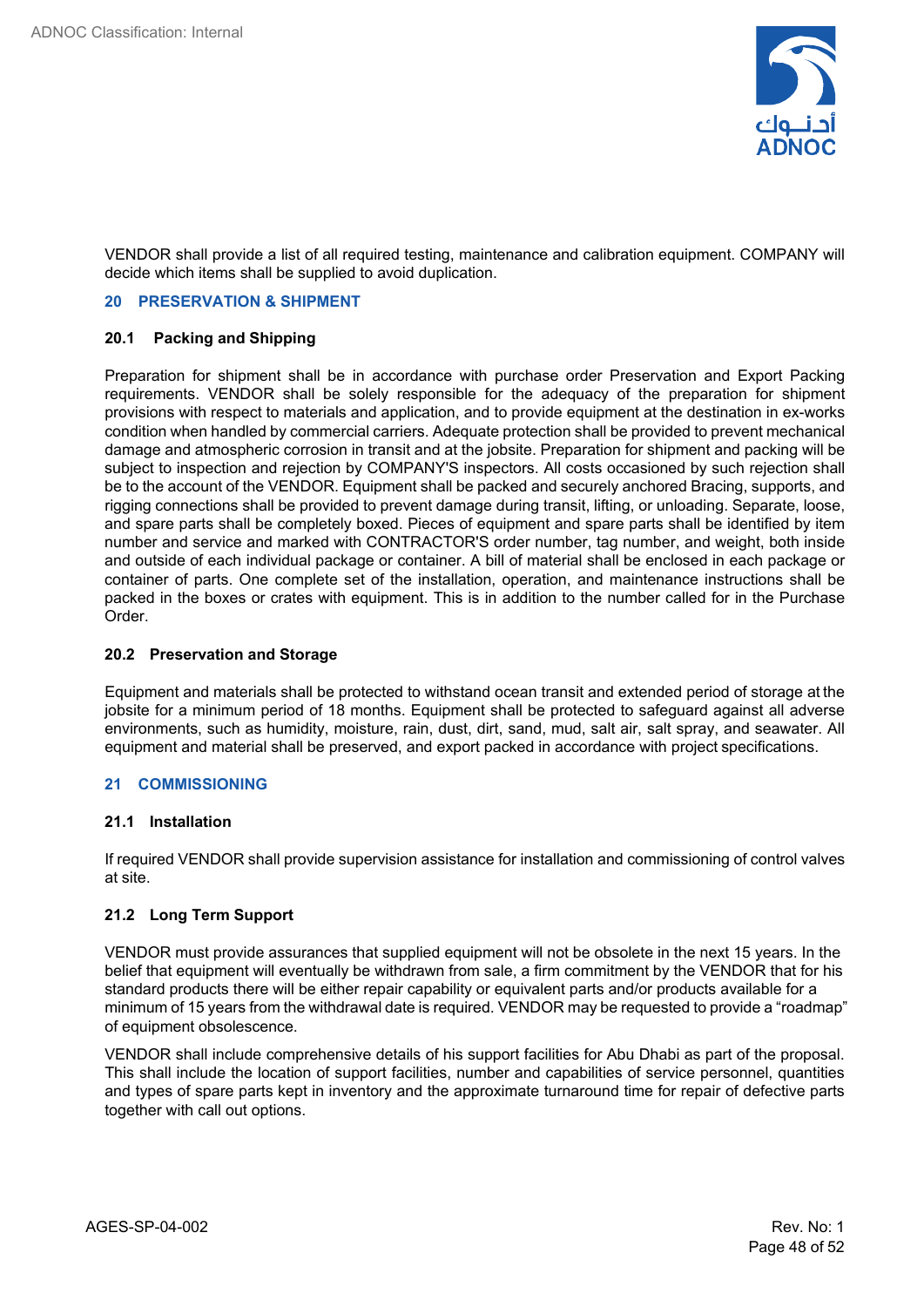

VENDOR shall provide a list of all required testing, maintenance and calibration equipment. COMPANY will decide which items shall be supplied to avoid duplication.

# <span id="page-48-0"></span>**20 PRESERVATION & SHIPMENT**

# <span id="page-48-1"></span>**20.1 Packing and Shipping**

Preparation for shipment shall be in accordance with purchase order Preservation and Export Packing requirements. VENDOR shall be solely responsible for the adequacy of the preparation for shipment provisions with respect to materials and application, and to provide equipment at the destination in ex-works condition when handled by commercial carriers. Adequate protection shall be provided to prevent mechanical damage and atmospheric corrosion in transit and at the jobsite. Preparation for shipment and packing will be subject to inspection and rejection by COMPANY'S inspectors. All costs occasioned by such rejection shall be to the account of the VENDOR. Equipment shall be packed and securely anchored Bracing, supports, and rigging connections shall be provided to prevent damage during transit, lifting, or unloading. Separate, loose, and spare parts shall be completely boxed. Pieces of equipment and spare parts shall be identified by item number and service and marked with CONTRACTOR'S order number, tag number, and weight, both inside and outside of each individual package or container. A bill of material shall be enclosed in each package or container of parts. One complete set of the installation, operation, and maintenance instructions shall be packed in the boxes or crates with equipment. This is in addition to the number called for in the Purchase Order.

#### <span id="page-48-2"></span>**20.2 Preservation and Storage**

Equipment and materials shall be protected to withstand ocean transit and extended period of storage at the jobsite for a minimum period of 18 months. Equipment shall be protected to safeguard against all adverse environments, such as humidity, moisture, rain, dust, dirt, sand, mud, salt air, salt spray, and seawater. All equipment and material shall be preserved, and export packed in accordance with project specifications.

# <span id="page-48-3"></span>**21 COMMISSIONING**

# <span id="page-48-4"></span>**21.1 Installation**

If required VENDOR shall provide supervision assistance for installation and commissioning of control valves at site.

# <span id="page-48-5"></span>**21.2 Long Term Support**

VENDOR must provide assurances that supplied equipment will not be obsolete in the next 15 years. In the belief that equipment will eventually be withdrawn from sale, a firm commitment by the VENDOR that for his standard products there will be either repair capability or equivalent parts and/or products available for a minimum of 15 years from the withdrawal date is required. VENDOR may be requested to provide a "roadmap" of equipment obsolescence.

VENDOR shall include comprehensive details of his support facilities for Abu Dhabi as part of the proposal. This shall include the location of support facilities, number and capabilities of service personnel, quantities and types of spare parts kept in inventory and the approximate turnaround time for repair of defective parts together with call out options.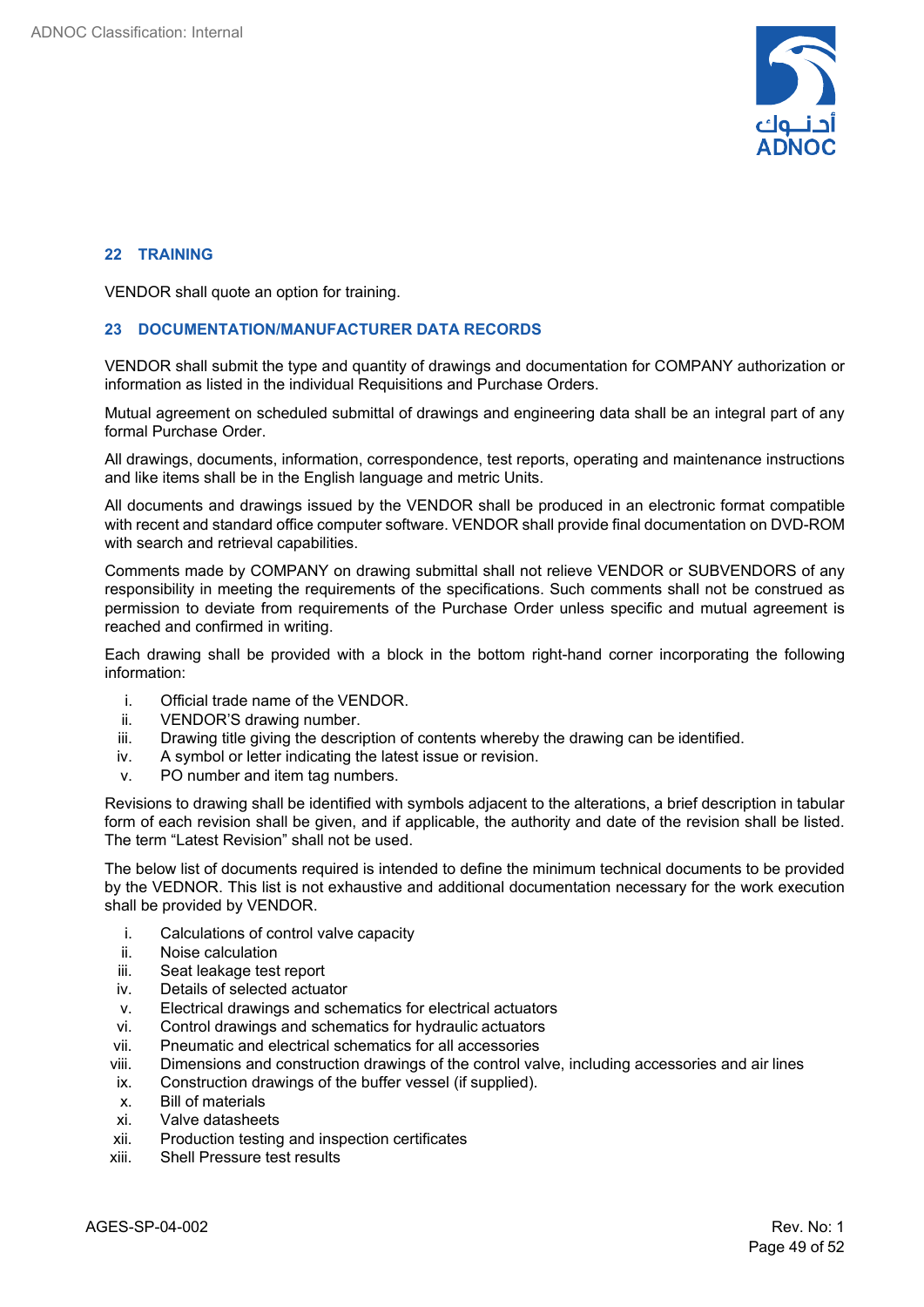

# <span id="page-49-0"></span>**22 TRAINING**

VENDOR shall quote an option for training.

# <span id="page-49-1"></span>**23 DOCUMENTATION/MANUFACTURER DATA RECORDS**

VENDOR shall submit the type and quantity of drawings and documentation for COMPANY authorization or information as listed in the individual Requisitions and Purchase Orders.

Mutual agreement on scheduled submittal of drawings and engineering data shall be an integral part of any formal Purchase Order.

All drawings, documents, information, correspondence, test reports, operating and maintenance instructions and like items shall be in the English language and metric Units.

All documents and drawings issued by the VENDOR shall be produced in an electronic format compatible with recent and standard office computer software. VENDOR shall provide final documentation on DVD-ROM with search and retrieval capabilities.

Comments made by COMPANY on drawing submittal shall not relieve VENDOR or SUBVENDORS of any responsibility in meeting the requirements of the specifications. Such comments shall not be construed as permission to deviate from requirements of the Purchase Order unless specific and mutual agreement is reached and confirmed in writing.

Each drawing shall be provided with a block in the bottom right-hand corner incorporating the following information:

- i. Official trade name of the VENDOR.
- ii. VENDOR'S drawing number.<br>iii. Drawing title giving the descri
- Drawing title giving the description of contents whereby the drawing can be identified.
- iv. A symbol or letter indicating the latest issue or revision.
- v. PO number and item tag numbers.

Revisions to drawing shall be identified with symbols adjacent to the alterations, a brief description in tabular form of each revision shall be given, and if applicable, the authority and date of the revision shall be listed. The term "Latest Revision" shall not be used.

The below list of documents required is intended to define the minimum technical documents to be provided by the VEDNOR. This list is not exhaustive and additional documentation necessary for the work execution shall be provided by VENDOR.

- i. Calculations of control valve capacity
- ii. Noise calculation
- iii. Seat leakage test report
- iv. Details of selected actuator
- v. Electrical drawings and schematics for electrical actuators
- vi. Control drawings and schematics for hydraulic actuators
- vii. Pneumatic and electrical schematics for all accessories
- viii. Dimensions and construction drawings of the control valve, including accessories and air lines
- ix. Construction drawings of the buffer vessel (if supplied).
- x. Bill of materials
- xi. Valve datasheets
- xii. Production testing and inspection certificates
- xiii. Shell Pressure test results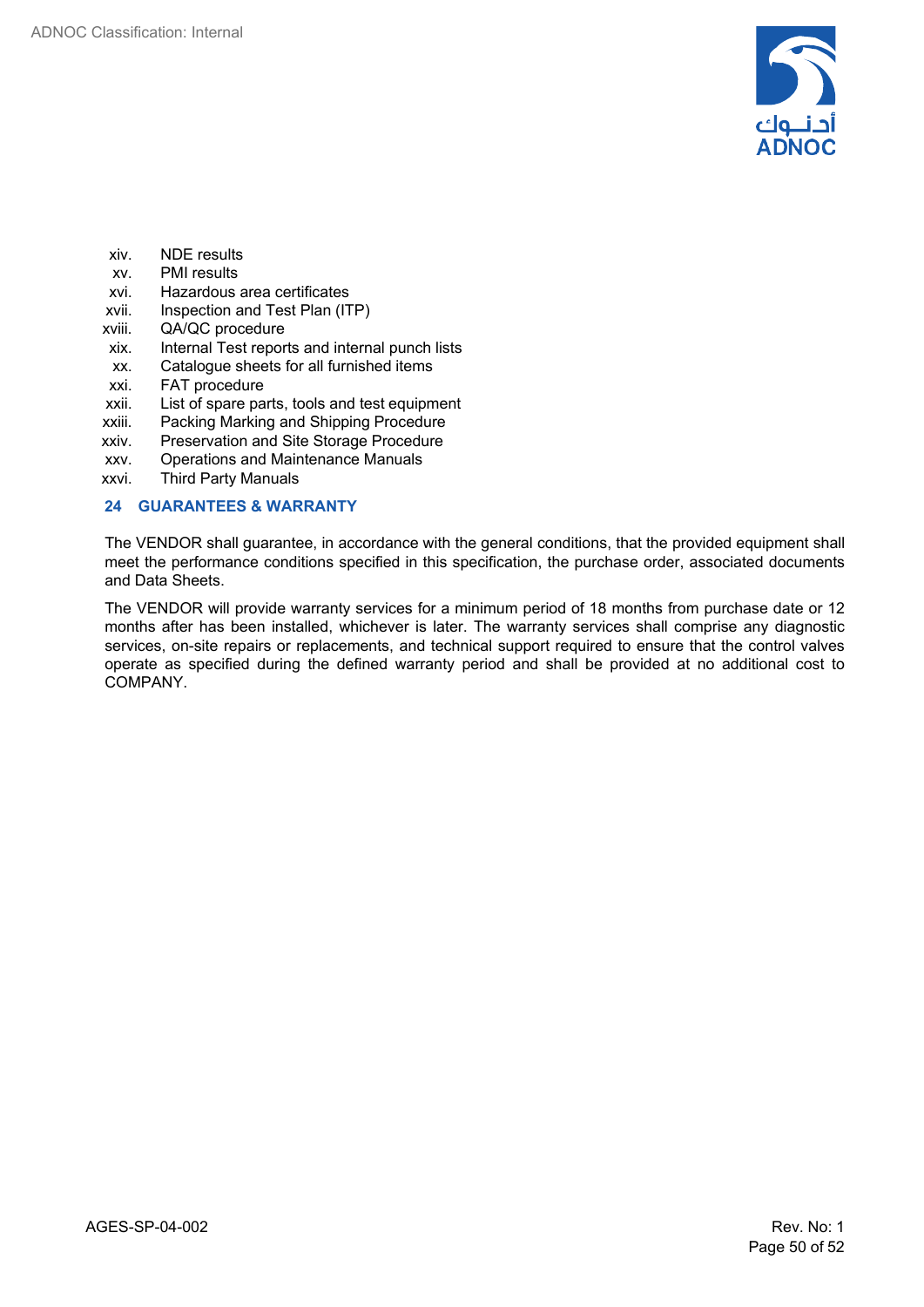

- xiv. NDE results
- xv. PMI results
- xvi. Hazardous area certificates
- xvii. Inspection and Test Plan (ITP)
- xviii. QA/QC procedure
- xix. Internal Test reports and internal punch lists
- xx. Catalogue sheets for all furnished items
- xxi. FAT procedure
- xxii. List of spare parts, tools and test equipment
- xxiii. Packing Marking and Shipping Procedure
- xxiv. Preservation and Site Storage Procedure
- xxv. Operations and Maintenance Manuals
- <span id="page-50-0"></span>xxvi. Third Party Manuals

#### **24 GUARANTEES & WARRANTY**

The VENDOR shall guarantee, in accordance with the general conditions, that the provided equipment shall meet the performance conditions specified in this specification, the purchase order, associated documents and Data Sheets.

The VENDOR will provide warranty services for a minimum period of 18 months from purchase date or 12 months after has been installed, whichever is later. The warranty services shall comprise any diagnostic services, on-site repairs or replacements, and technical support required to ensure that the control valves operate as specified during the defined warranty period and shall be provided at no additional cost to COMPANY.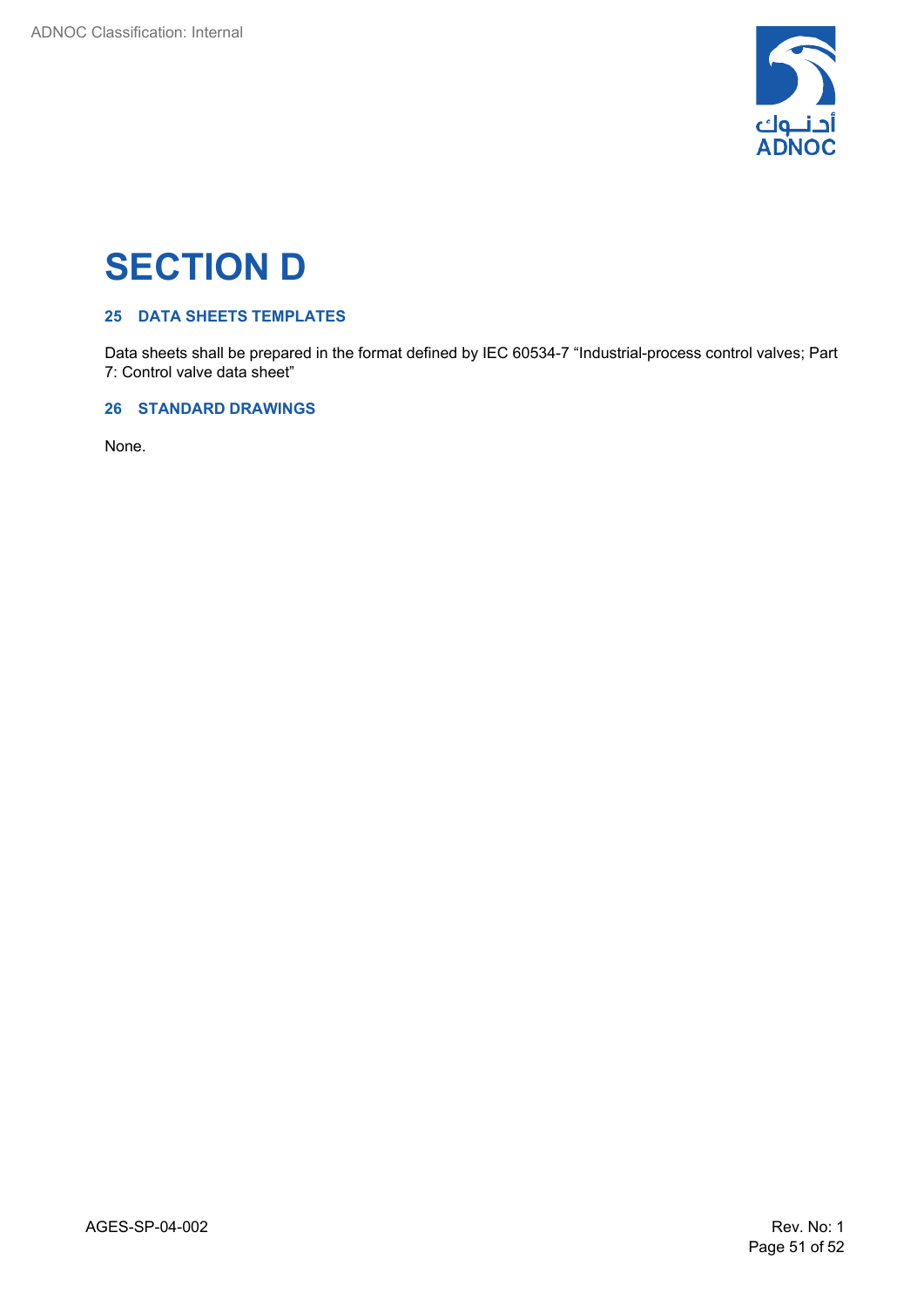

# <span id="page-51-0"></span>**SECTION D**

# <span id="page-51-1"></span>**25 DATA SHEETS TEMPLATES**

Data sheets shall be prepared in the format defined by IEC 60534-7 "Industrial-process control valves; Part 7: Control valve data sheet"

# <span id="page-51-2"></span>**26 STANDARD DRAWINGS**

None.